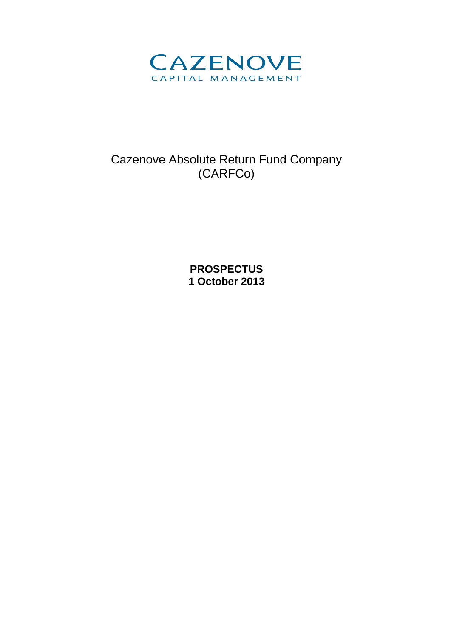

# Cazenove Absolute Return Fund Company (CARFCo)

**PROSPECTUS 1 October 2013**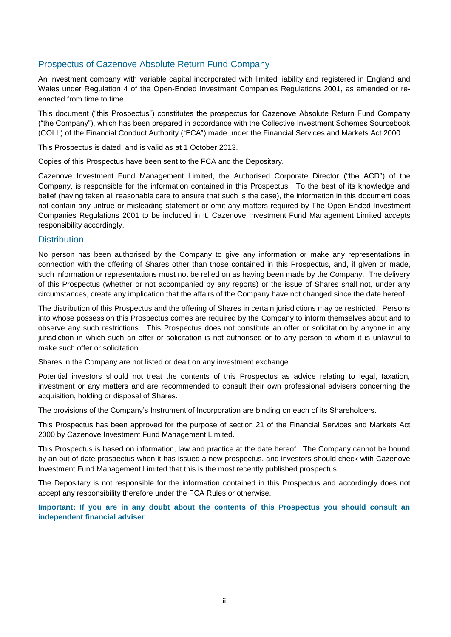# Prospectus of Cazenove Absolute Return Fund Company

An investment company with variable capital incorporated with limited liability and registered in England and Wales under Regulation 4 of the Open-Ended Investment Companies Regulations 2001, as amended or reenacted from time to time.

This document ("this Prospectus") constitutes the prospectus for Cazenove Absolute Return Fund Company ("the Company"), which has been prepared in accordance with the Collective Investment Schemes Sourcebook (COLL) of the Financial Conduct Authority ("FCA") made under the Financial Services and Markets Act 2000.

This Prospectus is dated, and is valid as at 1 October 2013.

Copies of this Prospectus have been sent to the FCA and the Depositary.

Cazenove Investment Fund Management Limited, the Authorised Corporate Director ("the ACD") of the Company, is responsible for the information contained in this Prospectus. To the best of its knowledge and belief (having taken all reasonable care to ensure that such is the case), the information in this document does not contain any untrue or misleading statement or omit any matters required by The Open-Ended Investment Companies Regulations 2001 to be included in it. Cazenove Investment Fund Management Limited accepts responsibility accordingly.

#### **Distribution**

No person has been authorised by the Company to give any information or make any representations in connection with the offering of Shares other than those contained in this Prospectus, and, if given or made, such information or representations must not be relied on as having been made by the Company. The delivery of this Prospectus (whether or not accompanied by any reports) or the issue of Shares shall not, under any circumstances, create any implication that the affairs of the Company have not changed since the date hereof.

The distribution of this Prospectus and the offering of Shares in certain jurisdictions may be restricted. Persons into whose possession this Prospectus comes are required by the Company to inform themselves about and to observe any such restrictions. This Prospectus does not constitute an offer or solicitation by anyone in any jurisdiction in which such an offer or solicitation is not authorised or to any person to whom it is unlawful to make such offer or solicitation.

Shares in the Company are not listed or dealt on any investment exchange.

Potential investors should not treat the contents of this Prospectus as advice relating to legal, taxation, investment or any matters and are recommended to consult their own professional advisers concerning the acquisition, holding or disposal of Shares.

The provisions of the Company's Instrument of Incorporation are binding on each of its Shareholders.

This Prospectus has been approved for the purpose of section 21 of the Financial Services and Markets Act 2000 by Cazenove Investment Fund Management Limited.

This Prospectus is based on information, law and practice at the date hereof. The Company cannot be bound by an out of date prospectus when it has issued a new prospectus, and investors should check with Cazenove Investment Fund Management Limited that this is the most recently published prospectus.

The Depositary is not responsible for the information contained in this Prospectus and accordingly does not accept any responsibility therefore under the FCA Rules or otherwise.

**Important: If you are in any doubt about the contents of this Prospectus you should consult an independent financial adviser**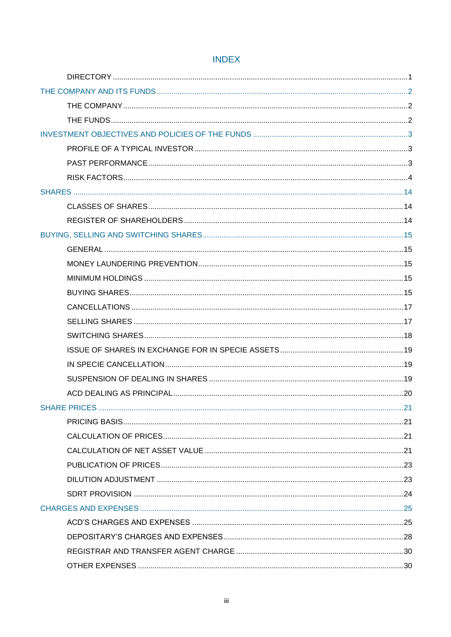# **INDEX**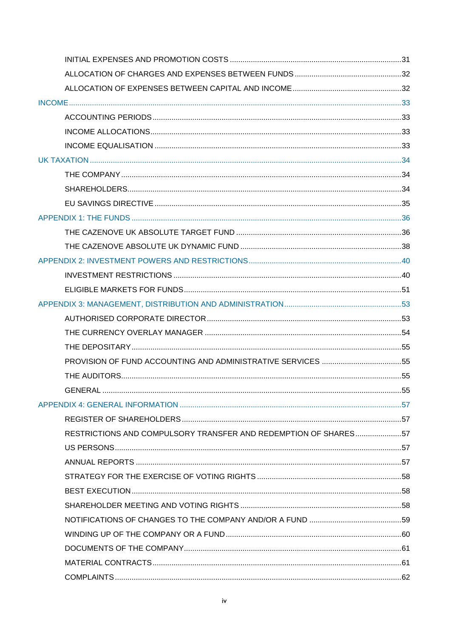| GENERAL                                                         |  |
|-----------------------------------------------------------------|--|
|                                                                 |  |
|                                                                 |  |
| RESTRICTIONS AND COMPULSORY TRANSFER AND REDEMPTION OF SHARES57 |  |
|                                                                 |  |
|                                                                 |  |
|                                                                 |  |
|                                                                 |  |
|                                                                 |  |
|                                                                 |  |
|                                                                 |  |
|                                                                 |  |
|                                                                 |  |
|                                                                 |  |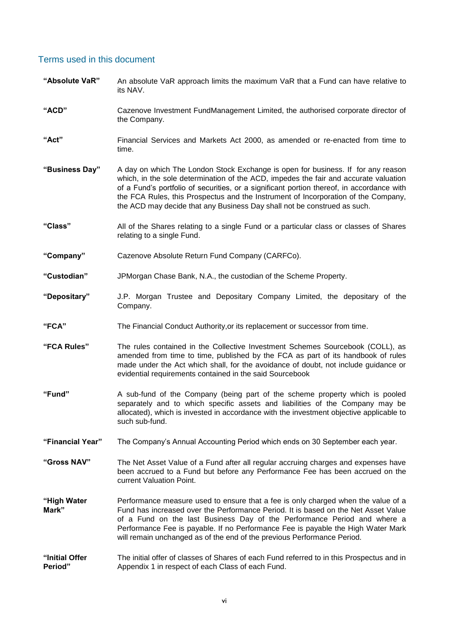# Terms used in this document

**"Absolute VaR"** An absolute VaR approach limits the maximum VaR that a Fund can have relative to its NAV. **"ACD"** Cazenove Investment FundManagement Limited, the authorised corporate director of the Company. **"Act"** Financial Services and Markets Act 2000, as amended or re-enacted from time to time. **"Business Day"** A day on which The London Stock Exchange is open for business*.* If for any reason which, in the sole determination of the ACD, impedes the fair and accurate valuation of a Fund's portfolio of securities, or a significant portion thereof, in accordance with the FCA Rules, this Prospectus and the Instrument of Incorporation of the Company, the ACD may decide that any Business Day shall not be construed as such. **"Class"** All of the Shares relating to a single Fund or a particular class or classes of Shares relating to a single Fund. **"Company"** Cazenove Absolute Return Fund Company (CARFCo). **"Custodian"** JPMorgan Chase Bank, N.A., the custodian of the Scheme Property. **"Depositary"** J.P. Morgan Trustee and Depositary Company Limited, the depositary of the Company. **"FCA"** The Financial Conduct Authority,or its replacement or successor from time. **"FCA Rules"** The rules contained in the Collective Investment Schemes Sourcebook (COLL), as amended from time to time, published by the FCA as part of its handbook of rules made under the Act which shall, for the avoidance of doubt, not include guidance or evidential requirements contained in the said Sourcebook **"Fund"** A sub-fund of the Company (being part of the scheme property which is pooled separately and to which specific assets and liabilities of the Company may be allocated), which is invested in accordance with the investment objective applicable to such sub-fund. **"Financial Year"** The Company's Annual Accounting Period which ends on 30 September each year. **"Gross NAV"** The Net Asset Value of a Fund after all regular accruing charges and expenses have been accrued to a Fund but before any Performance Fee has been accrued on the current Valuation Point. **"High Water Mark"** Performance measure used to ensure that a fee is only charged when the value of a Fund has increased over the Performance Period. It is based on the Net Asset Value of a Fund on the last Business Day of the Performance Period and where a Performance Fee is payable. If no Performance Fee is payable the High Water Mark will remain unchanged as of the end of the previous Performance Period. **"Initial Offer Period"** The initial offer of classes of Shares of each Fund referred to in this Prospectus and in Appendix 1 in respect of each Class of each Fund.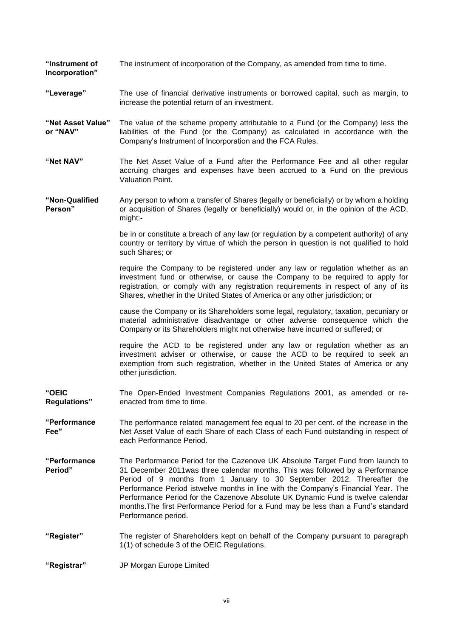**"Instrument of**  The instrument of incorporation of the Company, as amended from time to time.

**Incorporation"**

- **"Leverage"** The use of financial derivative instruments or borrowed capital, such as margin, to increase the potential return of an investment.
- **"Net Asset Value" or "NAV"** The value of the scheme property attributable to a Fund (or the Company) less the liabilities of the Fund (or the Company) as calculated in accordance with the Company's Instrument of Incorporation and the FCA Rules.
- **"Net NAV"** The Net Asset Value of a Fund after the Performance Fee and all other regular accruing charges and expenses have been accrued to a Fund on the previous Valuation Point.
- **"Non-Qualified Person"** Any person to whom a transfer of Shares (legally or beneficially) or by whom a holding or acquisition of Shares (legally or beneficially) would or, in the opinion of the ACD, might:-

be in or constitute a breach of any law (or regulation by a competent authority) of any country or territory by virtue of which the person in question is not qualified to hold such Shares; or

require the Company to be registered under any law or regulation whether as an investment fund or otherwise, or cause the Company to be required to apply for registration, or comply with any registration requirements in respect of any of its Shares, whether in the United States of America or any other jurisdiction; or

cause the Company or its Shareholders some legal, regulatory, taxation, pecuniary or material administrative disadvantage or other adverse consequence which the Company or its Shareholders might not otherwise have incurred or suffered; or

require the ACD to be registered under any law or regulation whether as an investment adviser or otherwise, or cause the ACD to be required to seek an exemption from such registration, whether in the United States of America or any other jurisdiction.

- **"OEIC Regulations"** The Open-Ended Investment Companies Regulations 2001, as amended or reenacted from time to time.
- **"Performance Fee"** The performance related management fee equal to 20 per cent. of the increase in the Net Asset Value of each Share of each Class of each Fund outstanding in respect of each Performance Period.
- **"Performance Period"** The Performance Period for the Cazenove UK Absolute Target Fund from launch to 31 December 2011was three calendar months. This was followed by a Performance Period of 9 months from 1 January to 30 September 2012. Thereafter the Performance Period istwelve months in line with the Company's Financial Year. The Performance Period for the Cazenove Absolute UK Dynamic Fund is twelve calendar months.The first Performance Period for a Fund may be less than a Fund's standard Performance period.
- **"Register"** The register of Shareholders kept on behalf of the Company pursuant to paragraph 1(1) of schedule 3 of the OEIC Regulations.

**"Registrar"** JP Morgan Europe Limited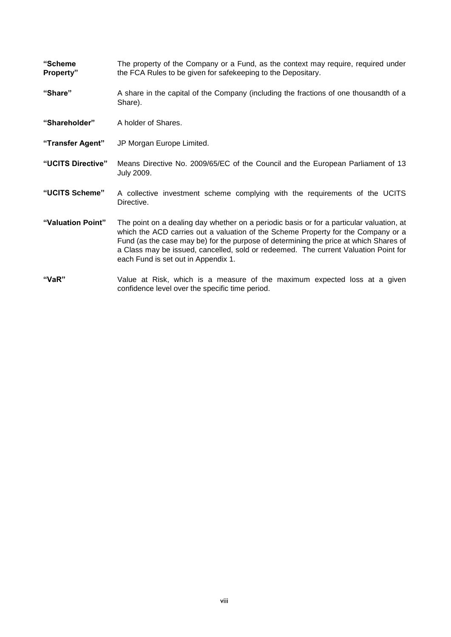**"Scheme Property"** The property of the Company or a Fund, as the context may require, required under the FCA Rules to be given for safekeeping to the Depositary.

- **"Share"** A share in the capital of the Company (including the fractions of one thousandth of a Share).
- **"Shareholder"** A holder of Shares.
- **"Transfer Agent"** JP Morgan Europe Limited.
- **"UCITS Directive"** Means Directive No. 2009/65/EC of the Council and the European Parliament of 13 July 2009.
- **"UCITS Scheme"** A collective investment scheme complying with the requirements of the UCITS Directive.
- **"Valuation Point"** The point on a dealing day whether on a periodic basis or for a particular valuation, at which the ACD carries out a valuation of the Scheme Property for the Company or a Fund (as the case may be) for the purpose of determining the price at which Shares of a Class may be issued, cancelled, sold or redeemed. The current Valuation Point for each Fund is set out in Appendix 1.
- **"VaR"** Value at Risk, which is a measure of the maximum expected loss at a given confidence level over the specific time period.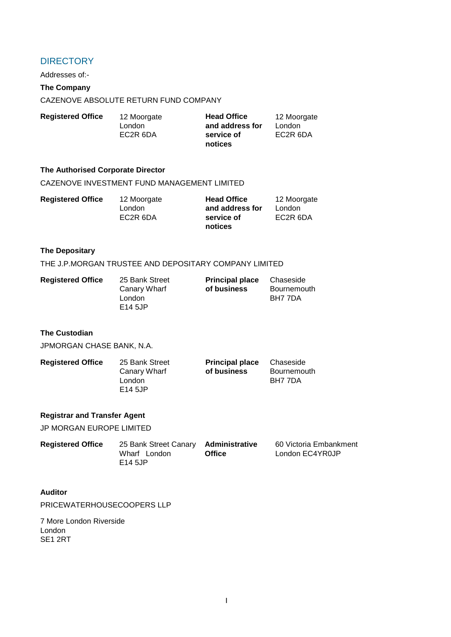# <span id="page-8-0"></span>**DIRECTORY**

Addresses of:-

# **The Company**

CAZENOVE ABSOLUTE RETURN FUND COMPANY

| <b>Registered Office</b> | 12 Moorgate           | <b>Head Office</b> | 12 Moorgate |
|--------------------------|-----------------------|--------------------|-------------|
|                          | London                | and address for    | London      |
|                          | EC <sub>2</sub> R 6DA | service of         | EC2R 6DA    |
|                          |                       | notices            |             |

#### **The Authorised Corporate Director**

#### CAZENOVE INVESTMENT FUND MANAGEMENT LIMITED

| <b>Registered Office</b> | 12 Moorgate | <b>Head Office</b> | 12 Moorgate |
|--------------------------|-------------|--------------------|-------------|
|                          | London      | and address for    | London      |
|                          | EC2R 6DA    | service of         | EC2R 6DA    |
|                          |             | notices            |             |

#### **The Depositary**

THE J.P.MORGAN TRUSTEE AND DEPOSITARY COMPANY LIMITED

| <b>Registered Office</b> | 25 Bank Street | <b>Principal place</b> | Chaseside   |
|--------------------------|----------------|------------------------|-------------|
|                          | Canary Wharf   | of business            | Bournemouth |
|                          | London         |                        | BH7 7DA     |
|                          | E14 5JP        |                        |             |

#### **The Custodian**

JPMORGAN CHASE BANK, N.A.

| <b>Registered Office</b> | 25 Bank Street | <b>Principal place</b> | Chaseside   |
|--------------------------|----------------|------------------------|-------------|
|                          | Canary Wharf   | of business            | Bournemouth |
|                          | London         |                        | BH7 7DA     |
|                          | E14 5JP        |                        |             |

#### **Registrar and Transfer Agent**

JP MORGAN EUROPE LIMITED

| <b>Registered Office</b> | 25 Bank Street Canary Administrative |               | 60 Victoria Embankment |
|--------------------------|--------------------------------------|---------------|------------------------|
|                          | Wharf London                         | <b>Office</b> | London EC4YR0JP        |
|                          | E14 5JP                              |               |                        |

#### **Auditor**

PRICEWATERHOUSECOOPERS LLP

7 More London Riverside London SE1 2RT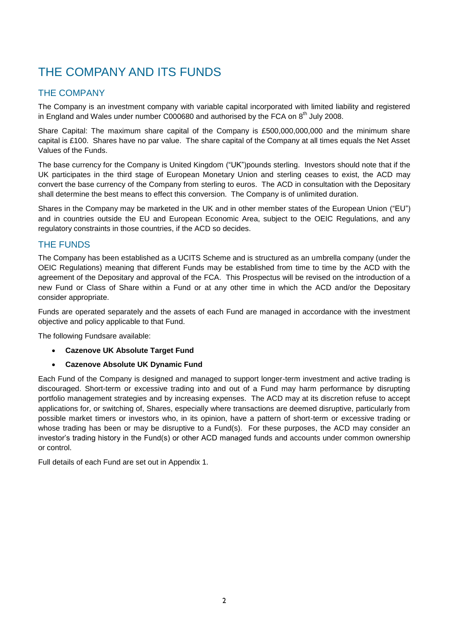# <span id="page-9-0"></span>THE COMPANY AND ITS FUNDS

# <span id="page-9-1"></span>THE COMPANY

The Company is an investment company with variable capital incorporated with limited liability and registered in England and Wales under number C000680 and authorised by the FCA on  $8^{th}$  July 2008.

Share Capital: The maximum share capital of the Company is £500,000,000,000 and the minimum share capital is £100. Shares have no par value. The share capital of the Company at all times equals the Net Asset Values of the Funds.

The base currency for the Company is United Kingdom ("UK")pounds sterling. Investors should note that if the UK participates in the third stage of European Monetary Union and sterling ceases to exist, the ACD may convert the base currency of the Company from sterling to euros. The ACD in consultation with the Depositary shall determine the best means to effect this conversion. The Company is of unlimited duration.

Shares in the Company may be marketed in the UK and in other member states of the European Union ("EU") and in countries outside the EU and European Economic Area, subject to the OEIC Regulations, and any regulatory constraints in those countries, if the ACD so decides.

# <span id="page-9-2"></span>THE FUNDS

The Company has been established as a UCITS Scheme and is structured as an umbrella company (under the OEIC Regulations) meaning that different Funds may be established from time to time by the ACD with the agreement of the Depositary and approval of the FCA. This Prospectus will be revised on the introduction of a new Fund or Class of Share within a Fund or at any other time in which the ACD and/or the Depositary consider appropriate.

Funds are operated separately and the assets of each Fund are managed in accordance with the investment objective and policy applicable to that Fund.

The following Fundsare available:

- **Cazenove UK Absolute Target Fund**
- **Cazenove Absolute UK Dynamic Fund**

Each Fund of the Company is designed and managed to support longer-term investment and active trading is discouraged. Short-term or excessive trading into and out of a Fund may harm performance by disrupting portfolio management strategies and by increasing expenses. The ACD may at its discretion refuse to accept applications for, or switching of, Shares, especially where transactions are deemed disruptive, particularly from possible market timers or investors who, in its opinion, have a pattern of short-term or excessive trading or whose trading has been or may be disruptive to a Fund(s). For these purposes, the ACD may consider an investor's trading history in the Fund(s) or other ACD managed funds and accounts under common ownership or control.

Full details of each Fund are set out in Appendix 1.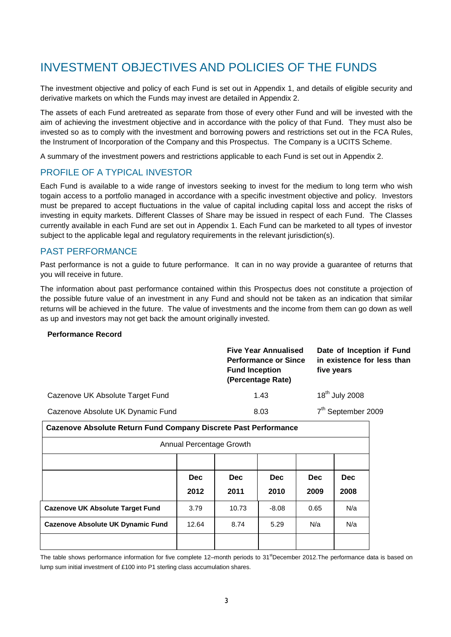# <span id="page-10-0"></span>INVESTMENT OBJECTIVES AND POLICIES OF THE FUNDS

The investment objective and policy of each Fund is set out in Appendix 1, and details of eligible security and derivative markets on which the Funds may invest are detailed in Appendix 2.

The assets of each Fund aretreated as separate from those of every other Fund and will be invested with the aim of achieving the investment objective and in accordance with the policy of that Fund. They must also be invested so as to comply with the investment and borrowing powers and restrictions set out in the FCA Rules, the Instrument of Incorporation of the Company and this Prospectus. The Company is a UCITS Scheme.

A summary of the investment powers and restrictions applicable to each Fund is set out in Appendix 2.

# <span id="page-10-1"></span>PROFILE OF A TYPICAL INVESTOR

Each Fund is available to a wide range of investors seeking to invest for the medium to long term who wish togain access to a portfolio managed in accordance with a specific investment objective and policy. Investors must be prepared to accept fluctuations in the value of capital including capital loss and accept the risks of investing in equity markets. Different Classes of Share may be issued in respect of each Fund. The Classes currently available in each Fund are set out in Appendix 1. Each Fund can be marketed to all types of investor subject to the applicable legal and regulatory requirements in the relevant jurisdiction(s).

# <span id="page-10-2"></span>PAST PERFORMANCE

Past performance is not a guide to future performance. It can in no way provide a guarantee of returns that you will receive in future.

The information about past performance contained within this Prospectus does not constitute a projection of the possible future value of an investment in any Fund and should not be taken as an indication that similar returns will be achieved in the future. The value of investments and the income from them can go down as well as up and investors may not get back the amount originally invested.

#### **Performance Record**

|                                   | <b>Five Year Annualised</b><br><b>Performance or Since</b><br><b>Fund Inception</b><br>(Percentage Rate) | Date of Inception if Fund<br>in existence for less than<br>five years |
|-----------------------------------|----------------------------------------------------------------------------------------------------------|-----------------------------------------------------------------------|
| Cazenove UK Absolute Target Fund  | 1.43                                                                                                     | $18th$ July 2008                                                      |
| Cazenove Absolute UK Dynamic Fund | 8.03                                                                                                     | 7 <sup>th</sup> September 2009                                        |

| <b>Cazenove Absolute Return Fund Company Discrete Past Performance</b> |            |            |            |            |            |
|------------------------------------------------------------------------|------------|------------|------------|------------|------------|
| Annual Percentage Growth                                               |            |            |            |            |            |
|                                                                        |            |            |            |            |            |
|                                                                        | <b>Dec</b> | <b>Dec</b> | <b>Dec</b> | <b>Dec</b> | <b>Dec</b> |
|                                                                        | 2012       | 2011       | 2010       | 2009       | 2008       |
| <b>Cazenove UK Absolute Target Fund</b>                                | 3.79       | 10.73      | $-8.08$    | 0.65       | N/a        |
| <b>Cazenove Absolute UK Dynamic Fund</b>                               | 12.64      | 8.74       | 5.29       | N/a        | N/a        |
|                                                                        |            |            |            |            |            |

The table shows performance information for five complete 12–month periods to 31<sup>st</sup>December 2012.The performance data is based on lump sum initial investment of £100 into P1 sterling class accumulation shares.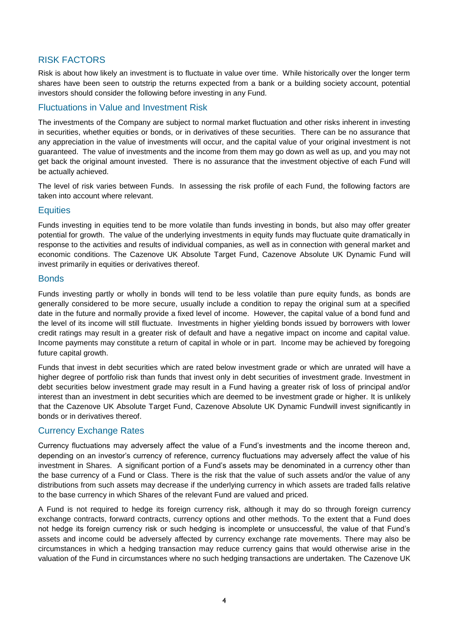# <span id="page-11-0"></span>RISK FACTORS

Risk is about how likely an investment is to fluctuate in value over time. While historically over the longer term shares have been seen to outstrip the returns expected from a bank or a building society account, potential investors should consider the following before investing in any Fund.

# Fluctuations in Value and Investment Risk

The investments of the Company are subject to normal market fluctuation and other risks inherent in investing in securities, whether equities or bonds, or in derivatives of these securities. There can be no assurance that any appreciation in the value of investments will occur, and the capital value of your original investment is not guaranteed. The value of investments and the income from them may go down as well as up, and you may not get back the original amount invested. There is no assurance that the investment objective of each Fund will be actually achieved.

The level of risk varies between Funds. In assessing the risk profile of each Fund, the following factors are taken into account where relevant.

# **Equities**

Funds investing in equities tend to be more volatile than funds investing in bonds, but also may offer greater potential for growth. The value of the underlying investments in equity funds may fluctuate quite dramatically in response to the activities and results of individual companies, as well as in connection with general market and economic conditions. The Cazenove UK Absolute Target Fund, Cazenove Absolute UK Dynamic Fund will invest primarily in equities or derivatives thereof.

#### **Bonds**

Funds investing partly or wholly in bonds will tend to be less volatile than pure equity funds, as bonds are generally considered to be more secure, usually include a condition to repay the original sum at a specified date in the future and normally provide a fixed level of income. However, the capital value of a bond fund and the level of its income will still fluctuate. Investments in higher yielding bonds issued by borrowers with lower credit ratings may result in a greater risk of default and have a negative impact on income and capital value. Income payments may constitute a return of capital in whole or in part. Income may be achieved by foregoing future capital growth.

Funds that invest in debt securities which are rated below investment grade or which are unrated will have a higher degree of portfolio risk than funds that invest only in debt securities of investment grade. Investment in debt securities below investment grade may result in a Fund having a greater risk of loss of principal and/or interest than an investment in debt securities which are deemed to be investment grade or higher. It is unlikely that the Cazenove UK Absolute Target Fund, Cazenove Absolute UK Dynamic Fundwill invest significantly in bonds or in derivatives thereof.

# Currency Exchange Rates

Currency fluctuations may adversely affect the value of a Fund's investments and the income thereon and, depending on an investor's currency of reference, currency fluctuations may adversely affect the value of his investment in Shares. A significant portion of a Fund's assets may be denominated in a currency other than the base currency of a Fund or Class. There is the risk that the value of such assets and/or the value of any distributions from such assets may decrease if the underlying currency in which assets are traded falls relative to the base currency in which Shares of the relevant Fund are valued and priced.

A Fund is not required to hedge its foreign currency risk, although it may do so through foreign currency exchange contracts, forward contracts, currency options and other methods. To the extent that a Fund does not hedge its foreign currency risk or such hedging is incomplete or unsuccessful, the value of that Fund's assets and income could be adversely affected by currency exchange rate movements. There may also be circumstances in which a hedging transaction may reduce currency gains that would otherwise arise in the valuation of the Fund in circumstances where no such hedging transactions are undertaken. The Cazenove UK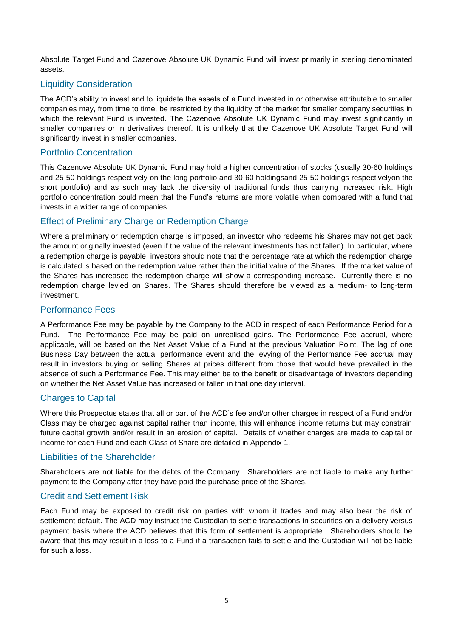Absolute Target Fund and Cazenove Absolute UK Dynamic Fund will invest primarily in sterling denominated assets.

# Liquidity Consideration

The ACD's ability to invest and to liquidate the assets of a Fund invested in or otherwise attributable to smaller companies may, from time to time, be restricted by the liquidity of the market for smaller company securities in which the relevant Fund is invested. The Cazenove Absolute UK Dynamic Fund may invest significantly in smaller companies or in derivatives thereof. It is unlikely that the Cazenove UK Absolute Target Fund will significantly invest in smaller companies.

# Portfolio Concentration

This Cazenove Absolute UK Dynamic Fund may hold a higher concentration of stocks (usually 30-60 holdings and 25-50 holdings respectively on the long portfolio and 30-60 holdingsand 25-50 holdings respectivelyon the short portfolio) and as such may lack the diversity of traditional funds thus carrying increased risk. High portfolio concentration could mean that the Fund's returns are more volatile when compared with a fund that invests in a wider range of companies.

# Effect of Preliminary Charge or Redemption Charge

Where a preliminary or redemption charge is imposed, an investor who redeems his Shares may not get back the amount originally invested (even if the value of the relevant investments has not fallen). In particular, where a redemption charge is payable, investors should note that the percentage rate at which the redemption charge is calculated is based on the redemption value rather than the initial value of the Shares. If the market value of the Shares has increased the redemption charge will show a corresponding increase. Currently there is no redemption charge levied on Shares. The Shares should therefore be viewed as a medium- to long-term investment.

# Performance Fees

A Performance Fee may be payable by the Company to the ACD in respect of each Performance Period for a Fund. The Performance Fee may be paid on unrealised gains. The Performance Fee accrual, where applicable, will be based on the Net Asset Value of a Fund at the previous Valuation Point. The lag of one Business Day between the actual performance event and the levying of the Performance Fee accrual may result in investors buying or selling Shares at prices different from those that would have prevailed in the absence of such a Performance Fee. This may either be to the benefit or disadvantage of investors depending on whether the Net Asset Value has increased or fallen in that one day interval.

# Charges to Capital

Where this Prospectus states that all or part of the ACD's fee and/or other charges in respect of a Fund and/or Class may be charged against capital rather than income, this will enhance income returns but may constrain future capital growth and/or result in an erosion of capital. Details of whether charges are made to capital or income for each Fund and each Class of Share are detailed in Appendix 1.

# Liabilities of the Shareholder

Shareholders are not liable for the debts of the Company. Shareholders are not liable to make any further payment to the Company after they have paid the purchase price of the Shares.

# Credit and Settlement Risk

Each Fund may be exposed to credit risk on parties with whom it trades and may also bear the risk of settlement default. The ACD may instruct the Custodian to settle transactions in securities on a delivery versus payment basis where the ACD believes that this form of settlement is appropriate. Shareholders should be aware that this may result in a loss to a Fund if a transaction fails to settle and the Custodian will not be liable for such a loss.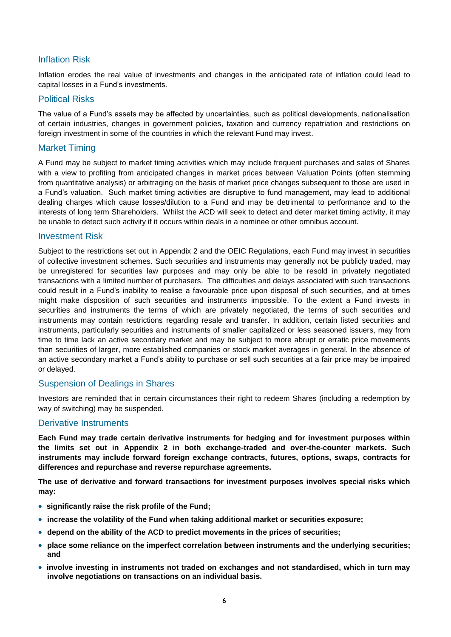# Inflation Risk

Inflation erodes the real value of investments and changes in the anticipated rate of inflation could lead to capital losses in a Fund's investments.

#### Political Risks

The value of a Fund's assets may be affected by uncertainties, such as political developments, nationalisation of certain industries, changes in government policies, taxation and currency repatriation and restrictions on foreign investment in some of the countries in which the relevant Fund may invest.

# Market Timing

A Fund may be subject to market timing activities which may include frequent purchases and sales of Shares with a view to profiting from anticipated changes in market prices between Valuation Points (often stemming from quantitative analysis) or arbitraging on the basis of market price changes subsequent to those are used in a Fund's valuation. Such market timing activities are disruptive to fund management, may lead to additional dealing charges which cause losses/dilution to a Fund and may be detrimental to performance and to the interests of long term Shareholders. Whilst the ACD will seek to detect and deter market timing activity, it may be unable to detect such activity if it occurs within deals in a nominee or other omnibus account.

#### Investment Risk

Subject to the restrictions set out in Appendix 2 and the OEIC Regulations, each Fund may invest in securities of collective investment schemes. Such securities and instruments may generally not be publicly traded, may be unregistered for securities law purposes and may only be able to be resold in privately negotiated transactions with a limited number of purchasers. The difficulties and delays associated with such transactions could result in a Fund's inability to realise a favourable price upon disposal of such securities, and at times might make disposition of such securities and instruments impossible. To the extent a Fund invests in securities and instruments the terms of which are privately negotiated, the terms of such securities and instruments may contain restrictions regarding resale and transfer. In addition, certain listed securities and instruments, particularly securities and instruments of smaller capitalized or less seasoned issuers, may from time to time lack an active secondary market and may be subject to more abrupt or erratic price movements than securities of larger, more established companies or stock market averages in general. In the absence of an active secondary market a Fund's ability to purchase or sell such securities at a fair price may be impaired or delayed.

#### Suspension of Dealings in Shares

Investors are reminded that in certain circumstances their right to redeem Shares (including a redemption by way of switching) may be suspended.

# Derivative Instruments

**Each Fund may trade certain derivative instruments for hedging and for investment purposes within the limits set out in Appendix 2 in both exchange-traded and over-the-counter markets. Such instruments may include forward foreign exchange contracts, futures, options, swaps, contracts for differences and repurchase and reverse repurchase agreements.** 

**The use of derivative and forward transactions for investment purposes involves special risks which may:**

- **significantly raise the risk profile of the Fund;**
- **increase the volatility of the Fund when taking additional market or securities exposure;**
- **depend on the ability of the ACD to predict movements in the prices of securities;**
- **place some reliance on the imperfect correlation between instruments and the underlying securities; and**
- **involve investing in instruments not traded on exchanges and not standardised, which in turn may involve negotiations on transactions on an individual basis.**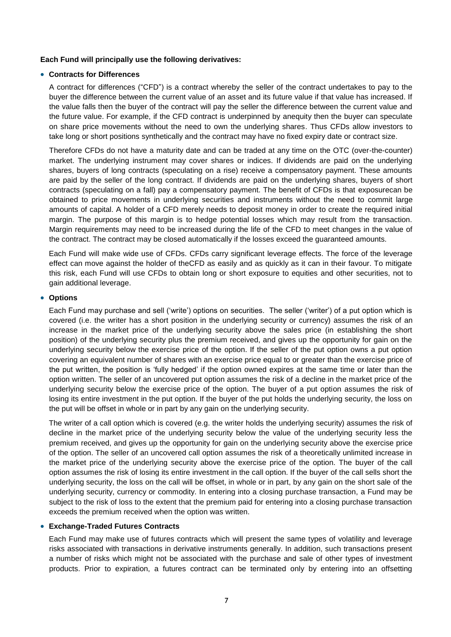#### **Each Fund will principally use the following derivatives:**

#### **Contracts for Differences**

A contract for differences ("CFD") is a contract whereby the seller of the contract undertakes to pay to the buyer the difference between the current value of an asset and its future value if that value has increased. If the value falls then the buyer of the contract will pay the seller the difference between the current value and the future value. For example, if the CFD contract is underpinned by anequity then the buyer can speculate on share price movements without the need to own the underlying shares. Thus CFDs allow investors to take long or short positions synthetically and the contract may have no fixed expiry date or contract size.

Therefore CFDs do not have a maturity date and can be traded at any time on the OTC (over-the-counter) market. The underlying instrument may cover shares or indices. If dividends are paid on the underlying shares, buyers of long contracts (speculating on a rise) receive a compensatory payment. These amounts are paid by the seller of the long contract. If dividends are paid on the underlying shares, buyers of short contracts (speculating on a fall) pay a compensatory payment. The benefit of CFDs is that exposurecan be obtained to price movements in underlying securities and instruments without the need to commit large amounts of capital. A holder of a CFD merely needs to deposit money in order to create the required initial margin. The purpose of this margin is to hedge potential losses which may result from the transaction. Margin requirements may need to be increased during the life of the CFD to meet changes in the value of the contract. The contract may be closed automatically if the losses exceed the guaranteed amounts.

Each Fund will make wide use of CFDs. CFDs carry significant leverage effects. The force of the leverage effect can move against the holder of theCFD as easily and as quickly as it can in their favour. To mitigate this risk, each Fund will use CFDs to obtain long or short exposure to equities and other securities, not to gain additional leverage.

#### **Options**

Each Fund may purchase and sell ('write') options on securities. The seller ('writer') of a put option which is covered (i.e. the writer has a short position in the underlying security or currency) assumes the risk of an increase in the market price of the underlying security above the sales price (in establishing the short position) of the underlying security plus the premium received, and gives up the opportunity for gain on the underlying security below the exercise price of the option. If the seller of the put option owns a put option covering an equivalent number of shares with an exercise price equal to or greater than the exercise price of the put written, the position is 'fully hedged' if the option owned expires at the same time or later than the option written. The seller of an uncovered put option assumes the risk of a decline in the market price of the underlying security below the exercise price of the option. The buyer of a put option assumes the risk of losing its entire investment in the put option. If the buyer of the put holds the underlying security, the loss on the put will be offset in whole or in part by any gain on the underlying security.

The writer of a call option which is covered (e.g. the writer holds the underlying security) assumes the risk of decline in the market price of the underlying security below the value of the underlying security less the premium received, and gives up the opportunity for gain on the underlying security above the exercise price of the option. The seller of an uncovered call option assumes the risk of a theoretically unlimited increase in the market price of the underlying security above the exercise price of the option. The buyer of the call option assumes the risk of losing its entire investment in the call option. If the buyer of the call sells short the underlying security, the loss on the call will be offset, in whole or in part, by any gain on the short sale of the underlying security, currency or commodity. In entering into a closing purchase transaction, a Fund may be subject to the risk of loss to the extent that the premium paid for entering into a closing purchase transaction exceeds the premium received when the option was written.

#### **Exchange-Traded Futures Contracts**

Each Fund may make use of futures contracts which will present the same types of volatility and leverage risks associated with transactions in derivative instruments generally. In addition, such transactions present a number of risks which might not be associated with the purchase and sale of other types of investment products. Prior to expiration, a futures contract can be terminated only by entering into an offsetting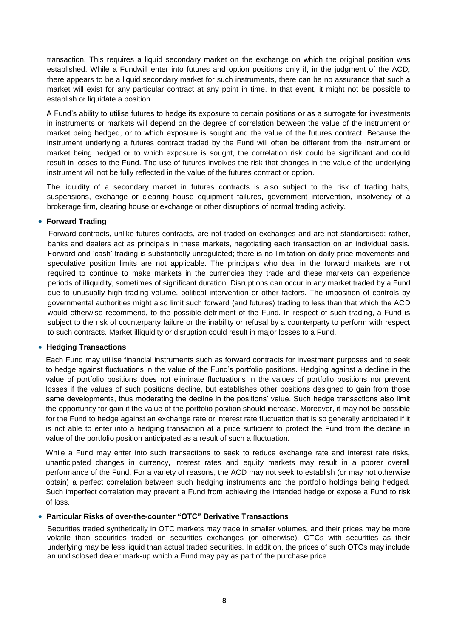transaction. This requires a liquid secondary market on the exchange on which the original position was established. While a Fundwill enter into futures and option positions only if, in the judgment of the ACD, there appears to be a liquid secondary market for such instruments, there can be no assurance that such a market will exist for any particular contract at any point in time. In that event, it might not be possible to establish or liquidate a position.

A Fund's ability to utilise futures to hedge its exposure to certain positions or as a surrogate for investments in instruments or markets will depend on the degree of correlation between the value of the instrument or market being hedged, or to which exposure is sought and the value of the futures contract. Because the instrument underlying a futures contract traded by the Fund will often be different from the instrument or market being hedged or to which exposure is sought, the correlation risk could be significant and could result in losses to the Fund. The use of futures involves the risk that changes in the value of the underlying instrument will not be fully reflected in the value of the futures contract or option.

The liquidity of a secondary market in futures contracts is also subject to the risk of trading halts, suspensions, exchange or clearing house equipment failures, government intervention, insolvency of a brokerage firm, clearing house or exchange or other disruptions of normal trading activity.

#### **Forward Trading**

Forward contracts, unlike futures contracts, are not traded on exchanges and are not standardised; rather, banks and dealers act as principals in these markets, negotiating each transaction on an individual basis. Forward and 'cash' trading is substantially unregulated; there is no limitation on daily price movements and speculative position limits are not applicable. The principals who deal in the forward markets are not required to continue to make markets in the currencies they trade and these markets can experience periods of illiquidity, sometimes of significant duration. Disruptions can occur in any market traded by a Fund due to unusually high trading volume, political intervention or other factors. The imposition of controls by governmental authorities might also limit such forward (and futures) trading to less than that which the ACD would otherwise recommend, to the possible detriment of the Fund. In respect of such trading, a Fund is subject to the risk of counterparty failure or the inability or refusal by a counterparty to perform with respect to such contracts. Market illiquidity or disruption could result in major losses to a Fund.

#### **Hedging Transactions**

Each Fund may utilise financial instruments such as forward contracts for investment purposes and to seek to hedge against fluctuations in the value of the Fund's portfolio positions. Hedging against a decline in the value of portfolio positions does not eliminate fluctuations in the values of portfolio positions nor prevent losses if the values of such positions decline, but establishes other positions designed to gain from those same developments, thus moderating the decline in the positions' value. Such hedge transactions also limit the opportunity for gain if the value of the portfolio position should increase. Moreover, it may not be possible for the Fund to hedge against an exchange rate or interest rate fluctuation that is so generally anticipated if it is not able to enter into a hedging transaction at a price sufficient to protect the Fund from the decline in value of the portfolio position anticipated as a result of such a fluctuation.

While a Fund may enter into such transactions to seek to reduce exchange rate and interest rate risks, unanticipated changes in currency, interest rates and equity markets may result in a poorer overall performance of the Fund. For a variety of reasons, the ACD may not seek to establish (or may not otherwise obtain) a perfect correlation between such hedging instruments and the portfolio holdings being hedged. Such imperfect correlation may prevent a Fund from achieving the intended hedge or expose a Fund to risk of loss.

#### **Particular Risks of over-the-counter "OTC" Derivative Transactions**

Securities traded synthetically in OTC markets may trade in smaller volumes, and their prices may be more volatile than securities traded on securities exchanges (or otherwise). OTCs with securities as their underlying may be less liquid than actual traded securities. In addition, the prices of such OTCs may include an undisclosed dealer mark-up which a Fund may pay as part of the purchase price.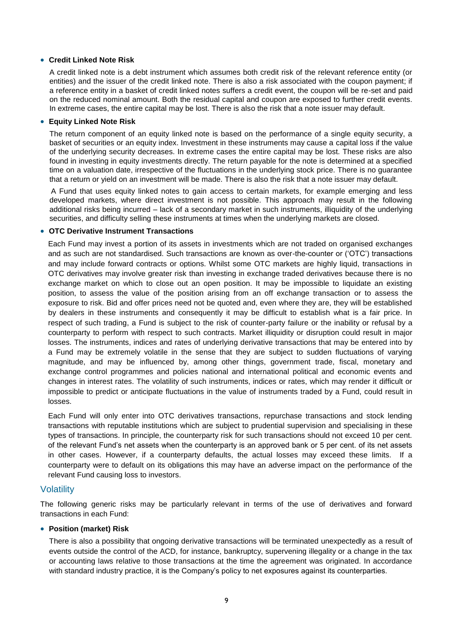#### **Credit Linked Note Risk**

A credit linked note is a debt instrument which assumes both credit risk of the relevant reference entity (or entities) and the issuer of the credit linked note. There is also a risk associated with the coupon payment; if a reference entity in a basket of credit linked notes suffers a credit event, the coupon will be re-set and paid on the reduced nominal amount. Both the residual capital and coupon are exposed to further credit events. In extreme cases, the entire capital may be lost. There is also the risk that a note issuer may default.

#### **Equity Linked Note Risk**

The return component of an equity linked note is based on the performance of a single equity security, a basket of securities or an equity index. Investment in these instruments may cause a capital loss if the value of the underlying security decreases. In extreme cases the entire capital may be lost. These risks are also found in investing in equity investments directly. The return payable for the note is determined at a specified time on a valuation date, irrespective of the fluctuations in the underlying stock price. There is no guarantee that a return or yield on an investment will be made. There is also the risk that a note issuer may default.

A Fund that uses equity linked notes to gain access to certain markets, for example emerging and less developed markets, where direct investment is not possible. This approach may result in the following additional risks being incurred – lack of a secondary market in such instruments, illiquidity of the underlying securities, and difficulty selling these instruments at times when the underlying markets are closed.

#### **OTC Derivative Instrument Transactions**

Each Fund may invest a portion of its assets in investments which are not traded on organised exchanges and as such are not standardised. Such transactions are known as over-the-counter or ('OTC') transactions and may include forward contracts or options. Whilst some OTC markets are highly liquid, transactions in OTC derivatives may involve greater risk than investing in exchange traded derivatives because there is no exchange market on which to close out an open position. It may be impossible to liquidate an existing position, to assess the value of the position arising from an off exchange transaction or to assess the exposure to risk. Bid and offer prices need not be quoted and, even where they are, they will be established by dealers in these instruments and consequently it may be difficult to establish what is a fair price. In respect of such trading, a Fund is subject to the risk of counter-party failure or the inability or refusal by a counterparty to perform with respect to such contracts. Market illiquidity or disruption could result in major losses. The instruments, indices and rates of underlying derivative transactions that may be entered into by a Fund may be extremely volatile in the sense that they are subject to sudden fluctuations of varying magnitude, and may be influenced by, among other things, government trade, fiscal, monetary and exchange control programmes and policies national and international political and economic events and changes in interest rates. The volatility of such instruments, indices or rates, which may render it difficult or impossible to predict or anticipate fluctuations in the value of instruments traded by a Fund, could result in losses.

Each Fund will only enter into OTC derivatives transactions, repurchase transactions and stock lending transactions with reputable institutions which are subject to prudential supervision and specialising in these types of transactions. In principle, the counterparty risk for such transactions should not exceed 10 per cent. of the relevant Fund's net assets when the counterparty is an approved bank or 5 per cent. of its net assets in other cases. However, if a counterparty defaults, the actual losses may exceed these limits. If a counterparty were to default on its obligations this may have an adverse impact on the performance of the relevant Fund causing loss to investors.

# **Volatility**

The following generic risks may be particularly relevant in terms of the use of derivatives and forward transactions in each Fund:

#### **Position (market) Risk**

There is also a possibility that ongoing derivative transactions will be terminated unexpectedly as a result of events outside the control of the ACD, for instance, bankruptcy, supervening illegality or a change in the tax or accounting laws relative to those transactions at the time the agreement was originated. In accordance with standard industry practice, it is the Company's policy to net exposures against its counterparties.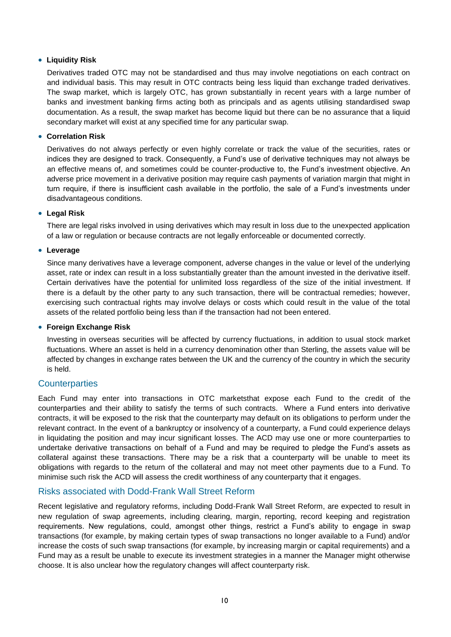#### **Liquidity Risk**

Derivatives traded OTC may not be standardised and thus may involve negotiations on each contract on and individual basis. This may result in OTC contracts being less liquid than exchange traded derivatives. The swap market, which is largely OTC, has grown substantially in recent years with a large number of banks and investment banking firms acting both as principals and as agents utilising standardised swap documentation. As a result, the swap market has become liquid but there can be no assurance that a liquid secondary market will exist at any specified time for any particular swap.

#### **Correlation Risk**

Derivatives do not always perfectly or even highly correlate or track the value of the securities, rates or indices they are designed to track. Consequently, a Fund's use of derivative techniques may not always be an effective means of, and sometimes could be counter-productive to, the Fund's investment objective. An adverse price movement in a derivative position may require cash payments of variation margin that might in turn require, if there is insufficient cash available in the portfolio, the sale of a Fund's investments under disadvantageous conditions.

### **Legal Risk**

There are legal risks involved in using derivatives which may result in loss due to the unexpected application of a law or regulation or because contracts are not legally enforceable or documented correctly.

#### **Leverage**

Since many derivatives have a leverage component, adverse changes in the value or level of the underlying asset, rate or index can result in a loss substantially greater than the amount invested in the derivative itself. Certain derivatives have the potential for unlimited loss regardless of the size of the initial investment. If there is a default by the other party to any such transaction, there will be contractual remedies; however, exercising such contractual rights may involve delays or costs which could result in the value of the total assets of the related portfolio being less than if the transaction had not been entered.

#### **Foreign Exchange Risk**

Investing in overseas securities will be affected by currency fluctuations, in addition to usual stock market fluctuations. Where an asset is held in a currency denomination other than Sterling, the assets value will be affected by changes in exchange rates between the UK and the currency of the country in which the security is held.

# **Counterparties**

Each Fund may enter into transactions in OTC marketsthat expose each Fund to the credit of the counterparties and their ability to satisfy the terms of such contracts. Where a Fund enters into derivative contracts, it will be exposed to the risk that the counterparty may default on its obligations to perform under the relevant contract. In the event of a bankruptcy or insolvency of a counterparty, a Fund could experience delays in liquidating the position and may incur significant losses. The ACD may use one or more counterparties to undertake derivative transactions on behalf of a Fund and may be required to pledge the Fund's assets as collateral against these transactions. There may be a risk that a counterparty will be unable to meet its obligations with regards to the return of the collateral and may not meet other payments due to a Fund. To minimise such risk the ACD will assess the credit worthiness of any counterparty that it engages.

# Risks associated with Dodd-Frank Wall Street Reform

Recent legislative and regulatory reforms, including Dodd-Frank Wall Street Reform, are expected to result in new regulation of swap agreements, including clearing, margin, reporting, record keeping and registration requirements. New regulations, could, amongst other things, restrict a Fund's ability to engage in swap transactions (for example, by making certain types of swap transactions no longer available to a Fund) and/or increase the costs of such swap transactions (for example, by increasing margin or capital requirements) and a Fund may as a result be unable to execute its investment strategies in a manner the Manager might otherwise choose. It is also unclear how the regulatory changes will affect counterparty risk.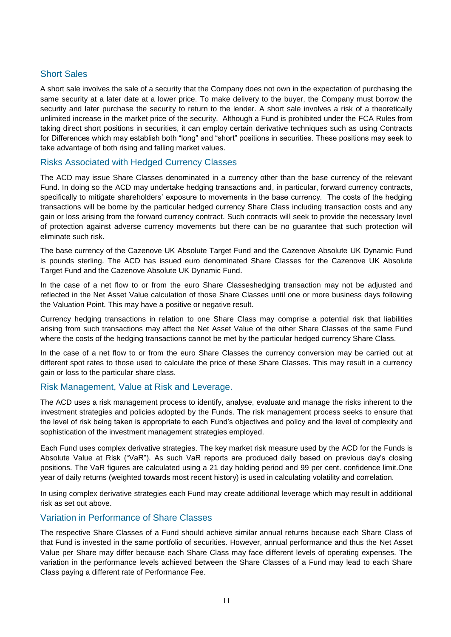# Short Sales

A short sale involves the sale of a security that the Company does not own in the expectation of purchasing the same security at a later date at a lower price. To make delivery to the buyer, the Company must borrow the security and later purchase the security to return to the lender. A short sale involves a risk of a theoretically unlimited increase in the market price of the security. Although a Fund is prohibited under the FCA Rules from taking direct short positions in securities, it can employ certain derivative techniques such as using Contracts for Differences which may establish both "long" and "short" positions in securities. These positions may seek to take advantage of both rising and falling market values.

# Risks Associated with Hedged Currency Classes

The ACD may issue Share Classes denominated in a currency other than the base currency of the relevant Fund. In doing so the ACD may undertake hedging transactions and, in particular, forward currency contracts, specifically to mitigate shareholders' exposure to movements in the base currency. The costs of the hedging transactions will be borne by the particular hedged currency Share Class including transaction costs and any gain or loss arising from the forward currency contract. Such contracts will seek to provide the necessary level of protection against adverse currency movements but there can be no guarantee that such protection will eliminate such risk.

The base currency of the Cazenove UK Absolute Target Fund and the Cazenove Absolute UK Dynamic Fund is pounds sterling. The ACD has issued euro denominated Share Classes for the Cazenove UK Absolute Target Fund and the Cazenove Absolute UK Dynamic Fund.

In the case of a net flow to or from the euro Share Classeshedging transaction may not be adjusted and reflected in the Net Asset Value calculation of those Share Classes until one or more business days following the Valuation Point. This may have a positive or negative result.

Currency hedging transactions in relation to one Share Class may comprise a potential risk that liabilities arising from such transactions may affect the Net Asset Value of the other Share Classes of the same Fund where the costs of the hedging transactions cannot be met by the particular hedged currency Share Class.

In the case of a net flow to or from the euro Share Classes the currency conversion may be carried out at different spot rates to those used to calculate the price of these Share Classes. This may result in a currency gain or loss to the particular share class.

# Risk Management, Value at Risk and Leverage.

The ACD uses a risk management process to identify, analyse, evaluate and manage the risks inherent to the investment strategies and policies adopted by the Funds. The risk management process seeks to ensure that the level of risk being taken is appropriate to each Fund's objectives and policy and the level of complexity and sophistication of the investment management strategies employed.

Each Fund uses complex derivative strategies. The key market risk measure used by the ACD for the Funds is Absolute Value at Risk ("VaR"). As such VaR reports are produced daily based on previous day's closing positions. The VaR figures are calculated using a 21 day holding period and 99 per cent. confidence limit.One year of daily returns (weighted towards most recent history) is used in calculating volatility and correlation.

In using complex derivative strategies each Fund may create additional leverage which may result in additional risk as set out above.

# Variation in Performance of Share Classes

The respective Share Classes of a Fund should achieve similar annual returns because each Share Class of that Fund is invested in the same portfolio of securities. However, annual performance and thus the Net Asset Value per Share may differ because each Share Class may face different levels of operating expenses. The variation in the performance levels achieved between the Share Classes of a Fund may lead to each Share Class paying a different rate of Performance Fee.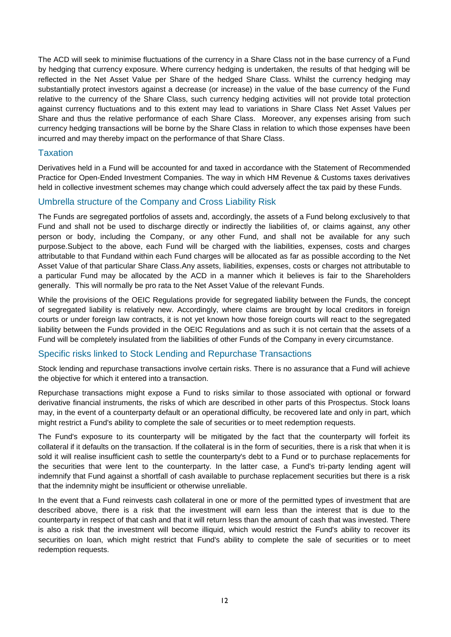The ACD will seek to minimise fluctuations of the currency in a Share Class not in the base currency of a Fund by hedging that currency exposure. Where currency hedging is undertaken, the results of that hedging will be reflected in the Net Asset Value per Share of the hedged Share Class. Whilst the currency hedging may substantially protect investors against a decrease (or increase) in the value of the base currency of the Fund relative to the currency of the Share Class, such currency hedging activities will not provide total protection against currency fluctuations and to this extent may lead to variations in Share Class Net Asset Values per Share and thus the relative performance of each Share Class. Moreover, any expenses arising from such currency hedging transactions will be borne by the Share Class in relation to which those expenses have been incurred and may thereby impact on the performance of that Share Class.

### **Taxation**

Derivatives held in a Fund will be accounted for and taxed in accordance with the Statement of Recommended Practice for Open-Ended Investment Companies. The way in which HM Revenue & Customs taxes derivatives held in collective investment schemes may change which could adversely affect the tax paid by these Funds.

# Umbrella structure of the Company and Cross Liability Risk

The Funds are segregated portfolios of assets and, accordingly, the assets of a Fund belong exclusively to that Fund and shall not be used to discharge directly or indirectly the liabilities of, or claims against, any other person or body, including the Company, or any other Fund, and shall not be available for any such purpose.Subject to the above, each Fund will be charged with the liabilities, expenses, costs and charges attributable to that Fundand within each Fund charges will be allocated as far as possible according to the Net Asset Value of that particular Share Class.Any assets, liabilities, expenses, costs or charges not attributable to a particular Fund may be allocated by the ACD in a manner which it believes is fair to the Shareholders generally. This will normally be pro rata to the Net Asset Value of the relevant Funds.

While the provisions of the OEIC Regulations provide for segregated liability between the Funds, the concept of segregated liability is relatively new. Accordingly, where claims are brought by local creditors in foreign courts or under foreign law contracts, it is not yet known how those foreign courts will react to the segregated liability between the Funds provided in the OEIC Regulations and as such it is not certain that the assets of a Fund will be completely insulated from the liabilities of other Funds of the Company in every circumstance.

# Specific risks linked to Stock Lending and Repurchase Transactions

Stock lending and repurchase transactions involve certain risks. There is no assurance that a Fund will achieve the objective for which it entered into a transaction.

Repurchase transactions might expose a Fund to risks similar to those associated with optional or forward derivative financial instruments, the risks of which are described in other parts of this Prospectus. Stock loans may, in the event of a counterparty default or an operational difficulty, be recovered late and only in part, which might restrict a Fund's ability to complete the sale of securities or to meet redemption requests.

The Fund's exposure to its counterparty will be mitigated by the fact that the counterparty will forfeit its collateral if it defaults on the transaction. If the collateral is in the form of securities, there is a risk that when it is sold it will realise insufficient cash to settle the counterparty's debt to a Fund or to purchase replacements for the securities that were lent to the counterparty. In the latter case, a Fund's tri-party lending agent will indemnify that Fund against a shortfall of cash available to purchase replacement securities but there is a risk that the indemnity might be insufficient or otherwise unreliable.

In the event that a Fund reinvests cash collateral in one or more of the permitted types of investment that are described above, there is a risk that the investment will earn less than the interest that is due to the counterparty in respect of that cash and that it will return less than the amount of cash that was invested. There is also a risk that the investment will become illiquid, which would restrict the Fund's ability to recover its securities on loan, which might restrict that Fund's ability to complete the sale of securities or to meet redemption requests.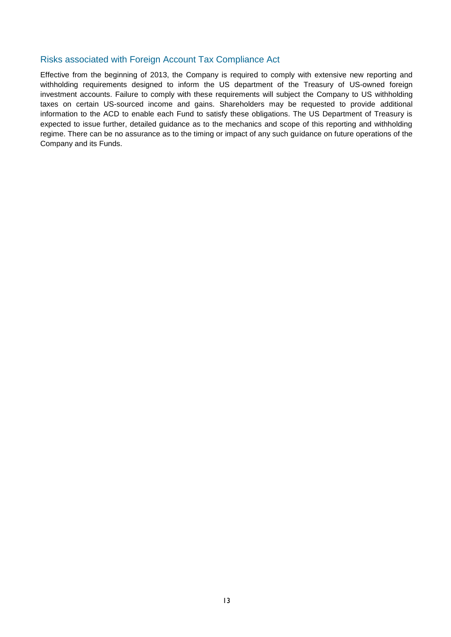# Risks associated with Foreign Account Tax Compliance Act

Effective from the beginning of 2013, the Company is required to comply with extensive new reporting and withholding requirements designed to inform the US department of the Treasury of US-owned foreign investment accounts. Failure to comply with these requirements will subject the Company to US withholding taxes on certain US-sourced income and gains. Shareholders may be requested to provide additional information to the ACD to enable each Fund to satisfy these obligations. The US Department of Treasury is expected to issue further, detailed guidance as to the mechanics and scope of this reporting and withholding regime. There can be no assurance as to the timing or impact of any such guidance on future operations of the Company and its Funds.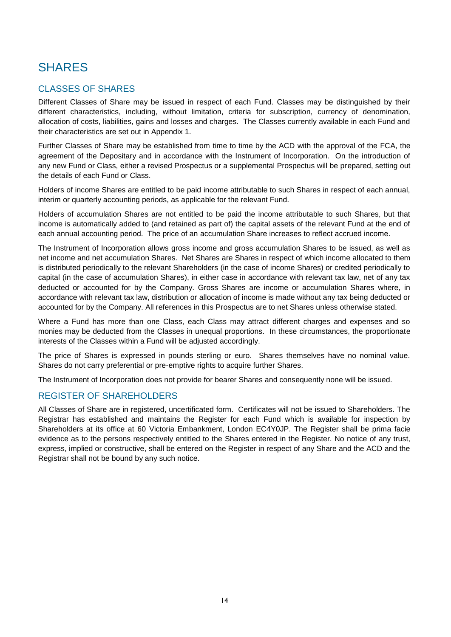# <span id="page-21-0"></span>SHARES

# <span id="page-21-1"></span>CLASSES OF SHARES

Different Classes of Share may be issued in respect of each Fund. Classes may be distinguished by their different characteristics, including, without limitation, criteria for subscription, currency of denomination, allocation of costs, liabilities, gains and losses and charges. The Classes currently available in each Fund and their characteristics are set out in Appendix 1.

Further Classes of Share may be established from time to time by the ACD with the approval of the FCA, the agreement of the Depositary and in accordance with the Instrument of Incorporation. On the introduction of any new Fund or Class, either a revised Prospectus or a supplemental Prospectus will be prepared, setting out the details of each Fund or Class.

Holders of income Shares are entitled to be paid income attributable to such Shares in respect of each annual, interim or quarterly accounting periods, as applicable for the relevant Fund.

Holders of accumulation Shares are not entitled to be paid the income attributable to such Shares, but that income is automatically added to (and retained as part of) the capital assets of the relevant Fund at the end of each annual accounting period. The price of an accumulation Share increases to reflect accrued income.

The Instrument of Incorporation allows gross income and gross accumulation Shares to be issued, as well as net income and net accumulation Shares. Net Shares are Shares in respect of which income allocated to them is distributed periodically to the relevant Shareholders (in the case of income Shares) or credited periodically to capital (in the case of accumulation Shares), in either case in accordance with relevant tax law, net of any tax deducted or accounted for by the Company. Gross Shares are income or accumulation Shares where, in accordance with relevant tax law, distribution or allocation of income is made without any tax being deducted or accounted for by the Company. All references in this Prospectus are to net Shares unless otherwise stated.

Where a Fund has more than one Class, each Class may attract different charges and expenses and so monies may be deducted from the Classes in unequal proportions. In these circumstances, the proportionate interests of the Classes within a Fund will be adjusted accordingly.

The price of Shares is expressed in pounds sterling or euro. Shares themselves have no nominal value. Shares do not carry preferential or pre-emptive rights to acquire further Shares.

The Instrument of Incorporation does not provide for bearer Shares and consequently none will be issued.

# <span id="page-21-2"></span>REGISTER OF SHAREHOLDERS

All Classes of Share are in registered, uncertificated form. Certificates will not be issued to Shareholders. The Registrar has established and maintains the Register for each Fund which is available for inspection by Shareholders at its office at 60 Victoria Embankment, London EC4Y0JP. The Register shall be prima facie evidence as to the persons respectively entitled to the Shares entered in the Register. No notice of any trust, express, implied or constructive, shall be entered on the Register in respect of any Share and the ACD and the Registrar shall not be bound by any such notice.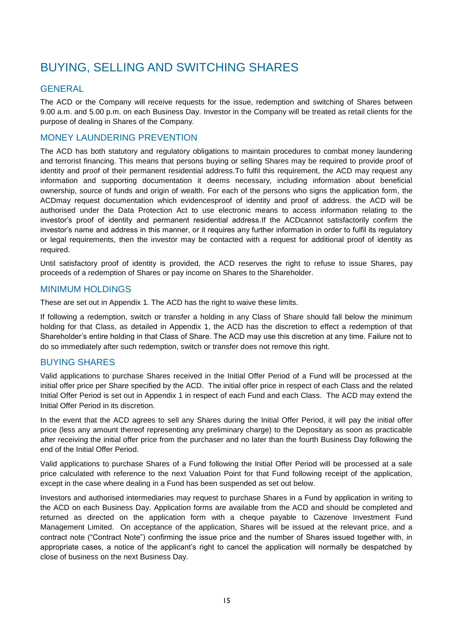# <span id="page-22-0"></span>BUYING, SELLING AND SWITCHING SHARES

# <span id="page-22-1"></span>**GENERAL**

The ACD or the Company will receive requests for the issue, redemption and switching of Shares between 9.00 a.m. and 5.00 p.m. on each Business Day. Investor in the Company will be treated as retail clients for the purpose of dealing in Shares of the Company.

# <span id="page-22-2"></span>MONEY LAUNDERING PREVENTION

The ACD has both statutory and regulatory obligations to maintain procedures to combat money laundering and terrorist financing. This means that persons buying or selling Shares may be required to provide proof of identity and proof of their permanent residential address.To fulfil this requirement, the ACD may request any information and supporting documentation it deems necessary, including information about beneficial ownership, source of funds and origin of wealth. For each of the persons who signs the application form, the ACDmay request documentation which evidencesproof of identity and proof of address. the ACD will be authorised under the Data Protection Act to use electronic means to access information relating to the investor's proof of identity and permanent residential address.If the ACDcannot satisfactorily confirm the investor's name and address in this manner, or it requires any further information in order to fulfil its regulatory or legal requirements, then the investor may be contacted with a request for additional proof of identity as required.

Until satisfactory proof of identity is provided, the ACD reserves the right to refuse to issue Shares, pay proceeds of a redemption of Shares or pay income on Shares to the Shareholder.

# <span id="page-22-3"></span>MINIMUM HOLDINGS

These are set out in Appendix 1. The ACD has the right to waive these limits.

If following a redemption, switch or transfer a holding in any Class of Share should fall below the minimum holding for that Class, as detailed in Appendix 1, the ACD has the discretion to effect a redemption of that Shareholder's entire holding in that Class of Share. The ACD may use this discretion at any time. Failure not to do so immediately after such redemption, switch or transfer does not remove this right.

# <span id="page-22-4"></span>BUYING SHARES

Valid applications to purchase Shares received in the Initial Offer Period of a Fund will be processed at the initial offer price per Share specified by the ACD. The initial offer price in respect of each Class and the related Initial Offer Period is set out in Appendix 1 in respect of each Fund and each Class. The ACD may extend the Initial Offer Period in its discretion.

In the event that the ACD agrees to sell any Shares during the Initial Offer Period, it will pay the initial offer price (less any amount thereof representing any preliminary charge) to the Depositary as soon as practicable after receiving the initial offer price from the purchaser and no later than the fourth Business Day following the end of the Initial Offer Period.

Valid applications to purchase Shares of a Fund following the Initial Offer Period will be processed at a sale price calculated with reference to the next Valuation Point for that Fund following receipt of the application, except in the case where dealing in a Fund has been suspended as set out below.

Investors and authorised intermediaries may request to purchase Shares in a Fund by application in writing to the ACD on each Business Day. Application forms are available from the ACD and should be completed and returned as directed on the application form with a cheque payable to Cazenove Investment Fund Management Limited. On acceptance of the application, Shares will be issued at the relevant price, and a contract note ("Contract Note") confirming the issue price and the number of Shares issued together with, in appropriate cases, a notice of the applicant's right to cancel the application will normally be despatched by close of business on the next Business Day.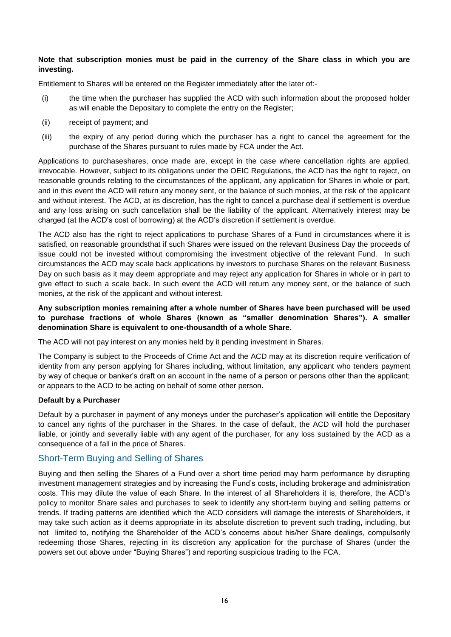#### **Note that subscription monies must be paid in the currency of the Share class in which you are investing.**

Entitlement to Shares will be entered on the Register immediately after the later of:-

- (i) the time when the purchaser has supplied the ACD with such information about the proposed holder as will enable the Depositary to complete the entry on the Register;
- (ii) receipt of payment; and
- (iii) the expiry of any period during which the purchaser has a right to cancel the agreement for the purchase of the Shares pursuant to rules made by FCA under the Act.

Applications to purchaseshares, once made are, except in the case where cancellation rights are applied, irrevocable. However, subject to its obligations under the OEIC Regulations, the ACD has the right to reject, on reasonable grounds relating to the circumstances of the applicant, any application for Shares in whole or part, and in this event the ACD will return any money sent, or the balance of such monies, at the risk of the applicant and without interest. The ACD, at its discretion, has the right to cancel a purchase deal if settlement is overdue and any loss arising on such cancellation shall be the liability of the applicant. Alternatively interest may be charged (at the ACD's cost of borrowing) at the ACD's discretion if settlement is overdue.

The ACD also has the right to reject applications to purchase Shares of a Fund in circumstances where it is satisfied, on reasonable groundsthat if such Shares were issued on the relevant Business Day the proceeds of issue could not be invested without compromising the investment objective of the relevant Fund. In such circumstances the ACD may scale back applications by investors to purchase Shares on the relevant Business Day on such basis as it may deem appropriate and may reject any application for Shares in whole or in part to give effect to such a scale back. In such event the ACD will return any money sent, or the balance of such monies, at the risk of the applicant and without interest.

### **Any subscription monies remaining after a whole number of Shares have been purchased will be used to purchase fractions of whole Shares (known as "smaller denomination Shares"). A smaller denomination Share is equivalent to one-thousandth of a whole Share.**

The ACD will not pay interest on any monies held by it pending investment in Shares.

The Company is subject to the Proceeds of Crime Act and the ACD may at its discretion require verification of identity from any person applying for Shares including, without limitation, any applicant who tenders payment by way of cheque or banker's draft on an account in the name of a person or persons other than the applicant; or appears to the ACD to be acting on behalf of some other person.

#### **Default by a Purchaser**

Default by a purchaser in payment of any moneys under the purchaser's application will entitle the Depositary to cancel any rights of the purchaser in the Shares. In the case of default, the ACD will hold the purchaser liable, or jointly and severally liable with any agent of the purchaser, for any loss sustained by the ACD as a consequence of a fall in the price of Shares.

#### Short-Term Buying and Selling of Shares

Buying and then selling the Shares of a Fund over a short time period may harm performance by disrupting investment management strategies and by increasing the Fund's costs, including brokerage and administration costs. This may dilute the value of each Share. In the interest of all Shareholders it is, therefore, the ACD's policy to monitor Share sales and purchases to seek to identify any short-term buying and selling patterns or trends. If trading patterns are identified which the ACD considers will damage the interests of Shareholders, it may take such action as it deems appropriate in its absolute discretion to prevent such trading, including, but not limited to, notifying the Shareholder of the ACD's concerns about his/her Share dealings, compulsorily redeeming those Shares, rejecting in its discretion any application for the purchase of Shares (under the powers set out above under "Buying Shares") and reporting suspicious trading to the FCA.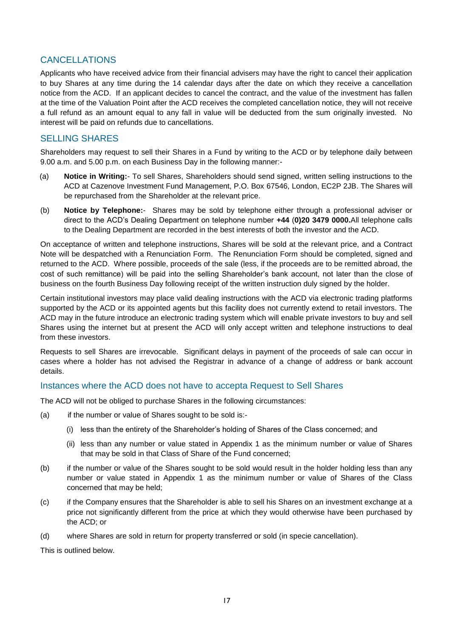# <span id="page-24-0"></span>CANCELLATIONS

Applicants who have received advice from their financial advisers may have the right to cancel their application to buy Shares at any time during the 14 calendar days after the date on which they receive a cancellation notice from the ACD. If an applicant decides to cancel the contract, and the value of the investment has fallen at the time of the Valuation Point after the ACD receives the completed cancellation notice, they will not receive a full refund as an amount equal to any fall in value will be deducted from the sum originally invested. No interest will be paid on refunds due to cancellations.

# <span id="page-24-1"></span>SELLING SHARES

Shareholders may request to sell their Shares in a Fund by writing to the ACD or by telephone daily between 9.00 a.m. and 5.00 p.m. on each Business Day in the following manner:-

- (a) **Notice in Writing:** To sell Shares, Shareholders should send signed, written selling instructions to the ACD at Cazenove Investment Fund Management, P.O. Box 67546, London, EC2P 2JB. The Shares will be repurchased from the Shareholder at the relevant price.
- (b) **Notice by Telephone:** Shares may be sold by telephone either through a professional adviser or direct to the ACD's Dealing Department on telephone number **+44** (**0)20 3479 0000.**All telephone calls to the Dealing Department are recorded in the best interests of both the investor and the ACD.

On acceptance of written and telephone instructions, Shares will be sold at the relevant price, and a Contract Note will be despatched with a Renunciation Form. The Renunciation Form should be completed, signed and returned to the ACD. Where possible, proceeds of the sale (less, if the proceeds are to be remitted abroad, the cost of such remittance) will be paid into the selling Shareholder's bank account, not later than the close of business on the fourth Business Day following receipt of the written instruction duly signed by the holder.

Certain institutional investors may place valid dealing instructions with the ACD via electronic trading platforms supported by the ACD or its appointed agents but this facility does not currently extend to retail investors. The ACD may in the future introduce an electronic trading system which will enable private investors to buy and sell Shares using the internet but at present the ACD will only accept written and telephone instructions to deal from these investors.

Requests to sell Shares are irrevocable. Significant delays in payment of the proceeds of sale can occur in cases where a holder has not advised the Registrar in advance of a change of address or bank account details.

# Instances where the ACD does not have to accepta Request to Sell Shares

The ACD will not be obliged to purchase Shares in the following circumstances:

- (a) if the number or value of Shares sought to be sold is:-
	- (i) less than the entirety of the Shareholder's holding of Shares of the Class concerned; and
	- (ii) less than any number or value stated in Appendix 1 as the minimum number or value of Shares that may be sold in that Class of Share of the Fund concerned;
- (b) if the number or value of the Shares sought to be sold would result in the holder holding less than any number or value stated in Appendix 1 as the minimum number or value of Shares of the Class concerned that may be held;
- (c) if the Company ensures that the Shareholder is able to sell his Shares on an investment exchange at a price not significantly different from the price at which they would otherwise have been purchased by the ACD; or
- (d) where Shares are sold in return for property transferred or sold (in specie cancellation).

This is outlined below.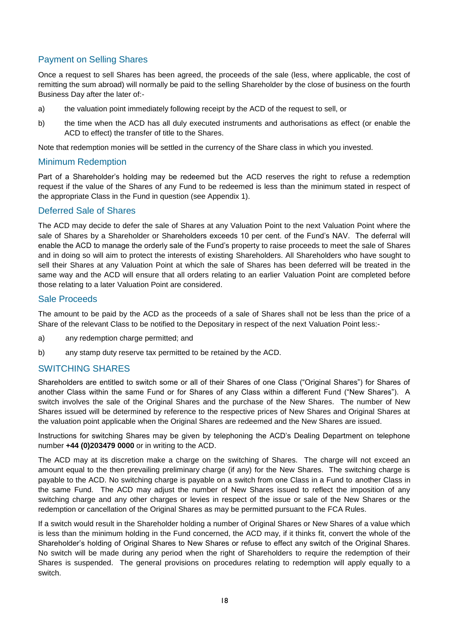# Payment on Selling Shares

Once a request to sell Shares has been agreed, the proceeds of the sale (less, where applicable, the cost of remitting the sum abroad) will normally be paid to the selling Shareholder by the close of business on the fourth Business Day after the later of:-

- a) the valuation point immediately following receipt by the ACD of the request to sell, or
- b) the time when the ACD has all duly executed instruments and authorisations as effect (or enable the ACD to effect) the transfer of title to the Shares.

Note that redemption monies will be settled in the currency of the Share class in which you invested.

#### Minimum Redemption

Part of a Shareholder's holding may be redeemed but the ACD reserves the right to refuse a redemption request if the value of the Shares of any Fund to be redeemed is less than the minimum stated in respect of the appropriate Class in the Fund in question (see Appendix 1).

#### Deferred Sale of Shares

The ACD may decide to defer the sale of Shares at any Valuation Point to the next Valuation Point where the sale of Shares by a Shareholder or Shareholders exceeds 10 per cent. of the Fund's NAV. The deferral will enable the ACD to manage the orderly sale of the Fund's property to raise proceeds to meet the sale of Shares and in doing so will aim to protect the interests of existing Shareholders. All Shareholders who have sought to sell their Shares at any Valuation Point at which the sale of Shares has been deferred will be treated in the same way and the ACD will ensure that all orders relating to an earlier Valuation Point are completed before those relating to a later Valuation Point are considered.

#### Sale Proceeds

The amount to be paid by the ACD as the proceeds of a sale of Shares shall not be less than the price of a Share of the relevant Class to be notified to the Depositary in respect of the next Valuation Point less:-

- a) any redemption charge permitted; and
- b) any stamp duty reserve tax permitted to be retained by the ACD.

# <span id="page-25-0"></span>SWITCHING SHARES

Shareholders are entitled to switch some or all of their Shares of one Class ("Original Shares") for Shares of another Class within the same Fund or for Shares of any Class within a different Fund ("New Shares"). A switch involves the sale of the Original Shares and the purchase of the New Shares. The number of New Shares issued will be determined by reference to the respective prices of New Shares and Original Shares at the valuation point applicable when the Original Shares are redeemed and the New Shares are issued.

Instructions for switching Shares may be given by telephoning the ACD's Dealing Department on telephone number **+44 (0)203479 0000** or in writing to the ACD.

The ACD may at its discretion make a charge on the switching of Shares. The charge will not exceed an amount equal to the then prevailing preliminary charge (if any) for the New Shares. The switching charge is payable to the ACD. No switching charge is payable on a switch from one Class in a Fund to another Class in the same Fund. The ACD may adjust the number of New Shares issued to reflect the imposition of any switching charge and any other charges or levies in respect of the issue or sale of the New Shares or the redemption or cancellation of the Original Shares as may be permitted pursuant to the FCA Rules.

If a switch would result in the Shareholder holding a number of Original Shares or New Shares of a value which is less than the minimum holding in the Fund concerned, the ACD may, if it thinks fit, convert the whole of the Shareholder's holding of Original Shares to New Shares or refuse to effect any switch of the Original Shares. No switch will be made during any period when the right of Shareholders to require the redemption of their Shares is suspended. The general provisions on procedures relating to redemption will apply equally to a switch.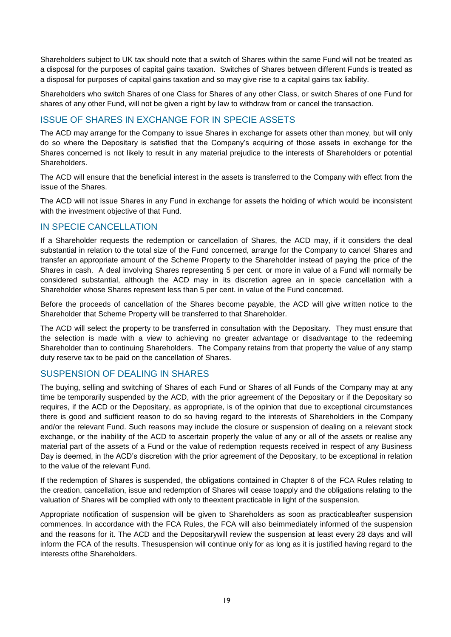Shareholders subject to UK tax should note that a switch of Shares within the same Fund will not be treated as a disposal for the purposes of capital gains taxation. Switches of Shares between different Funds is treated as a disposal for purposes of capital gains taxation and so may give rise to a capital gains tax liability.

Shareholders who switch Shares of one Class for Shares of any other Class, or switch Shares of one Fund for shares of any other Fund, will not be given a right by law to withdraw from or cancel the transaction.

# <span id="page-26-0"></span>ISSUE OF SHARES IN EXCHANGE FOR IN SPECIE ASSETS

The ACD may arrange for the Company to issue Shares in exchange for assets other than money, but will only do so where the Depositary is satisfied that the Company's acquiring of those assets in exchange for the Shares concerned is not likely to result in any material prejudice to the interests of Shareholders or potential Shareholders.

The ACD will ensure that the beneficial interest in the assets is transferred to the Company with effect from the issue of the Shares.

The ACD will not issue Shares in any Fund in exchange for assets the holding of which would be inconsistent with the investment objective of that Fund.

# <span id="page-26-1"></span>IN SPECIE CANCELLATION

If a Shareholder requests the redemption or cancellation of Shares, the ACD may, if it considers the deal substantial in relation to the total size of the Fund concerned, arrange for the Company to cancel Shares and transfer an appropriate amount of the Scheme Property to the Shareholder instead of paying the price of the Shares in cash. A deal involving Shares representing 5 per cent. or more in value of a Fund will normally be considered substantial, although the ACD may in its discretion agree an in specie cancellation with a Shareholder whose Shares represent less than 5 per cent. in value of the Fund concerned.

Before the proceeds of cancellation of the Shares become payable, the ACD will give written notice to the Shareholder that Scheme Property will be transferred to that Shareholder.

The ACD will select the property to be transferred in consultation with the Depositary. They must ensure that the selection is made with a view to achieving no greater advantage or disadvantage to the redeeming Shareholder than to continuing Shareholders. The Company retains from that property the value of any stamp duty reserve tax to be paid on the cancellation of Shares.

# <span id="page-26-2"></span>SUSPENSION OF DEALING IN SHARES

The buying, selling and switching of Shares of each Fund or Shares of all Funds of the Company may at any time be temporarily suspended by the ACD, with the prior agreement of the Depositary or if the Depositary so requires, if the ACD or the Depositary, as appropriate, is of the opinion that due to exceptional circumstances there is good and sufficient reason to do so having regard to the interests of Shareholders in the Company and/or the relevant Fund. Such reasons may include the closure or suspension of dealing on a relevant stock exchange, or the inability of the ACD to ascertain properly the value of any or all of the assets or realise any material part of the assets of a Fund or the value of redemption requests received in respect of any Business Day is deemed, in the ACD's discretion with the prior agreement of the Depositary, to be exceptional in relation to the value of the relevant Fund.

If the redemption of Shares is suspended, the obligations contained in Chapter 6 of the FCA Rules relating to the creation, cancellation, issue and redemption of Shares will cease toapply and the obligations relating to the valuation of Shares will be complied with only to theextent practicable in light of the suspension.

Appropriate notification of suspension will be given to Shareholders as soon as practicableafter suspension commences. In accordance with the FCA Rules, the FCA will also beimmediately informed of the suspension and the reasons for it. The ACD and the Depositarywill review the suspension at least every 28 days and will inform the FCA of the results. Thesuspension will continue only for as long as it is justified having regard to the interests ofthe Shareholders.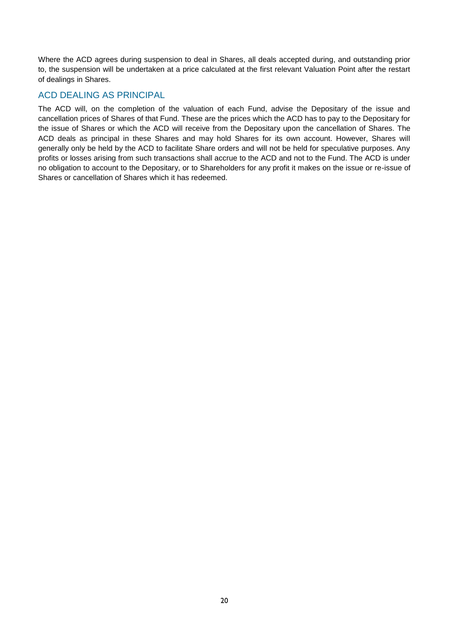Where the ACD agrees during suspension to deal in Shares, all deals accepted during, and outstanding prior to, the suspension will be undertaken at a price calculated at the first relevant Valuation Point after the restart of dealings in Shares.

# <span id="page-27-0"></span>ACD DEALING AS PRINCIPAL

The ACD will, on the completion of the valuation of each Fund, advise the Depositary of the issue and cancellation prices of Shares of that Fund. These are the prices which the ACD has to pay to the Depositary for the issue of Shares or which the ACD will receive from the Depositary upon the cancellation of Shares. The ACD deals as principal in these Shares and may hold Shares for its own account. However, Shares will generally only be held by the ACD to facilitate Share orders and will not be held for speculative purposes. Any profits or losses arising from such transactions shall accrue to the ACD and not to the Fund. The ACD is under no obligation to account to the Depositary, or to Shareholders for any profit it makes on the issue or re-issue of Shares or cancellation of Shares which it has redeemed.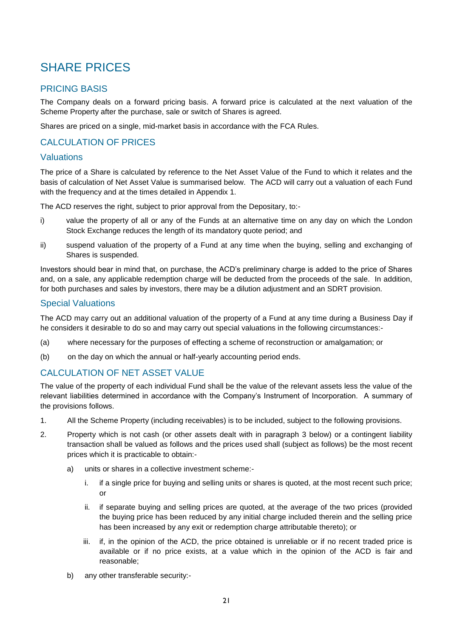# <span id="page-28-0"></span>SHARE PRICES

# <span id="page-28-1"></span>PRICING BASIS

The Company deals on a forward pricing basis. A forward price is calculated at the next valuation of the Scheme Property after the purchase, sale or switch of Shares is agreed.

Shares are priced on a single, mid-market basis in accordance with the FCA Rules.

# <span id="page-28-2"></span>CALCULATION OF PRICES

# Valuations

The price of a Share is calculated by reference to the Net Asset Value of the Fund to which it relates and the basis of calculation of Net Asset Value is summarised below. The ACD will carry out a valuation of each Fund with the frequency and at the times detailed in Appendix 1.

The ACD reserves the right, subject to prior approval from the Depositary, to:-

- i) value the property of all or any of the Funds at an alternative time on any day on which the London Stock Exchange reduces the length of its mandatory quote period; and
- ii) suspend valuation of the property of a Fund at any time when the buying, selling and exchanging of Shares is suspended.

Investors should bear in mind that, on purchase, the ACD's preliminary charge is added to the price of Shares and, on a sale, any applicable redemption charge will be deducted from the proceeds of the sale. In addition, for both purchases and sales by investors, there may be a dilution adjustment and an SDRT provision.

# Special Valuations

The ACD may carry out an additional valuation of the property of a Fund at any time during a Business Day if he considers it desirable to do so and may carry out special valuations in the following circumstances:-

- (a) where necessary for the purposes of effecting a scheme of reconstruction or amalgamation; or
- (b) on the day on which the annual or half-yearly accounting period ends.

# <span id="page-28-3"></span>CALCULATION OF NET ASSET VALUE

The value of the property of each individual Fund shall be the value of the relevant assets less the value of the relevant liabilities determined in accordance with the Company's Instrument of Incorporation. A summary of the provisions follows.

- 1. All the Scheme Property (including receivables) is to be included, subject to the following provisions.
- 2. Property which is not cash (or other assets dealt with in paragraph 3 below) or a contingent liability transaction shall be valued as follows and the prices used shall (subject as follows) be the most recent prices which it is practicable to obtain:
	- a) units or shares in a collective investment scheme:
		- i. if a single price for buying and selling units or shares is quoted, at the most recent such price; or
		- ii. if separate buying and selling prices are quoted, at the average of the two prices (provided the buying price has been reduced by any initial charge included therein and the selling price has been increased by any exit or redemption charge attributable thereto); or
		- iii. if, in the opinion of the ACD, the price obtained is unreliable or if no recent traded price is available or if no price exists, at a value which in the opinion of the ACD is fair and reasonable;
	- b) any other transferable security:-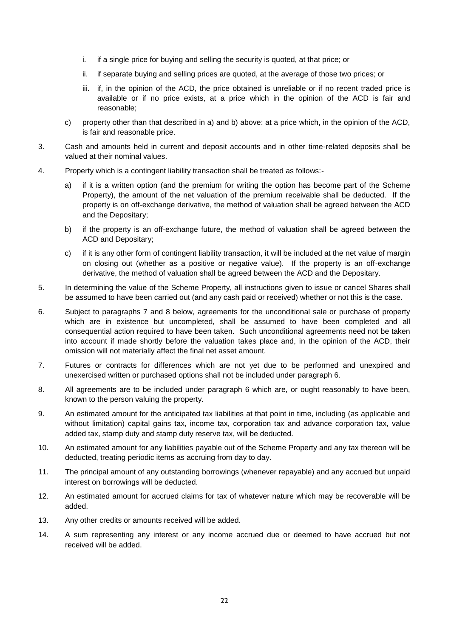- i. if a single price for buying and selling the security is quoted, at that price; or
- ii. if separate buying and selling prices are quoted, at the average of those two prices; or
- iii. if, in the opinion of the ACD, the price obtained is unreliable or if no recent traded price is available or if no price exists, at a price which in the opinion of the ACD is fair and reasonable;
- c) property other than that described in a) and b) above: at a price which, in the opinion of the ACD, is fair and reasonable price.
- 3. Cash and amounts held in current and deposit accounts and in other time-related deposits shall be valued at their nominal values.
- 4. Property which is a contingent liability transaction shall be treated as follows:
	- a) if it is a written option (and the premium for writing the option has become part of the Scheme Property), the amount of the net valuation of the premium receivable shall be deducted. If the property is on off-exchange derivative, the method of valuation shall be agreed between the ACD and the Depositary;
	- b) if the property is an off-exchange future, the method of valuation shall be agreed between the ACD and Depositary;
	- c) if it is any other form of contingent liability transaction, it will be included at the net value of margin on closing out (whether as a positive or negative value). If the property is an off-exchange derivative, the method of valuation shall be agreed between the ACD and the Depositary.
- 5. In determining the value of the Scheme Property, all instructions given to issue or cancel Shares shall be assumed to have been carried out (and any cash paid or received) whether or not this is the case.
- 6. Subject to paragraphs 7 and 8 below, agreements for the unconditional sale or purchase of property which are in existence but uncompleted, shall be assumed to have been completed and all consequential action required to have been taken. Such unconditional agreements need not be taken into account if made shortly before the valuation takes place and, in the opinion of the ACD, their omission will not materially affect the final net asset amount.
- 7. Futures or contracts for differences which are not yet due to be performed and unexpired and unexercised written or purchased options shall not be included under paragraph 6.
- 8. All agreements are to be included under paragraph 6 which are, or ought reasonably to have been, known to the person valuing the property.
- 9. An estimated amount for the anticipated tax liabilities at that point in time, including (as applicable and without limitation) capital gains tax, income tax, corporation tax and advance corporation tax, value added tax, stamp duty and stamp duty reserve tax, will be deducted.
- 10. An estimated amount for any liabilities payable out of the Scheme Property and any tax thereon will be deducted, treating periodic items as accruing from day to day.
- 11. The principal amount of any outstanding borrowings (whenever repayable) and any accrued but unpaid interest on borrowings will be deducted.
- 12. An estimated amount for accrued claims for tax of whatever nature which may be recoverable will be added.
- 13. Any other credits or amounts received will be added.
- 14. A sum representing any interest or any income accrued due or deemed to have accrued but not received will be added.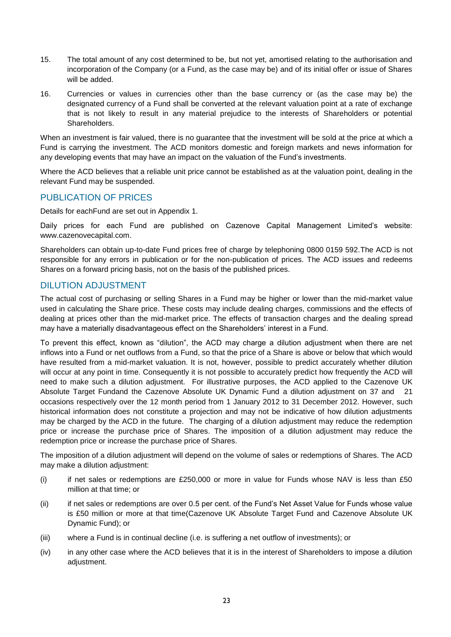- 15. The total amount of any cost determined to be, but not yet, amortised relating to the authorisation and incorporation of the Company (or a Fund, as the case may be) and of its initial offer or issue of Shares will be added.
- 16. Currencies or values in currencies other than the base currency or (as the case may be) the designated currency of a Fund shall be converted at the relevant valuation point at a rate of exchange that is not likely to result in any material prejudice to the interests of Shareholders or potential Shareholders.

When an investment is fair valued, there is no guarantee that the investment will be sold at the price at which a Fund is carrying the investment. The ACD monitors domestic and foreign markets and news information for any developing events that may have an impact on the valuation of the Fund's investments.

Where the ACD believes that a reliable unit price cannot be established as at the valuation point, dealing in the relevant Fund may be suspended.

# <span id="page-30-0"></span>PUBLICATION OF PRICES

Details for eachFund are set out in Appendix 1.

Daily prices for each Fund are published on Cazenove Capital Management Limited's website: www.cazenovecapital.com.

Shareholders can obtain up-to-date Fund prices free of charge by telephoning 0800 0159 592.The ACD is not responsible for any errors in publication or for the non-publication of prices. The ACD issues and redeems Shares on a forward pricing basis, not on the basis of the published prices.

# <span id="page-30-1"></span>DILUTION ADJUSTMENT

The actual cost of purchasing or selling Shares in a Fund may be higher or lower than the mid-market value used in calculating the Share price. These costs may include dealing charges, commissions and the effects of dealing at prices other than the mid-market price. The effects of transaction charges and the dealing spread may have a materially disadvantageous effect on the Shareholders' interest in a Fund.

To prevent this effect, known as "dilution", the ACD may charge a dilution adjustment when there are net inflows into a Fund or net outflows from a Fund, so that the price of a Share is above or below that which would have resulted from a mid-market valuation. It is not, however, possible to predict accurately whether dilution will occur at any point in time. Consequently it is not possible to accurately predict how frequently the ACD will need to make such a dilution adjustment. For illustrative purposes, the ACD applied to the Cazenove UK Absolute Target Fundand the Cazenove Absolute UK Dynamic Fund a dilution adjustment on 37 and 21 occasions respectively over the 12 month period from 1 January 2012 to 31 December 2012. However, such historical information does not constitute a projection and may not be indicative of how dilution adjustments may be charged by the ACD in the future. The charging of a dilution adjustment may reduce the redemption price or increase the purchase price of Shares. The imposition of a dilution adjustment may reduce the redemption price or increase the purchase price of Shares.

The imposition of a dilution adjustment will depend on the volume of sales or redemptions of Shares. The ACD may make a dilution adjustment:

- (i) if net sales or redemptions are  $£250,000$  or more in value for Funds whose NAV is less than  $£50$ million at that time; or
- (ii) if net sales or redemptions are over 0.5 per cent. of the Fund's Net Asset Value for Funds whose value is £50 million or more at that time(Cazenove UK Absolute Target Fund and Cazenove Absolute UK Dynamic Fund); or
- (iii) where a Fund is in continual decline (i.e. is suffering a net outflow of investments); or
- (iv) in any other case where the ACD believes that it is in the interest of Shareholders to impose a dilution adjustment.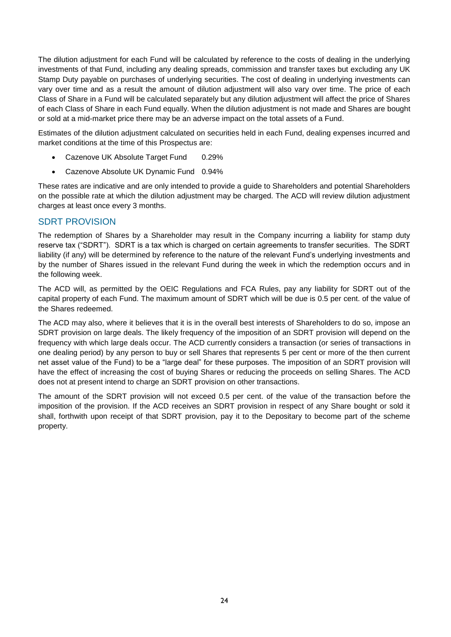The dilution adjustment for each Fund will be calculated by reference to the costs of dealing in the underlying investments of that Fund, including any dealing spreads, commission and transfer taxes but excluding any UK Stamp Duty payable on purchases of underlying securities. The cost of dealing in underlying investments can vary over time and as a result the amount of dilution adjustment will also vary over time. The price of each Class of Share in a Fund will be calculated separately but any dilution adjustment will affect the price of Shares of each Class of Share in each Fund equally. When the dilution adjustment is not made and Shares are bought or sold at a mid-market price there may be an adverse impact on the total assets of a Fund.

Estimates of the dilution adjustment calculated on securities held in each Fund, dealing expenses incurred and market conditions at the time of this Prospectus are:

- Cazenove UK Absolute Target Fund 0.29%
- Cazenove Absolute UK Dynamic Fund 0.94%

These rates are indicative and are only intended to provide a guide to Shareholders and potential Shareholders on the possible rate at which the dilution adjustment may be charged. The ACD will review dilution adjustment charges at least once every 3 months.

# <span id="page-31-0"></span>SDRT PROVISION

The redemption of Shares by a Shareholder may result in the Company incurring a liability for stamp duty reserve tax ("SDRT"). SDRT is a tax which is charged on certain agreements to transfer securities. The SDRT liability (if any) will be determined by reference to the nature of the relevant Fund's underlying investments and by the number of Shares issued in the relevant Fund during the week in which the redemption occurs and in the following week.

The ACD will, as permitted by the OEIC Regulations and FCA Rules, pay any liability for SDRT out of the capital property of each Fund. The maximum amount of SDRT which will be due is 0.5 per cent. of the value of the Shares redeemed.

The ACD may also, where it believes that it is in the overall best interests of Shareholders to do so, impose an SDRT provision on large deals. The likely frequency of the imposition of an SDRT provision will depend on the frequency with which large deals occur. The ACD currently considers a transaction (or series of transactions in one dealing period) by any person to buy or sell Shares that represents 5 per cent or more of the then current net asset value of the Fund) to be a "large deal" for these purposes. The imposition of an SDRT provision will have the effect of increasing the cost of buying Shares or reducing the proceeds on selling Shares. The ACD does not at present intend to charge an SDRT provision on other transactions.

The amount of the SDRT provision will not exceed 0.5 per cent. of the value of the transaction before the imposition of the provision. If the ACD receives an SDRT provision in respect of any Share bought or sold it shall, forthwith upon receipt of that SDRT provision, pay it to the Depositary to become part of the scheme property.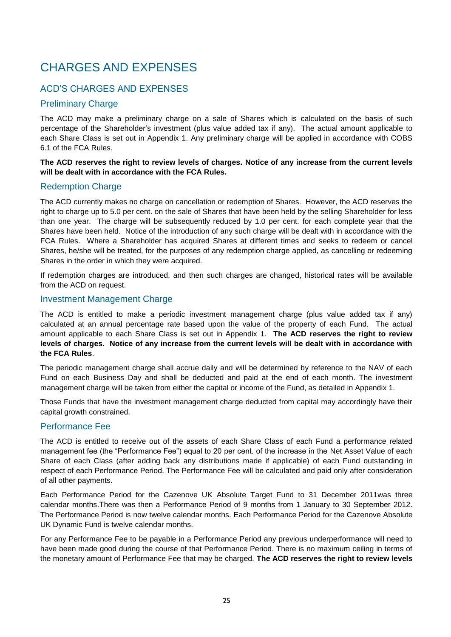# <span id="page-32-0"></span>CHARGES AND EXPENSES

# <span id="page-32-1"></span>ACD'S CHARGES AND EXPENSES

# Preliminary Charge

The ACD may make a preliminary charge on a sale of Shares which is calculated on the basis of such percentage of the Shareholder's investment (plus value added tax if any). The actual amount applicable to each Share Class is set out in Appendix 1. Any preliminary charge will be applied in accordance with COBS 6.1 of the FCA Rules.

#### **The ACD reserves the right to review levels of charges. Notice of any increase from the current levels will be dealt with in accordance with the FCA Rules.**

# Redemption Charge

The ACD currently makes no charge on cancellation or redemption of Shares. However, the ACD reserves the right to charge up to 5.0 per cent. on the sale of Shares that have been held by the selling Shareholder for less than one year. The charge will be subsequently reduced by 1.0 per cent. for each complete year that the Shares have been held. Notice of the introduction of any such charge will be dealt with in accordance with the FCA Rules. Where a Shareholder has acquired Shares at different times and seeks to redeem or cancel Shares, he/she will be treated, for the purposes of any redemption charge applied, as cancelling or redeeming Shares in the order in which they were acquired.

If redemption charges are introduced, and then such charges are changed, historical rates will be available from the ACD on request.

#### Investment Management Charge

The ACD is entitled to make a periodic investment management charge (plus value added tax if any) calculated at an annual percentage rate based upon the value of the property of each Fund. The actual amount applicable to each Share Class is set out in Appendix 1. **The ACD reserves the right to review levels of charges. Notice of any increase from the current levels will be dealt with in accordance with the FCA Rules**.

The periodic management charge shall accrue daily and will be determined by reference to the NAV of each Fund on each Business Day and shall be deducted and paid at the end of each month. The investment management charge will be taken from either the capital or income of the Fund, as detailed in Appendix 1.

Those Funds that have the investment management charge deducted from capital may accordingly have their capital growth constrained.

# Performance Fee

The ACD is entitled to receive out of the assets of each Share Class of each Fund a performance related management fee (the "Performance Fee") equal to 20 per cent. of the increase in the Net Asset Value of each Share of each Class (after adding back any distributions made if applicable) of each Fund outstanding in respect of each Performance Period. The Performance Fee will be calculated and paid only after consideration of all other payments.

Each Performance Period for the Cazenove UK Absolute Target Fund to 31 December 2011was three calendar months.There was then a Performance Period of 9 months from 1 January to 30 September 2012. The Performance Period is now twelve calendar months. Each Performance Period for the Cazenove Absolute UK Dynamic Fund is twelve calendar months.

For any Performance Fee to be payable in a Performance Period any previous underperformance will need to have been made good during the course of that Performance Period. There is no maximum ceiling in terms of the monetary amount of Performance Fee that may be charged. **The ACD reserves the right to review levels**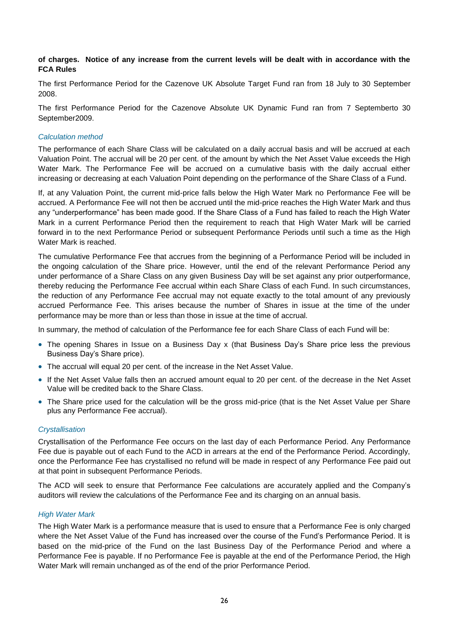#### **of charges. Notice of any increase from the current levels will be dealt with in accordance with the FCA Rules**

The first Performance Period for the Cazenove UK Absolute Target Fund ran from 18 July to 30 September 2008.

The first Performance Period for the Cazenove Absolute UK Dynamic Fund ran from 7 Septemberto 30 September2009.

#### *Calculation method*

The performance of each Share Class will be calculated on a daily accrual basis and will be accrued at each Valuation Point. The accrual will be 20 per cent. of the amount by which the Net Asset Value exceeds the High Water Mark. The Performance Fee will be accrued on a cumulative basis with the daily accrual either increasing or decreasing at each Valuation Point depending on the performance of the Share Class of a Fund.

If, at any Valuation Point, the current mid-price falls below the High Water Mark no Performance Fee will be accrued. A Performance Fee will not then be accrued until the mid-price reaches the High Water Mark and thus any "underperformance" has been made good. If the Share Class of a Fund has failed to reach the High Water Mark in a current Performance Period then the requirement to reach that High Water Mark will be carried forward in to the next Performance Period or subsequent Performance Periods until such a time as the High Water Mark is reached.

The cumulative Performance Fee that accrues from the beginning of a Performance Period will be included in the ongoing calculation of the Share price. However, until the end of the relevant Performance Period any under performance of a Share Class on any given Business Day will be set against any prior outperformance, thereby reducing the Performance Fee accrual within each Share Class of each Fund. In such circumstances, the reduction of any Performance Fee accrual may not equate exactly to the total amount of any previously accrued Performance Fee. This arises because the number of Shares in issue at the time of the under performance may be more than or less than those in issue at the time of accrual.

In summary, the method of calculation of the Performance fee for each Share Class of each Fund will be:

- The opening Shares in Issue on a Business Day x (that Business Day's Share price less the previous Business Day's Share price).
- The accrual will equal 20 per cent. of the increase in the Net Asset Value.
- If the Net Asset Value falls then an accrued amount equal to 20 per cent. of the decrease in the Net Asset Value will be credited back to the Share Class.
- The Share price used for the calculation will be the gross mid-price (that is the Net Asset Value per Share plus any Performance Fee accrual).

#### *Crystallisation*

Crystallisation of the Performance Fee occurs on the last day of each Performance Period. Any Performance Fee due is payable out of each Fund to the ACD in arrears at the end of the Performance Period. Accordingly, once the Performance Fee has crystallised no refund will be made in respect of any Performance Fee paid out at that point in subsequent Performance Periods.

The ACD will seek to ensure that Performance Fee calculations are accurately applied and the Company's auditors will review the calculations of the Performance Fee and its charging on an annual basis.

#### *High Water Mark*

The High Water Mark is a performance measure that is used to ensure that a Performance Fee is only charged where the Net Asset Value of the Fund has increased over the course of the Fund's Performance Period. It is based on the mid-price of the Fund on the last Business Day of the Performance Period and where a Performance Fee is payable. If no Performance Fee is payable at the end of the Performance Period, the High Water Mark will remain unchanged as of the end of the prior Performance Period.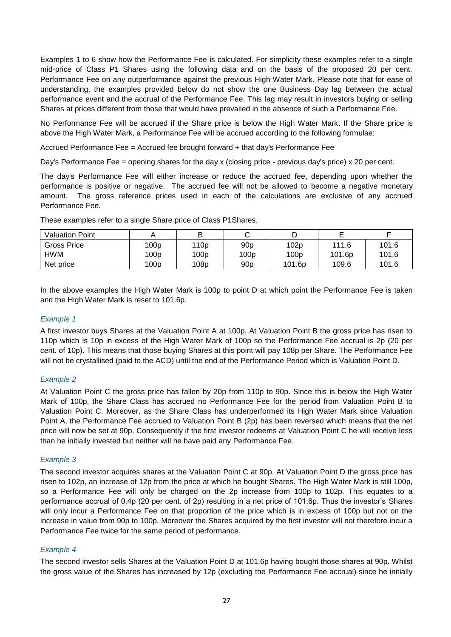Examples 1 to 6 show how the Performance Fee is calculated. For simplicity these examples refer to a single mid-price of Class P1 Shares using the following data and on the basis of the proposed 20 per cent. Performance Fee on any outperformance against the previous High Water Mark. Please note that for ease of understanding, the examples provided below do not show the one Business Day lag between the actual performance event and the accrual of the Performance Fee. This lag may result in investors buying or selling Shares at prices different from those that would have prevailed in the absence of such a Performance Fee.

No Performance Fee will be accrued if the Share price is below the High Water Mark. If the Share price is above the High Water Mark, a Performance Fee will be accrued according to the following formulae:

Accrued Performance Fee = Accrued fee brought forward + that day's Performance Fee

Day's Performance Fee = opening shares for the day x (closing price - previous day's price) x 20 per cent.

The day's Performance Fee will either increase or reduce the accrued fee, depending upon whether the performance is positive or negative. The accrued fee will not be allowed to become a negative monetary amount. The gross reference prices used in each of the calculations are exclusive of any accrued Performance Fee.

| <b>Valuation Point</b> |                  | B                |                 |                    |        |       |
|------------------------|------------------|------------------|-----------------|--------------------|--------|-------|
| Gross Price            | 100 <sub>p</sub> | 110 <sub>p</sub> | 90 <sub>p</sub> | 102p               | 111.6  | 101.6 |
| <b>HWM</b>             | 100p             | 100 <sub>p</sub> | 100p            | 100p               | 101.6p | 101.6 |
| Net price              | 100 <sub>p</sub> | 108 <sub>p</sub> | 90 <sub>D</sub> | 101.6 <sub>p</sub> | 109.6  | 101.6 |

These examples refer to a single Share price of Class P1Shares.

In the above examples the High Water Mark is 100p to point D at which point the Performance Fee is taken and the High Water Mark is reset to 101.6p.

#### *Example 1*

A first investor buys Shares at the Valuation Point A at 100p. At Valuation Point B the gross price has risen to 110p which is 10p in excess of the High Water Mark of 100p so the Performance Fee accrual is 2p (20 per cent. of 10p). This means that those buying Shares at this point will pay 108p per Share. The Performance Fee will not be crystallised (paid to the ACD) until the end of the Performance Period which is Valuation Point D.

#### *Example 2*

At Valuation Point C the gross price has fallen by 20p from 110p to 90p. Since this is below the High Water Mark of 100p, the Share Class has accrued no Performance Fee for the period from Valuation Point B to Valuation Point C. Moreover, as the Share Class has underperformed its High Water Mark since Valuation Point A, the Performance Fee accrued to Valuation Point B (2p) has been reversed which means that the net price will now be set at 90p. Consequently if the first investor redeems at Valuation Point C he will receive less than he initially invested but neither will he have paid any Performance Fee.

#### *Example 3*

The second investor acquires shares at the Valuation Point C at 90p. At Valuation Point D the gross price has risen to 102p, an increase of 12p from the price at which he bought Shares. The High Water Mark is still 100p, so a Performance Fee will only be charged on the 2p increase from 100p to 102p. This equates to a performance accrual of 0.4p (20 per cent. of 2p) resulting in a net price of 101.6p. Thus the investor's Shares will only incur a Performance Fee on that proportion of the price which is in excess of 100p but not on the increase in value from 90p to 100p. Moreover the Shares acquired by the first investor will not therefore incur a Performance Fee twice for the same period of performance.

#### *Example 4*

The second investor sells Shares at the Valuation Point D at 101.6p having bought those shares at 90p. Whilst the gross value of the Shares has increased by 12p (excluding the Performance Fee accrual) since he initially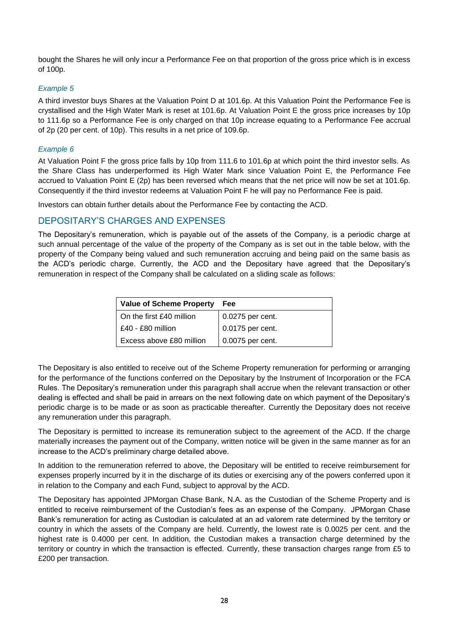bought the Shares he will only incur a Performance Fee on that proportion of the gross price which is in excess of 100p.

#### *Example 5*

A third investor buys Shares at the Valuation Point D at 101.6p. At this Valuation Point the Performance Fee is crystallised and the High Water Mark is reset at 101.6p. At Valuation Point E the gross price increases by 10p to 111.6p so a Performance Fee is only charged on that 10p increase equating to a Performance Fee accrual of 2p (20 per cent. of 10p). This results in a net price of 109.6p.

#### *Example 6*

At Valuation Point F the gross price falls by 10p from 111.6 to 101.6p at which point the third investor sells. As the Share Class has underperformed its High Water Mark since Valuation Point E, the Performance Fee accrued to Valuation Point E (2p) has been reversed which means that the net price will now be set at 101.6p. Consequently if the third investor redeems at Valuation Point F he will pay no Performance Fee is paid.

Investors can obtain further details about the Performance Fee by contacting the ACD.

# <span id="page-35-0"></span>DEPOSITARY'S CHARGES AND EXPENSES

The Depositary's remuneration, which is payable out of the assets of the Company, is a periodic charge at such annual percentage of the value of the property of the Company as is set out in the table below, with the property of the Company being valued and such remuneration accruing and being paid on the same basis as the ACD's periodic charge. Currently, the ACD and the Depositary have agreed that the Depositary's remuneration in respect of the Company shall be calculated on a sliding scale as follows:

| <b>Value of Scheme Property</b> | Fee              |
|---------------------------------|------------------|
| On the first £40 million        | 0.0275 per cent. |
| £40 - £80 million               | 0.0175 per cent. |
| Excess above £80 million        | 0.0075 per cent. |

The Depositary is also entitled to receive out of the Scheme Property remuneration for performing or arranging for the performance of the functions conferred on the Depositary by the Instrument of Incorporation or the FCA Rules. The Depositary's remuneration under this paragraph shall accrue when the relevant transaction or other dealing is effected and shall be paid in arrears on the next following date on which payment of the Depositary's periodic charge is to be made or as soon as practicable thereafter. Currently the Depositary does not receive any remuneration under this paragraph.

The Depositary is permitted to increase its remuneration subject to the agreement of the ACD. If the charge materially increases the payment out of the Company, written notice will be given in the same manner as for an increase to the ACD's preliminary charge detailed above.

In addition to the remuneration referred to above, the Depositary will be entitled to receive reimbursement for expenses properly incurred by it in the discharge of its duties or exercising any of the powers conferred upon it in relation to the Company and each Fund, subject to approval by the ACD.

The Depositary has appointed JPMorgan Chase Bank, N.A. as the Custodian of the Scheme Property and is entitled to receive reimbursement of the Custodian's fees as an expense of the Company. JPMorgan Chase Bank's remuneration for acting as Custodian is calculated at an ad valorem rate determined by the territory or country in which the assets of the Company are held. Currently, the lowest rate is 0.0025 per cent. and the highest rate is 0.4000 per cent. In addition, the Custodian makes a transaction charge determined by the territory or country in which the transaction is effected. Currently, these transaction charges range from £5 to £200 per transaction.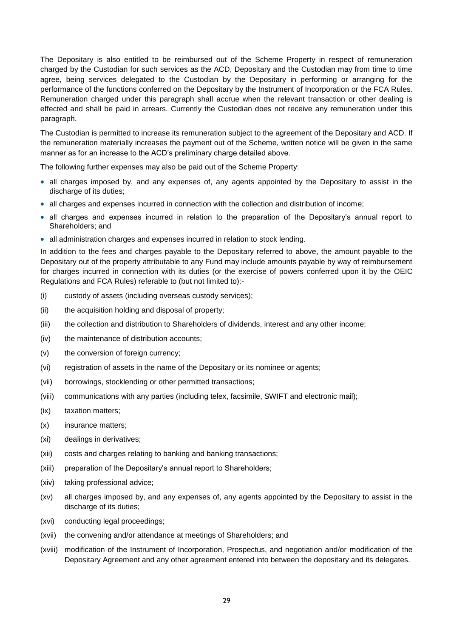The Depositary is also entitled to be reimbursed out of the Scheme Property in respect of remuneration charged by the Custodian for such services as the ACD, Depositary and the Custodian may from time to time agree, being services delegated to the Custodian by the Depositary in performing or arranging for the performance of the functions conferred on the Depositary by the Instrument of Incorporation or the FCA Rules. Remuneration charged under this paragraph shall accrue when the relevant transaction or other dealing is effected and shall be paid in arrears. Currently the Custodian does not receive any remuneration under this paragraph.

The Custodian is permitted to increase its remuneration subject to the agreement of the Depositary and ACD. If the remuneration materially increases the payment out of the Scheme, written notice will be given in the same manner as for an increase to the ACD's preliminary charge detailed above.

The following further expenses may also be paid out of the Scheme Property:

- all charges imposed by, and any expenses of, any agents appointed by the Depositary to assist in the discharge of its duties;
- all charges and expenses incurred in connection with the collection and distribution of income;
- all charges and expenses incurred in relation to the preparation of the Depositary's annual report to Shareholders; and
- all administration charges and expenses incurred in relation to stock lending.

In addition to the fees and charges payable to the Depositary referred to above, the amount payable to the Depositary out of the property attributable to any Fund may include amounts payable by way of reimbursement for charges incurred in connection with its duties (or the exercise of powers conferred upon it by the OEIC Regulations and FCA Rules) referable to (but not limited to):-

- (i) custody of assets (including overseas custody services);
- (ii) the acquisition holding and disposal of property;
- (iii) the collection and distribution to Shareholders of dividends, interest and any other income;
- (iv) the maintenance of distribution accounts;
- (v) the conversion of foreign currency;
- (vi) registration of assets in the name of the Depositary or its nominee or agents;
- (vii) borrowings, stocklending or other permitted transactions;
- (viii) communications with any parties (including telex, facsimile, SWIFT and electronic mail);
- (ix) taxation matters;
- (x) insurance matters;
- (xi) dealings in derivatives;
- (xii) costs and charges relating to banking and banking transactions;
- (xiii) preparation of the Depositary's annual report to Shareholders;
- (xiv) taking professional advice;
- (xv) all charges imposed by, and any expenses of, any agents appointed by the Depositary to assist in the discharge of its duties;
- (xvi) conducting legal proceedings;
- (xvii) the convening and/or attendance at meetings of Shareholders; and
- (xviii) modification of the Instrument of Incorporation, Prospectus, and negotiation and/or modification of the Depositary Agreement and any other agreement entered into between the depositary and its delegates.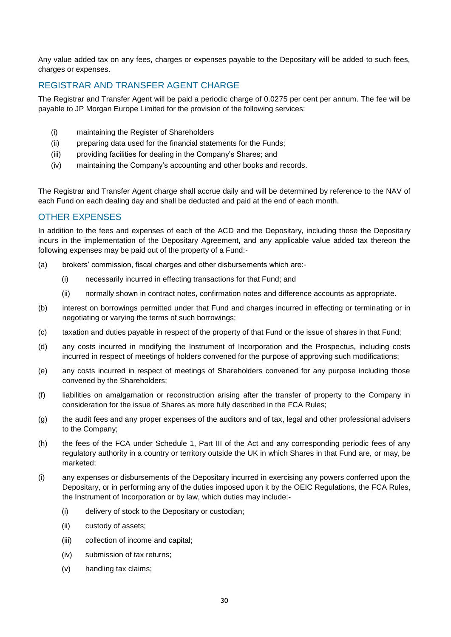Any value added tax on any fees, charges or expenses payable to the Depositary will be added to such fees, charges or expenses.

# <span id="page-37-0"></span>REGISTRAR AND TRANSFER AGENT CHARGE

The Registrar and Transfer Agent will be paid a periodic charge of 0.0275 per cent per annum. The fee will be payable to JP Morgan Europe Limited for the provision of the following services:

- (i) maintaining the Register of Shareholders
- (ii) preparing data used for the financial statements for the Funds;
- (iii) providing facilities for dealing in the Company's Shares; and
- (iv) maintaining the Company's accounting and other books and records.

The Registrar and Transfer Agent charge shall accrue daily and will be determined by reference to the NAV of each Fund on each dealing day and shall be deducted and paid at the end of each month.

# <span id="page-37-1"></span>OTHER EXPENSES

In addition to the fees and expenses of each of the ACD and the Depositary, including those the Depositary incurs in the implementation of the Depositary Agreement, and any applicable value added tax thereon the following expenses may be paid out of the property of a Fund:-

- (a) brokers' commission, fiscal charges and other disbursements which are:-
	- (i) necessarily incurred in effecting transactions for that Fund; and
	- (ii) normally shown in contract notes, confirmation notes and difference accounts as appropriate.
- (b) interest on borrowings permitted under that Fund and charges incurred in effecting or terminating or in negotiating or varying the terms of such borrowings;
- (c) taxation and duties payable in respect of the property of that Fund or the issue of shares in that Fund;
- (d) any costs incurred in modifying the Instrument of Incorporation and the Prospectus, including costs incurred in respect of meetings of holders convened for the purpose of approving such modifications;
- (e) any costs incurred in respect of meetings of Shareholders convened for any purpose including those convened by the Shareholders;
- (f) liabilities on amalgamation or reconstruction arising after the transfer of property to the Company in consideration for the issue of Shares as more fully described in the FCA Rules;
- (g) the audit fees and any proper expenses of the auditors and of tax, legal and other professional advisers to the Company;
- (h) the fees of the FCA under Schedule 1, Part III of the Act and any corresponding periodic fees of any regulatory authority in a country or territory outside the UK in which Shares in that Fund are, or may, be marketed;
- (i) any expenses or disbursements of the Depositary incurred in exercising any powers conferred upon the Depositary, or in performing any of the duties imposed upon it by the OEIC Regulations, the FCA Rules, the Instrument of Incorporation or by law, which duties may include:-
	- (i) delivery of stock to the Depositary or custodian;
	- (ii) custody of assets;
	- (iii) collection of income and capital;
	- (iv) submission of tax returns;
	- (v) handling tax claims;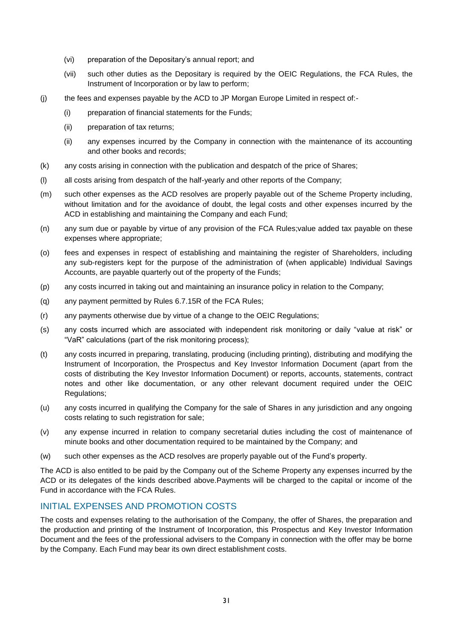- (vi) preparation of the Depositary's annual report; and
- (vii) such other duties as the Depositary is required by the OEIC Regulations, the FCA Rules, the Instrument of Incorporation or by law to perform;
- (j) the fees and expenses payable by the ACD to JP Morgan Europe Limited in respect of:-
	- (i) preparation of financial statements for the Funds;
	- (ii) preparation of tax returns;
	- (ii) any expenses incurred by the Company in connection with the maintenance of its accounting and other books and records;
- (k) any costs arising in connection with the publication and despatch of the price of Shares;
- (l) all costs arising from despatch of the half-yearly and other reports of the Company;
- (m) such other expenses as the ACD resolves are properly payable out of the Scheme Property including, without limitation and for the avoidance of doubt, the legal costs and other expenses incurred by the ACD in establishing and maintaining the Company and each Fund;
- (n) any sum due or payable by virtue of any provision of the FCA Rules;value added tax payable on these expenses where appropriate;
- (o) fees and expenses in respect of establishing and maintaining the register of Shareholders, including any sub-registers kept for the purpose of the administration of (when applicable) Individual Savings Accounts, are payable quarterly out of the property of the Funds;
- (p) any costs incurred in taking out and maintaining an insurance policy in relation to the Company;
- (q) any payment permitted by Rules 6.7.15R of the FCA Rules;
- (r) any payments otherwise due by virtue of a change to the OEIC Regulations;
- (s) any costs incurred which are associated with independent risk monitoring or daily "value at risk" or "VaR" calculations (part of the risk monitoring process);
- (t) any costs incurred in preparing, translating, producing (including printing), distributing and modifying the Instrument of Incorporation, the Prospectus and Key Investor Information Document (apart from the costs of distributing the Key Investor Information Document) or reports, accounts, statements, contract notes and other like documentation, or any other relevant document required under the OEIC Regulations;
- (u) any costs incurred in qualifying the Company for the sale of Shares in any jurisdiction and any ongoing costs relating to such registration for sale;
- (v) any expense incurred in relation to company secretarial duties including the cost of maintenance of minute books and other documentation required to be maintained by the Company; and
- (w) such other expenses as the ACD resolves are properly payable out of the Fund's property.

The ACD is also entitled to be paid by the Company out of the Scheme Property any expenses incurred by the ACD or its delegates of the kinds described above.Payments will be charged to the capital or income of the Fund in accordance with the FCA Rules.

# <span id="page-38-0"></span>INITIAL EXPENSES AND PROMOTION COSTS

The costs and expenses relating to the authorisation of the Company, the offer of Shares, the preparation and the production and printing of the Instrument of Incorporation, this Prospectus and Key Investor Information Document and the fees of the professional advisers to the Company in connection with the offer may be borne by the Company. Each Fund may bear its own direct establishment costs.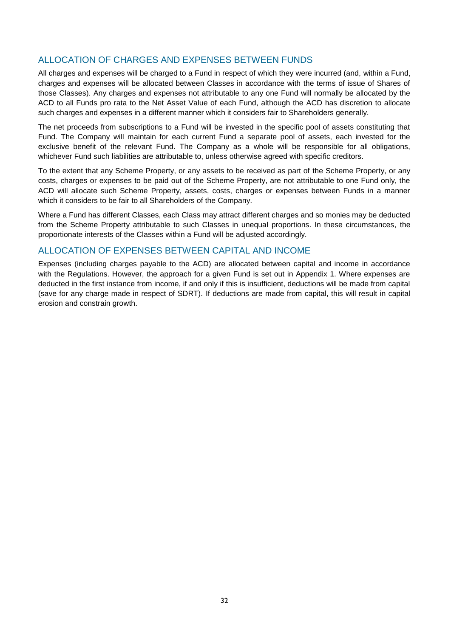# <span id="page-39-0"></span>ALLOCATION OF CHARGES AND EXPENSES BETWEEN FUNDS

All charges and expenses will be charged to a Fund in respect of which they were incurred (and, within a Fund, charges and expenses will be allocated between Classes in accordance with the terms of issue of Shares of those Classes). Any charges and expenses not attributable to any one Fund will normally be allocated by the ACD to all Funds pro rata to the Net Asset Value of each Fund, although the ACD has discretion to allocate such charges and expenses in a different manner which it considers fair to Shareholders generally.

The net proceeds from subscriptions to a Fund will be invested in the specific pool of assets constituting that Fund. The Company will maintain for each current Fund a separate pool of assets, each invested for the exclusive benefit of the relevant Fund. The Company as a whole will be responsible for all obligations, whichever Fund such liabilities are attributable to, unless otherwise agreed with specific creditors.

To the extent that any Scheme Property, or any assets to be received as part of the Scheme Property, or any costs, charges or expenses to be paid out of the Scheme Property, are not attributable to one Fund only, the ACD will allocate such Scheme Property, assets, costs, charges or expenses between Funds in a manner which it considers to be fair to all Shareholders of the Company.

Where a Fund has different Classes, each Class may attract different charges and so monies may be deducted from the Scheme Property attributable to such Classes in unequal proportions. In these circumstances, the proportionate interests of the Classes within a Fund will be adjusted accordingly.

# <span id="page-39-1"></span>ALLOCATION OF EXPENSES BETWEEN CAPITAL AND INCOME

Expenses (including charges payable to the ACD) are allocated between capital and income in accordance with the Regulations. However, the approach for a given Fund is set out in Appendix 1. Where expenses are deducted in the first instance from income, if and only if this is insufficient, deductions will be made from capital (save for any charge made in respect of SDRT). If deductions are made from capital, this will result in capital erosion and constrain growth.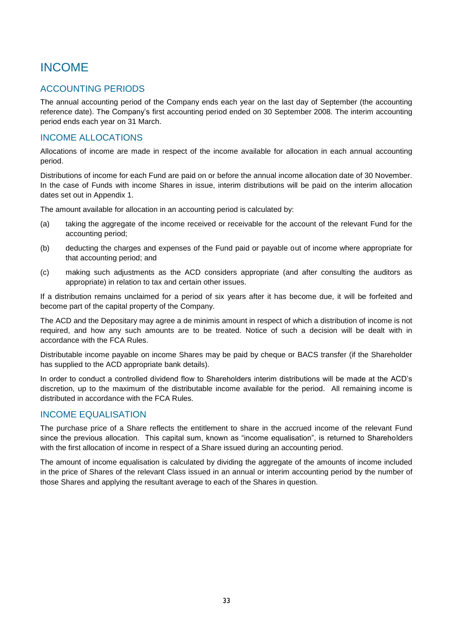# <span id="page-40-0"></span>INCOME

# <span id="page-40-1"></span>ACCOUNTING PERIODS

The annual accounting period of the Company ends each year on the last day of September (the accounting reference date). The Company's first accounting period ended on 30 September 2008. The interim accounting period ends each year on 31 March.

# <span id="page-40-2"></span>INCOME ALLOCATIONS

Allocations of income are made in respect of the income available for allocation in each annual accounting period.

Distributions of income for each Fund are paid on or before the annual income allocation date of 30 November. In the case of Funds with income Shares in issue, interim distributions will be paid on the interim allocation dates set out in Appendix 1.

The amount available for allocation in an accounting period is calculated by:

- (a) taking the aggregate of the income received or receivable for the account of the relevant Fund for the accounting period;
- (b) deducting the charges and expenses of the Fund paid or payable out of income where appropriate for that accounting period; and
- (c) making such adjustments as the ACD considers appropriate (and after consulting the auditors as appropriate) in relation to tax and certain other issues.

If a distribution remains unclaimed for a period of six years after it has become due, it will be forfeited and become part of the capital property of the Company.

The ACD and the Depositary may agree a de minimis amount in respect of which a distribution of income is not required, and how any such amounts are to be treated. Notice of such a decision will be dealt with in accordance with the FCA Rules.

Distributable income payable on income Shares may be paid by cheque or BACS transfer (if the Shareholder has supplied to the ACD appropriate bank details).

In order to conduct a controlled dividend flow to Shareholders interim distributions will be made at the ACD's discretion, up to the maximum of the distributable income available for the period. All remaining income is distributed in accordance with the FCA Rules.

# <span id="page-40-3"></span>INCOME EQUALISATION

The purchase price of a Share reflects the entitlement to share in the accrued income of the relevant Fund since the previous allocation. This capital sum, known as "income equalisation", is returned to Shareholders with the first allocation of income in respect of a Share issued during an accounting period.

The amount of income equalisation is calculated by dividing the aggregate of the amounts of income included in the price of Shares of the relevant Class issued in an annual or interim accounting period by the number of those Shares and applying the resultant average to each of the Shares in question.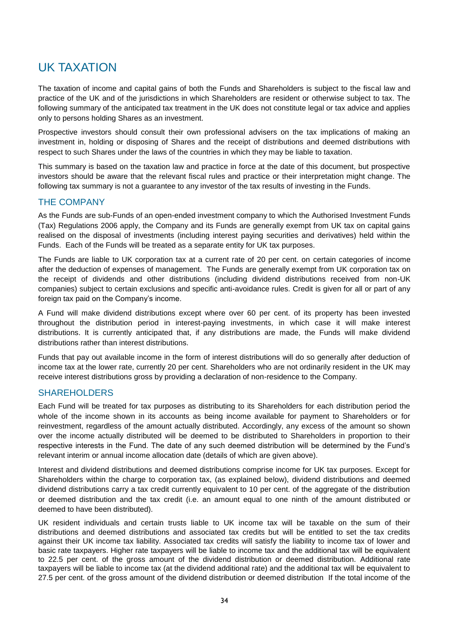# <span id="page-41-0"></span>UK TAXATION

The taxation of income and capital gains of both the Funds and Shareholders is subject to the fiscal law and practice of the UK and of the jurisdictions in which Shareholders are resident or otherwise subject to tax. The following summary of the anticipated tax treatment in the UK does not constitute legal or tax advice and applies only to persons holding Shares as an investment.

Prospective investors should consult their own professional advisers on the tax implications of making an investment in, holding or disposing of Shares and the receipt of distributions and deemed distributions with respect to such Shares under the laws of the countries in which they may be liable to taxation.

This summary is based on the taxation law and practice in force at the date of this document, but prospective investors should be aware that the relevant fiscal rules and practice or their interpretation might change. The following tax summary is not a guarantee to any investor of the tax results of investing in the Funds.

# <span id="page-41-1"></span>THE COMPANY

As the Funds are sub-Funds of an open-ended investment company to which the Authorised Investment Funds (Tax) Regulations 2006 apply, the Company and its Funds are generally exempt from UK tax on capital gains realised on the disposal of investments (including interest paying securities and derivatives) held within the Funds. Each of the Funds will be treated as a separate entity for UK tax purposes.

The Funds are liable to UK corporation tax at a current rate of 20 per cent. on certain categories of income after the deduction of expenses of management. The Funds are generally exempt from UK corporation tax on the receipt of dividends and other distributions (including dividend distributions received from non-UK companies) subject to certain exclusions and specific anti-avoidance rules. Credit is given for all or part of any foreign tax paid on the Company's income.

A Fund will make dividend distributions except where over 60 per cent. of its property has been invested throughout the distribution period in interest-paying investments, in which case it will make interest distributions. It is currently anticipated that, if any distributions are made, the Funds will make dividend distributions rather than interest distributions.

Funds that pay out available income in the form of interest distributions will do so generally after deduction of income tax at the lower rate, currently 20 per cent. Shareholders who are not ordinarily resident in the UK may receive interest distributions gross by providing a declaration of non-residence to the Company.

# <span id="page-41-2"></span>SHAREHOLDERS

Each Fund will be treated for tax purposes as distributing to its Shareholders for each distribution period the whole of the income shown in its accounts as being income available for payment to Shareholders or for reinvestment, regardless of the amount actually distributed. Accordingly, any excess of the amount so shown over the income actually distributed will be deemed to be distributed to Shareholders in proportion to their respective interests in the Fund. The date of any such deemed distribution will be determined by the Fund's relevant interim or annual income allocation date (details of which are given above).

Interest and dividend distributions and deemed distributions comprise income for UK tax purposes. Except for Shareholders within the charge to corporation tax, (as explained below), dividend distributions and deemed dividend distributions carry a tax credit currently equivalent to 10 per cent. of the aggregate of the distribution or deemed distribution and the tax credit (i.e. an amount equal to one ninth of the amount distributed or deemed to have been distributed).

UK resident individuals and certain trusts liable to UK income tax will be taxable on the sum of their distributions and deemed distributions and associated tax credits but will be entitled to set the tax credits against their UK income tax liability. Associated tax credits will satisfy the liability to income tax of lower and basic rate taxpayers. Higher rate taxpayers will be liable to income tax and the additional tax will be equivalent to 22.5 per cent. of the gross amount of the dividend distribution or deemed distribution. Additional rate taxpayers will be liable to income tax (at the dividend additional rate) and the additional tax will be equivalent to 27.5 per cent. of the gross amount of the dividend distribution or deemed distribution If the total income of the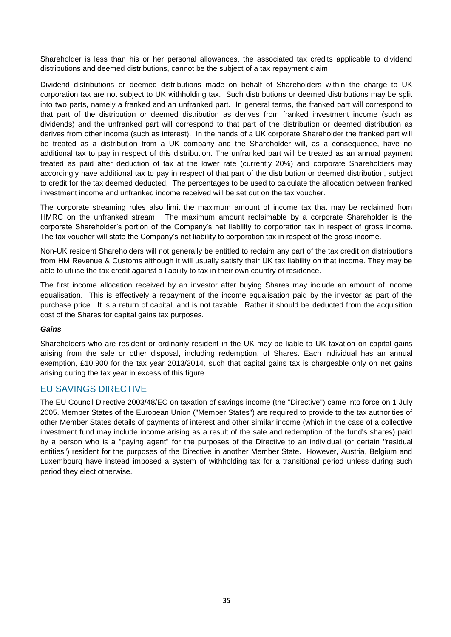Shareholder is less than his or her personal allowances, the associated tax credits applicable to dividend distributions and deemed distributions, cannot be the subject of a tax repayment claim.

Dividend distributions or deemed distributions made on behalf of Shareholders within the charge to UK corporation tax are not subject to UK withholding tax. Such distributions or deemed distributions may be split into two parts, namely a franked and an unfranked part. In general terms, the franked part will correspond to that part of the distribution or deemed distribution as derives from franked investment income (such as dividends) and the unfranked part will correspond to that part of the distribution or deemed distribution as derives from other income (such as interest). In the hands of a UK corporate Shareholder the franked part will be treated as a distribution from a UK company and the Shareholder will, as a consequence, have no additional tax to pay in respect of this distribution. The unfranked part will be treated as an annual payment treated as paid after deduction of tax at the lower rate (currently 20%) and corporate Shareholders may accordingly have additional tax to pay in respect of that part of the distribution or deemed distribution, subject to credit for the tax deemed deducted. The percentages to be used to calculate the allocation between franked investment income and unfranked income received will be set out on the tax voucher.

The corporate streaming rules also limit the maximum amount of income tax that may be reclaimed from HMRC on the unfranked stream. The maximum amount reclaimable by a corporate Shareholder is the corporate Shareholder's portion of the Company's net liability to corporation tax in respect of gross income. The tax voucher will state the Company's net liability to corporation tax in respect of the gross income.

Non-UK resident Shareholders will not generally be entitled to reclaim any part of the tax credit on distributions from HM Revenue & Customs although it will usually satisfy their UK tax liability on that income. They may be able to utilise the tax credit against a liability to tax in their own country of residence.

The first income allocation received by an investor after buying Shares may include an amount of income equalisation. This is effectively a repayment of the income equalisation paid by the investor as part of the purchase price. It is a return of capital, and is not taxable. Rather it should be deducted from the acquisition cost of the Shares for capital gains tax purposes.

#### *Gains*

Shareholders who are resident or ordinarily resident in the UK may be liable to UK taxation on capital gains arising from the sale or other disposal, including redemption, of Shares. Each individual has an annual exemption, £10,900 for the tax year 2013/2014, such that capital gains tax is chargeable only on net gains arising during the tax year in excess of this figure.

# <span id="page-42-0"></span>EU SAVINGS DIRECTIVE

The EU Council Directive 2003/48/EC on taxation of savings income (the "Directive") came into force on 1 July 2005. Member States of the European Union ("Member States") are required to provide to the tax authorities of other Member States details of payments of interest and other similar income (which in the case of a collective investment fund may include income arising as a result of the sale and redemption of the fund's shares) paid by a person who is a "paying agent" for the purposes of the Directive to an individual (or certain "residual entities") resident for the purposes of the Directive in another Member State. However, Austria, Belgium and Luxembourg have instead imposed a system of withholding tax for a transitional period unless during such period they elect otherwise.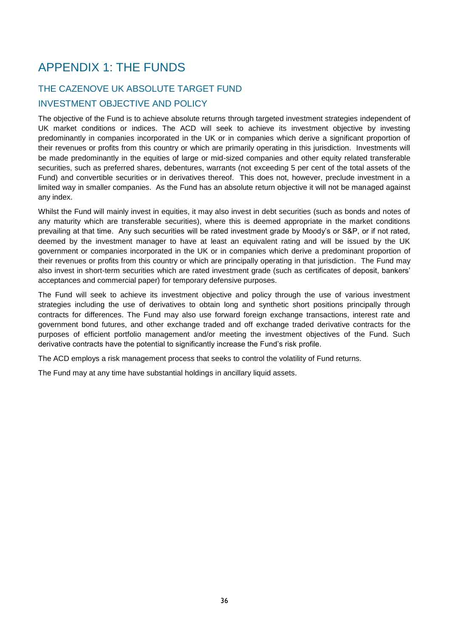# <span id="page-43-0"></span>APPENDIX 1: THE FUNDS

# <span id="page-43-1"></span>THE CAZENOVE UK ABSOLUTE TARGET FUND INVESTMENT OBJECTIVE AND POLICY

The objective of the Fund is to achieve absolute returns through targeted investment strategies independent of UK market conditions or indices. The ACD will seek to achieve its investment objective by investing predominantly in companies incorporated in the UK or in companies which derive a significant proportion of their revenues or profits from this country or which are primarily operating in this jurisdiction. Investments will be made predominantly in the equities of large or mid-sized companies and other equity related transferable securities, such as preferred shares, debentures, warrants (not exceeding 5 per cent of the total assets of the Fund) and convertible securities or in derivatives thereof. This does not, however, preclude investment in a limited way in smaller companies. As the Fund has an absolute return objective it will not be managed against any index.

Whilst the Fund will mainly invest in equities, it may also invest in debt securities (such as bonds and notes of any maturity which are transferable securities), where this is deemed appropriate in the market conditions prevailing at that time. Any such securities will be rated investment grade by Moody's or S&P, or if not rated, deemed by the investment manager to have at least an equivalent rating and will be issued by the UK government or companies incorporated in the UK or in companies which derive a predominant proportion of their revenues or profits from this country or which are principally operating in that jurisdiction. The Fund may also invest in short-term securities which are rated investment grade (such as certificates of deposit, bankers' acceptances and commercial paper) for temporary defensive purposes.

The Fund will seek to achieve its investment objective and policy through the use of various investment strategies including the use of derivatives to obtain long and synthetic short positions principally through contracts for differences. The Fund may also use forward foreign exchange transactions, interest rate and government bond futures, and other exchange traded and off exchange traded derivative contracts for the purposes of efficient portfolio management and/or meeting the investment objectives of the Fund. Such derivative contracts have the potential to significantly increase the Fund's risk profile.

The ACD employs a risk management process that seeks to control the volatility of Fund returns.

The Fund may at any time have substantial holdings in ancillary liquid assets.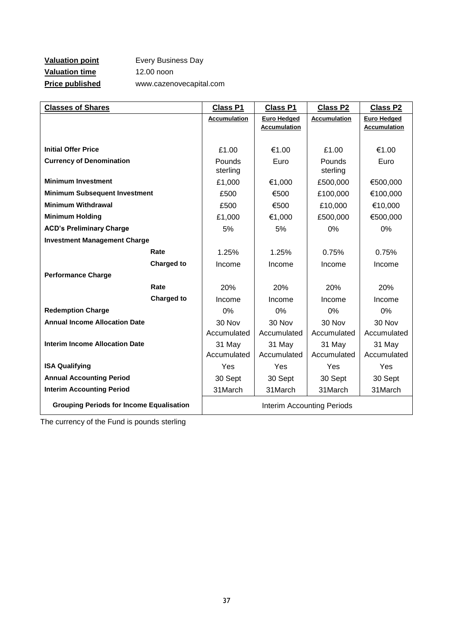# **Valuation point** Every Business Day **Valuation time** 12.00 noon **Price published** www.cazenovecapital.com

| <b>Classes of Shares</b>                        |                   | <b>Class P1</b>            | <b>Class P1</b>                           | <b>Class P2</b>     | <b>Class P2</b>                           |
|-------------------------------------------------|-------------------|----------------------------|-------------------------------------------|---------------------|-------------------------------------------|
|                                                 |                   | <b>Accumulation</b>        | <b>Euro Hedged</b><br><b>Accumulation</b> | <b>Accumulation</b> | <b>Euro Hedged</b><br><b>Accumulation</b> |
|                                                 |                   |                            |                                           |                     |                                           |
| <b>Initial Offer Price</b>                      |                   | £1.00                      | €1.00                                     | £1.00               | €1.00                                     |
| <b>Currency of Denomination</b>                 |                   | Pounds<br>sterling         | Euro                                      | Pounds<br>sterling  | Euro                                      |
| <b>Minimum Investment</b>                       |                   | £1,000                     | €1,000                                    | £500,000            | €500,000                                  |
| <b>Minimum Subsequent Investment</b>            |                   | £500                       | €500                                      | £100,000            | €100,000                                  |
| <b>Minimum Withdrawal</b>                       |                   | £500                       | €500                                      | £10,000             | €10,000                                   |
| <b>Minimum Holding</b>                          |                   | £1,000                     | €1,000                                    | £500,000            | €500,000                                  |
| <b>ACD's Preliminary Charge</b>                 |                   | 5%                         | 5%                                        | 0%                  | 0%                                        |
| <b>Investment Management Charge</b>             |                   |                            |                                           |                     |                                           |
|                                                 | Rate              | 1.25%                      | 1.25%                                     | 0.75%               | 0.75%                                     |
|                                                 | <b>Charged to</b> | Income                     | Income                                    | Income              | Income                                    |
| <b>Performance Charge</b>                       |                   |                            |                                           |                     |                                           |
|                                                 | Rate              | 20%                        | 20%                                       | 20%                 | 20%                                       |
|                                                 | <b>Charged to</b> | Income                     | Income                                    | Income              | Income                                    |
| <b>Redemption Charge</b>                        |                   | 0%                         | 0%                                        | 0%                  | 0%                                        |
| <b>Annual Income Allocation Date</b>            |                   | 30 Nov                     | 30 Nov                                    | 30 Nov              | 30 Nov                                    |
|                                                 |                   | Accumulated                | Accumulated                               | Accumulated         | Accumulated                               |
| <b>Interim Income Allocation Date</b>           |                   | 31 May                     | 31 May                                    | 31 May              | 31 May                                    |
|                                                 |                   | Accumulated                | Accumulated                               | Accumulated         | Accumulated                               |
| <b>ISA Qualifying</b>                           |                   | Yes                        | Yes                                       | Yes                 | Yes                                       |
| <b>Annual Accounting Period</b>                 |                   | 30 Sept                    | 30 Sept                                   | 30 Sept             | 30 Sept                                   |
| <b>Interim Accounting Period</b>                |                   | 31March                    | 31March                                   | 31March             | 31March                                   |
| <b>Grouping Periods for Income Equalisation</b> |                   | Interim Accounting Periods |                                           |                     |                                           |

The currency of the Fund is pounds sterling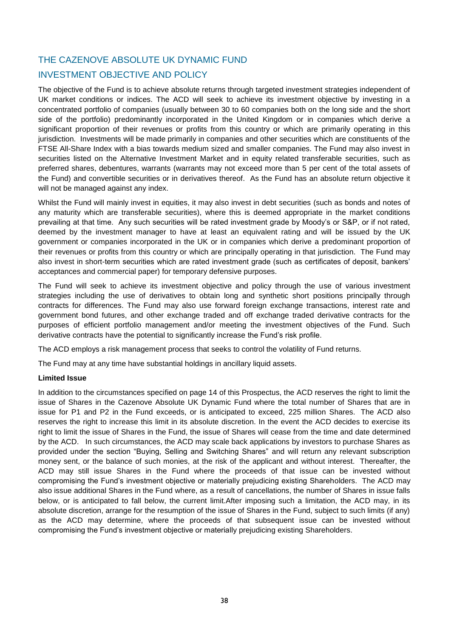# <span id="page-45-0"></span>THE CAZENOVE ABSOLUTE UK DYNAMIC FUND

# INVESTMENT OBJECTIVE AND POLICY

The objective of the Fund is to achieve absolute returns through targeted investment strategies independent of UK market conditions or indices. The ACD will seek to achieve its investment objective by investing in a concentrated portfolio of companies (usually between 30 to 60 companies both on the long side and the short side of the portfolio) predominantly incorporated in the United Kingdom or in companies which derive a significant proportion of their revenues or profits from this country or which are primarily operating in this jurisdiction. Investments will be made primarily in companies and other securities which are constituents of the FTSE All-Share Index with a bias towards medium sized and smaller companies. The Fund may also invest in securities listed on the Alternative Investment Market and in equity related transferable securities, such as preferred shares, debentures, warrants (warrants may not exceed more than 5 per cent of the total assets of the Fund) and convertible securities or in derivatives thereof. As the Fund has an absolute return objective it will not be managed against any index.

Whilst the Fund will mainly invest in equities, it may also invest in debt securities (such as bonds and notes of any maturity which are transferable securities), where this is deemed appropriate in the market conditions prevailing at that time. Any such securities will be rated investment grade by Moody's or S&P, or if not rated, deemed by the investment manager to have at least an equivalent rating and will be issued by the UK government or companies incorporated in the UK or in companies which derive a predominant proportion of their revenues or profits from this country or which are principally operating in that jurisdiction. The Fund may also invest in short-term securities which are rated investment grade (such as certificates of deposit, bankers' acceptances and commercial paper) for temporary defensive purposes.

The Fund will seek to achieve its investment objective and policy through the use of various investment strategies including the use of derivatives to obtain long and synthetic short positions principally through contracts for differences. The Fund may also use forward foreign exchange transactions, interest rate and government bond futures, and other exchange traded and off exchange traded derivative contracts for the purposes of efficient portfolio management and/or meeting the investment objectives of the Fund. Such derivative contracts have the potential to significantly increase the Fund's risk profile.

The ACD employs a risk management process that seeks to control the volatility of Fund returns.

The Fund may at any time have substantial holdings in ancillary liquid assets.

#### **Limited Issue**

In addition to the circumstances specified on page 14 of this Prospectus, the ACD reserves the right to limit the issue of Shares in the Cazenove Absolute UK Dynamic Fund where the total number of Shares that are in issue for P1 and P2 in the Fund exceeds, or is anticipated to exceed, 225 million Shares. The ACD also reserves the right to increase this limit in its absolute discretion. In the event the ACD decides to exercise its right to limit the issue of Shares in the Fund, the issue of Shares will cease from the time and date determined by the ACD. In such circumstances, the ACD may scale back applications by investors to purchase Shares as provided under the section "Buying, Selling and Switching Shares" and will return any relevant subscription money sent, or the balance of such monies, at the risk of the applicant and without interest. Thereafter, the ACD may still issue Shares in the Fund where the proceeds of that issue can be invested without compromising the Fund's investment objective or materially prejudicing existing Shareholders. The ACD may also issue additional Shares in the Fund where, as a result of cancellations, the number of Shares in issue falls below, or is anticipated to fall below, the current limit.After imposing such a limitation, the ACD may, in its absolute discretion, arrange for the resumption of the issue of Shares in the Fund, subject to such limits (if any) as the ACD may determine, where the proceeds of that subsequent issue can be invested without compromising the Fund's investment objective or materially prejudicing existing Shareholders.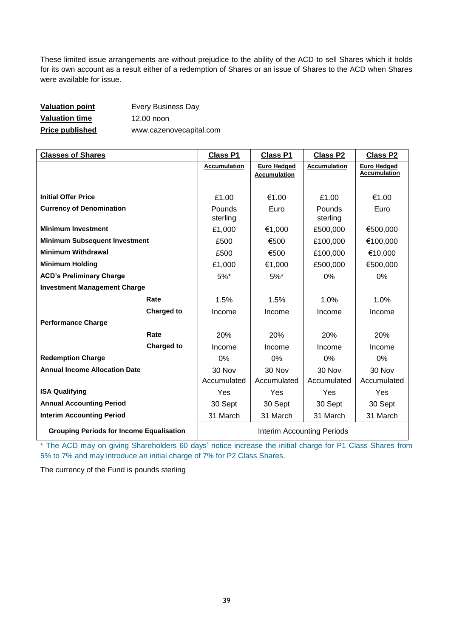These limited issue arrangements are without prejudice to the ability of the ACD to sell Shares which it holds for its own account as a result either of a redemption of Shares or an issue of Shares to the ACD when Shares were available for issue.

| <b>Valuation point</b> | <b>Every Business Day</b> |
|------------------------|---------------------------|
| <b>Valuation time</b>  | 12.00 noon                |
| <b>Price published</b> | www.cazenovecapital.com   |

| <b>Classes of Shares</b>                        |                   | <b>Class P1</b>            | <b>Class P1</b>     | <b>Class P2</b>     | <b>Class P2</b>                           |  |
|-------------------------------------------------|-------------------|----------------------------|---------------------|---------------------|-------------------------------------------|--|
|                                                 |                   | <b>Accumulation</b>        | <b>Euro Hedged</b>  | <b>Accumulation</b> | <b>Euro Hedged</b><br><b>Accumulation</b> |  |
|                                                 |                   |                            | <b>Accumulation</b> |                     |                                           |  |
| <b>Initial Offer Price</b>                      |                   | £1.00                      | €1.00               | £1.00               | €1.00                                     |  |
|                                                 |                   |                            |                     |                     |                                           |  |
| <b>Currency of Denomination</b>                 |                   | Pounds<br>sterling         | Euro                | Pounds<br>sterling  | Euro                                      |  |
| <b>Minimum Investment</b>                       |                   | £1,000                     | €1,000              | £500,000            | €500,000                                  |  |
| <b>Minimum Subsequent Investment</b>            |                   | £500                       | €500                | £100,000            | €100,000                                  |  |
| <b>Minimum Withdrawal</b>                       |                   | £500                       | €500                | £100,000            | €10,000                                   |  |
| <b>Minimum Holding</b>                          |                   | £1,000                     | €1,000              | £500,000            | €500,000                                  |  |
| <b>ACD's Preliminary Charge</b>                 |                   | $5%$ *                     | $5%$ *              | $0\%$               | $0\%$                                     |  |
| <b>Investment Management Charge</b>             |                   |                            |                     |                     |                                           |  |
|                                                 | Rate              | 1.5%                       | 1.5%                | 1.0%                | 1.0%                                      |  |
|                                                 | <b>Charged to</b> | Income                     | Income              | Income              | Income                                    |  |
| <b>Performance Charge</b>                       |                   |                            |                     |                     |                                           |  |
|                                                 | Rate              | 20%                        | 20%                 | 20%                 | 20%                                       |  |
|                                                 | <b>Charged to</b> | Income                     | Income              | Income              | Income                                    |  |
| <b>Redemption Charge</b>                        |                   | 0%                         | 0%                  | 0%                  | $0\%$                                     |  |
| <b>Annual Income Allocation Date</b>            |                   | 30 Nov                     | 30 Nov              | 30 Nov              | 30 Nov                                    |  |
|                                                 |                   | Accumulated                | Accumulated         | Accumulated         | Accumulated                               |  |
| <b>ISA Qualifying</b>                           |                   | Yes                        | <b>Yes</b>          | Yes                 | <b>Yes</b>                                |  |
| <b>Annual Accounting Period</b>                 |                   | 30 Sept                    | 30 Sept             | 30 Sept             | 30 Sept                                   |  |
| <b>Interim Accounting Period</b>                |                   | 31 March                   | 31 March            | 31 March            | 31 March                                  |  |
| <b>Grouping Periods for Income Equalisation</b> |                   | Interim Accounting Periods |                     |                     |                                           |  |

\* The ACD may on giving Shareholders 60 days' notice increase the initial charge for P1 Class Shares from 5% to 7% and may introduce an initial charge of 7% for P2 Class Shares.

The currency of the Fund is pounds sterling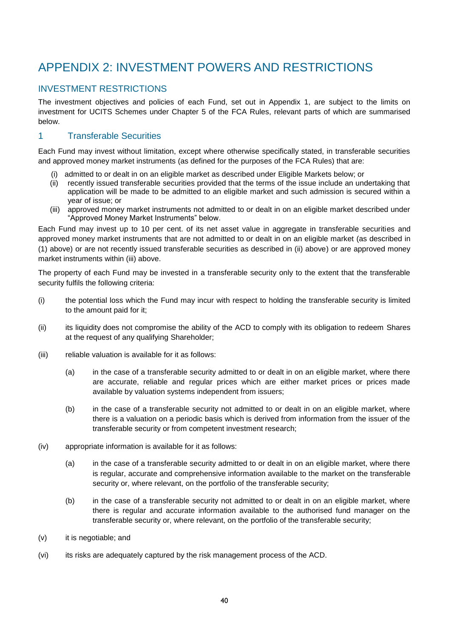# <span id="page-47-0"></span>APPENDIX 2: INVESTMENT POWERS AND RESTRICTIONS

# <span id="page-47-1"></span>INVESTMENT RESTRICTIONS

The investment objectives and policies of each Fund, set out in Appendix 1, are subject to the limits on investment for UCITS Schemes under Chapter 5 of the FCA Rules, relevant parts of which are summarised below.

# 1 Transferable Securities

Each Fund may invest without limitation, except where otherwise specifically stated, in transferable securities and approved money market instruments (as defined for the purposes of the FCA Rules) that are:

- (i) admitted to or dealt in on an eligible market as described under Eligible Markets below; or
- (ii) recently issued transferable securities provided that the terms of the issue include an undertaking that application will be made to be admitted to an eligible market and such admission is secured within a year of issue; or
- (iii) approved money market instruments not admitted to or dealt in on an eligible market described under "Approved Money Market Instruments" below.

Each Fund may invest up to 10 per cent. of its net asset value in aggregate in transferable securities and approved money market instruments that are not admitted to or dealt in on an eligible market (as described in (1) above) or are not recently issued transferable securities as described in (ii) above) or are approved money market instruments within (iii) above.

The property of each Fund may be invested in a transferable security only to the extent that the transferable security fulfils the following criteria:

- (i) the potential loss which the Fund may incur with respect to holding the transferable security is limited to the amount paid for it;
- (ii) its liquidity does not compromise the ability of the ACD to comply with its obligation to redeem Shares at the request of any qualifying Shareholder;
- (iii) reliable valuation is available for it as follows:
	- (a) in the case of a transferable security admitted to or dealt in on an eligible market, where there are accurate, reliable and regular prices which are either market prices or prices made available by valuation systems independent from issuers;
	- (b) in the case of a transferable security not admitted to or dealt in on an eligible market, where there is a valuation on a periodic basis which is derived from information from the issuer of the transferable security or from competent investment research;
- (iv) appropriate information is available for it as follows:
	- (a) in the case of a transferable security admitted to or dealt in on an eligible market, where there is regular, accurate and comprehensive information available to the market on the transferable security or, where relevant, on the portfolio of the transferable security;
	- (b) in the case of a transferable security not admitted to or dealt in on an eligible market, where there is regular and accurate information available to the authorised fund manager on the transferable security or, where relevant, on the portfolio of the transferable security;
- (v) it is negotiable; and
- (vi) its risks are adequately captured by the risk management process of the ACD.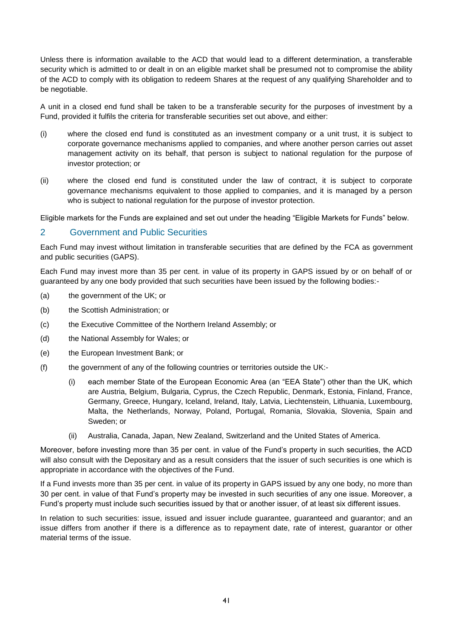Unless there is information available to the ACD that would lead to a different determination, a transferable security which is admitted to or dealt in on an eligible market shall be presumed not to compromise the ability of the ACD to comply with its obligation to redeem Shares at the request of any qualifying Shareholder and to be negotiable.

A unit in a closed end fund shall be taken to be a transferable security for the purposes of investment by a Fund, provided it fulfils the criteria for transferable securities set out above, and either:

- (i) where the closed end fund is constituted as an investment company or a unit trust, it is subject to corporate governance mechanisms applied to companies, and where another person carries out asset management activity on its behalf, that person is subject to national regulation for the purpose of investor protection; or
- (ii) where the closed end fund is constituted under the law of contract, it is subject to corporate governance mechanisms equivalent to those applied to companies, and it is managed by a person who is subject to national regulation for the purpose of investor protection.

Eligible markets for the Funds are explained and set out under the heading "Eligible Markets for Funds" below.

# 2 Government and Public Securities

Each Fund may invest without limitation in transferable securities that are defined by the FCA as government and public securities (GAPS).

Each Fund may invest more than 35 per cent. in value of its property in GAPS issued by or on behalf of or guaranteed by any one body provided that such securities have been issued by the following bodies:-

- (a) the government of the UK; or
- (b) the Scottish Administration; or
- (c) the Executive Committee of the Northern Ireland Assembly; or
- (d) the National Assembly for Wales; or
- (e) the European Investment Bank; or
- (f) the government of any of the following countries or territories outside the UK:-
	- (i) each member State of the European Economic Area (an "EEA State") other than the UK, which are Austria, Belgium, Bulgaria, Cyprus, the Czech Republic, Denmark, Estonia, Finland, France, Germany, Greece, Hungary, Iceland, Ireland, Italy, Latvia, Liechtenstein, Lithuania, Luxembourg, Malta, the Netherlands, Norway, Poland, Portugal, Romania, Slovakia, Slovenia, Spain and Sweden; or
	- (ii) Australia, Canada, Japan, New Zealand, Switzerland and the United States of America.

Moreover, before investing more than 35 per cent. in value of the Fund's property in such securities, the ACD will also consult with the Depositary and as a result considers that the issuer of such securities is one which is appropriate in accordance with the objectives of the Fund.

If a Fund invests more than 35 per cent. in value of its property in GAPS issued by any one body, no more than 30 per cent. in value of that Fund's property may be invested in such securities of any one issue. Moreover, a Fund's property must include such securities issued by that or another issuer, of at least six different issues.

In relation to such securities: issue, issued and issuer include guarantee, guaranteed and guarantor; and an issue differs from another if there is a difference as to repayment date, rate of interest, guarantor or other material terms of the issue.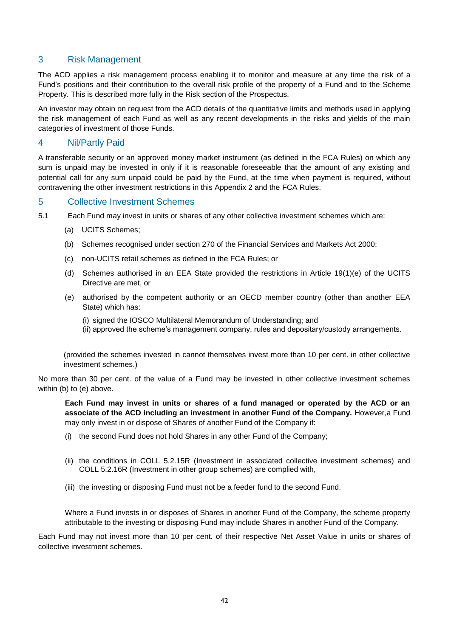# 3 Risk Management

The ACD applies a risk management process enabling it to monitor and measure at any time the risk of a Fund's positions and their contribution to the overall risk profile of the property of a Fund and to the Scheme Property. This is described more fully in the Risk section of the Prospectus.

An investor may obtain on request from the ACD details of the quantitative limits and methods used in applying the risk management of each Fund as well as any recent developments in the risks and yields of the main categories of investment of those Funds.

# 4 Nil/Partly Paid

A transferable security or an approved money market instrument (as defined in the FCA Rules) on which any sum is unpaid may be invested in only if it is reasonable foreseeable that the amount of any existing and potential call for any sum unpaid could be paid by the Fund, at the time when payment is required, without contravening the other investment restrictions in this Appendix 2 and the FCA Rules.

#### 5 Collective Investment Schemes

- 5.1 Each Fund may invest in units or shares of any other collective investment schemes which are:
	- (a) UCITS Schemes;
	- (b) Schemes recognised under section 270 of the Financial Services and Markets Act 2000;
	- (c) non-UCITS retail schemes as defined in the FCA Rules; or
	- (d) Schemes authorised in an EEA State provided the restrictions in Article 19(1)(e) of the UCITS Directive are met, or
	- (e) authorised by the competent authority or an OECD member country (other than another EEA State) which has:
		- (i) signed the IOSCO Multilateral Memorandum of Understanding; and
		- (ii) approved the scheme's management company, rules and depositary/custody arrangements.

(provided the schemes invested in cannot themselves invest more than 10 per cent. in other collective investment schemes.)

No more than 30 per cent. of the value of a Fund may be invested in other collective investment schemes within (b) to (e) above.

**Each Fund may invest in units or shares of a fund managed or operated by the ACD or an associate of the ACD including an investment in another Fund of the Company.** However,a Fund may only invest in or dispose of Shares of another Fund of the Company if:

- (i) the second Fund does not hold Shares in any other Fund of the Company;
- (ii) the conditions in COLL 5.2.15R (Investment in associated collective investment schemes) and COLL 5.2.16R (Investment in other group schemes) are complied with,
- (iii) the investing or disposing Fund must not be a feeder fund to the second Fund.

Where a Fund invests in or disposes of Shares in another Fund of the Company, the scheme property attributable to the investing or disposing Fund may include Shares in another Fund of the Company.

Each Fund may not invest more than 10 per cent. of their respective Net Asset Value in units or shares of collective investment schemes.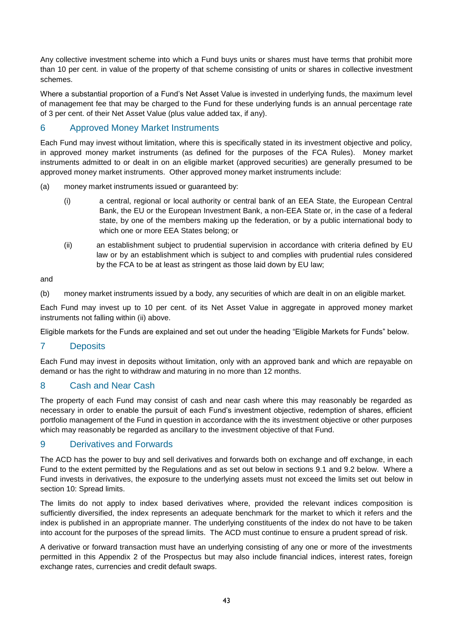Any collective investment scheme into which a Fund buys units or shares must have terms that prohibit more than 10 per cent. in value of the property of that scheme consisting of units or shares in collective investment schemes.

Where a substantial proportion of a Fund's Net Asset Value is invested in underlying funds, the maximum level of management fee that may be charged to the Fund for these underlying funds is an annual percentage rate of 3 per cent. of their Net Asset Value (plus value added tax, if any).

# 6 Approved Money Market Instruments

Each Fund may invest without limitation, where this is specifically stated in its investment objective and policy, in approved money market instruments (as defined for the purposes of the FCA Rules). Money market instruments admitted to or dealt in on an eligible market (approved securities) are generally presumed to be approved money market instruments. Other approved money market instruments include:

- (a) money market instruments issued or guaranteed by:
	- (i) a central, regional or local authority or central bank of an EEA State, the European Central Bank, the EU or the European Investment Bank, a non-EEA State or, in the case of a federal state, by one of the members making up the federation, or by a public international body to which one or more EEA States belong; or
	- (ii) an establishment subject to prudential supervision in accordance with criteria defined by EU law or by an establishment which is subject to and complies with prudential rules considered by the FCA to be at least as stringent as those laid down by EU law;

and

(b) money market instruments issued by a body, any securities of which are dealt in on an eligible market.

Each Fund may invest up to 10 per cent. of its Net Asset Value in aggregate in approved money market instruments not falling within (ii) above.

Eligible markets for the Funds are explained and set out under the heading "Eligible Markets for Funds" below.

# 7 Deposits

Each Fund may invest in deposits without limitation, only with an approved bank and which are repayable on demand or has the right to withdraw and maturing in no more than 12 months.

# 8 Cash and Near Cash

The property of each Fund may consist of cash and near cash where this may reasonably be regarded as necessary in order to enable the pursuit of each Fund's investment objective, redemption of shares, efficient portfolio management of the Fund in question in accordance with the its investment objective or other purposes which may reasonably be regarded as ancillary to the investment objective of that Fund.

# 9 Derivatives and Forwards

The ACD has the power to buy and sell derivatives and forwards both on exchange and off exchange, in each Fund to the extent permitted by the Regulations and as set out below in sections 9.1 and 9.2 below. Where a Fund invests in derivatives, the exposure to the underlying assets must not exceed the limits set out below in section 10: Spread limits.

The limits do not apply to index based derivatives where, provided the relevant indices composition is sufficiently diversified, the index represents an adequate benchmark for the market to which it refers and the index is published in an appropriate manner. The underlying constituents of the index do not have to be taken into account for the purposes of the spread limits. The ACD must continue to ensure a prudent spread of risk.

A derivative or forward transaction must have an underlying consisting of any one or more of the investments permitted in this Appendix 2 of the Prospectus but may also include financial indices, interest rates, foreign exchange rates, currencies and credit default swaps.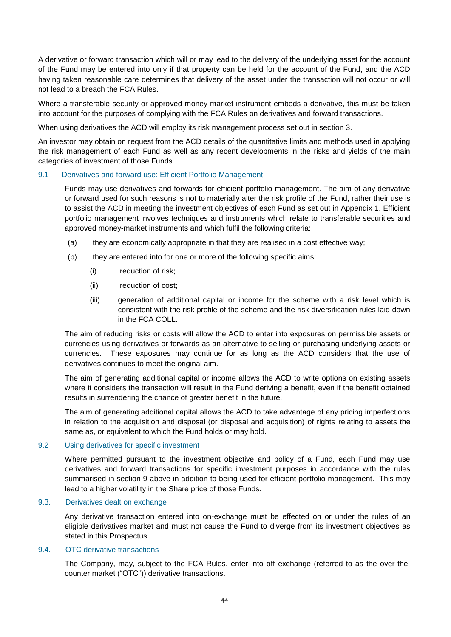A derivative or forward transaction which will or may lead to the delivery of the underlying asset for the account of the Fund may be entered into only if that property can be held for the account of the Fund, and the ACD having taken reasonable care determines that delivery of the asset under the transaction will not occur or will not lead to a breach the FCA Rules.

Where a transferable security or approved money market instrument embeds a derivative, this must be taken into account for the purposes of complying with the FCA Rules on derivatives and forward transactions.

When using derivatives the ACD will employ its risk management process set out in section 3.

An investor may obtain on request from the ACD details of the quantitative limits and methods used in applying the risk management of each Fund as well as any recent developments in the risks and yields of the main categories of investment of those Funds.

#### 9.1 Derivatives and forward use: Efficient Portfolio Management

Funds may use derivatives and forwards for efficient portfolio management. The aim of any derivative or forward used for such reasons is not to materially alter the risk profile of the Fund, rather their use is to assist the ACD in meeting the investment objectives of each Fund as set out in Appendix 1. Efficient portfolio management involves techniques and instruments which relate to transferable securities and approved money-market instruments and which fulfil the following criteria:

- (a) they are economically appropriate in that they are realised in a cost effective way;
- (b) they are entered into for one or more of the following specific aims:
	- (i) reduction of risk;
	- (ii) reduction of cost;
	- (iii) generation of additional capital or income for the scheme with a risk level which is consistent with the risk profile of the scheme and the risk diversification rules laid down in the FCA COLL.

The aim of reducing risks or costs will allow the ACD to enter into exposures on permissible assets or currencies using derivatives or forwards as an alternative to selling or purchasing underlying assets or currencies. These exposures may continue for as long as the ACD considers that the use of derivatives continues to meet the original aim.

The aim of generating additional capital or income allows the ACD to write options on existing assets where it considers the transaction will result in the Fund deriving a benefit, even if the benefit obtained results in surrendering the chance of greater benefit in the future.

The aim of generating additional capital allows the ACD to take advantage of any pricing imperfections in relation to the acquisition and disposal (or disposal and acquisition) of rights relating to assets the same as, or equivalent to which the Fund holds or may hold.

#### 9.2 Using derivatives for specific investment

Where permitted pursuant to the investment objective and policy of a Fund, each Fund may use derivatives and forward transactions for specific investment purposes in accordance with the rules summarised in section 9 above in addition to being used for efficient portfolio management. This may lead to a higher volatility in the Share price of those Funds.

#### 9.3. Derivatives dealt on exchange

Any derivative transaction entered into on-exchange must be effected on or under the rules of an eligible derivatives market and must not cause the Fund to diverge from its investment objectives as stated in this Prospectus.

#### 9.4. OTC derivative transactions

The Company, may, subject to the FCA Rules, enter into off exchange (referred to as the over-thecounter market ("OTC")) derivative transactions.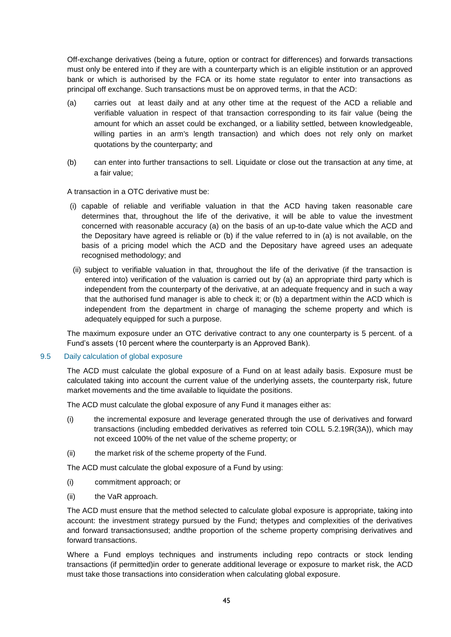Off-exchange derivatives (being a future, option or contract for differences) and forwards transactions must only be entered into if they are with a counterparty which is an eligible institution or an approved bank or which is authorised by the FCA or its home state regulator to enter into transactions as principal off exchange. Such transactions must be on approved terms, in that the ACD:

- (a) carries out at least daily and at any other time at the request of the ACD a reliable and verifiable valuation in respect of that transaction corresponding to its fair value (being the amount for which an asset could be exchanged, or a liability settled, between knowledgeable, willing parties in an arm's length transaction) and which does not rely only on market quotations by the counterparty; and
- (b) can enter into further transactions to sell. Liquidate or close out the transaction at any time, at a fair value;

A transaction in a OTC derivative must be:

- (i) capable of reliable and verifiable valuation in that the ACD having taken reasonable care determines that, throughout the life of the derivative, it will be able to value the investment concerned with reasonable accuracy (a) on the basis of an up-to-date value which the ACD and the Depositary have agreed is reliable or (b) if the value referred to in (a) is not available, on the basis of a pricing model which the ACD and the Depositary have agreed uses an adequate recognised methodology; and
- (ii) subject to verifiable valuation in that, throughout the life of the derivative (if the transaction is entered into) verification of the valuation is carried out by (a) an appropriate third party which is independent from the counterparty of the derivative, at an adequate frequency and in such a way that the authorised fund manager is able to check it; or (b) a department within the ACD which is independent from the department in charge of managing the scheme property and which is adequately equipped for such a purpose.

The maximum exposure under an OTC derivative contract to any one counterparty is 5 percent. of a Fund's assets (10 percent where the counterparty is an Approved Bank).

#### 9.5 Daily calculation of global exposure

The ACD must calculate the global exposure of a Fund on at least adaily basis. Exposure must be calculated taking into account the current value of the underlying assets, the counterparty risk, future market movements and the time available to liquidate the positions.

The ACD must calculate the global exposure of any Fund it manages either as:

- (i) the incremental exposure and leverage generated through the use of derivatives and forward transactions (including embedded derivatives as referred toin COLL 5.2.19R(3A)), which may not exceed 100% of the net value of the scheme property; or
- (ii) the market risk of the scheme property of the Fund.

The ACD must calculate the global exposure of a Fund by using:

- (i) commitment approach; or
- (ii) the VaR approach.

The ACD must ensure that the method selected to calculate global exposure is appropriate, taking into account: the investment strategy pursued by the Fund; thetypes and complexities of the derivatives and forward transactionsused; andthe proportion of the scheme property comprising derivatives and forward transactions.

Where a Fund employs techniques and instruments including repo contracts or stock lending transactions (if permitted)in order to generate additional leverage or exposure to market risk, the ACD must take those transactions into consideration when calculating global exposure.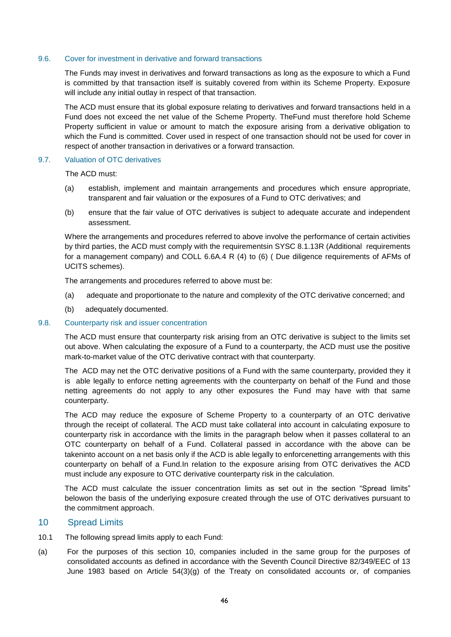#### 9.6. Cover for investment in derivative and forward transactions

The Funds may invest in derivatives and forward transactions as long as the exposure to which a Fund is committed by that transaction itself is suitably covered from within its Scheme Property. Exposure will include any initial outlay in respect of that transaction.

The ACD must ensure that its global exposure relating to derivatives and forward transactions held in a Fund does not exceed the net value of the Scheme Property. TheFund must therefore hold Scheme Property sufficient in value or amount to match the exposure arising from a derivative obligation to which the Fund is committed. Cover used in respect of one transaction should not be used for cover in respect of another transaction in derivatives or a forward transaction.

#### 9.7. Valuation of OTC derivatives

The ACD must:

- (a) establish, implement and maintain arrangements and procedures which ensure appropriate, transparent and fair valuation or the exposures of a Fund to OTC derivatives; and
- (b) ensure that the fair value of OTC derivatives is subject to adequate accurate and independent assessment.

Where the arrangements and procedures referred to above involve the performance of certain activities by third parties, the ACD must comply with the requirementsin SYSC 8.1.13R (Additional requirements for a management company) and COLL 6.6A.4 R (4) to (6) ( Due diligence requirements of AFMs of UCITS schemes).

The arrangements and procedures referred to above must be:

- (a) adequate and proportionate to the nature and complexity of the OTC derivative concerned; and
- (b) adequately documented.

#### 9.8. Counterparty risk and issuer concentration

The ACD must ensure that counterparty risk arising from an OTC derivative is subject to the limits set out above. When calculating the exposure of a Fund to a counterparty, the ACD must use the positive mark-to-market value of the OTC derivative contract with that counterparty.

The ACD may net the OTC derivative positions of a Fund with the same counterparty, provided they it is able legally to enforce netting agreements with the counterparty on behalf of the Fund and those netting agreements do not apply to any other exposures the Fund may have with that same counterparty.

The ACD may reduce the exposure of Scheme Property to a counterparty of an OTC derivative through the receipt of collateral. The ACD must take collateral into account in calculating exposure to counterparty risk in accordance with the limits in the paragraph below when it passes collateral to an OTC counterparty on behalf of a Fund. Collateral passed in accordance with the above can be takeninto account on a net basis only if the ACD is able legally to enforcenetting arrangements with this counterparty on behalf of a Fund.In relation to the exposure arising from OTC derivatives the ACD must include any exposure to OTC derivative counterparty risk in the calculation.

The ACD must calculate the issuer concentration limits as set out in the section "Spread limits" belowon the basis of the underlying exposure created through the use of OTC derivatives pursuant to the commitment approach.

#### 10 Spread Limits

- 10.1 The following spread limits apply to each Fund:
- (a) For the purposes of this section 10, companies included in the same group for the purposes of consolidated accounts as defined in accordance with the Seventh Council Directive 82/349/EEC of 13 June 1983 based on Article 54(3)(g) of the Treaty on consolidated accounts or, of companies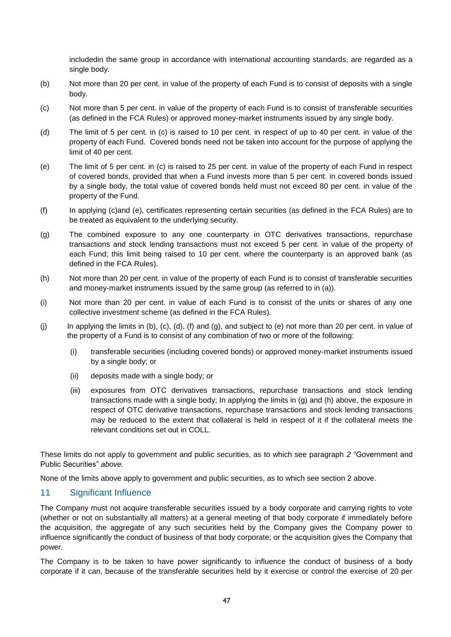includedin the same group in accordance with international accounting standards, are regarded as a single body.

- (b) Not more than 20 per cent. in value of the property of each Fund is to consist of deposits with a single body.
- (c) Not more than 5 per cent. in value of the property of each Fund is to consist of transferable securities (as defined in the FCA Rules) or approved money-market instruments issued by any single body.
- (d) The limit of 5 per cent. in (c) is raised to 10 per cent. in respect of up to 40 per cent. in value of the property of each Fund. Covered bonds need not be taken into account for the purpose of applying the limit of 40 per cent.
- (e) The limit of 5 per cent. in (c) is raised to 25 per cent. in value of the property of each Fund in respect of covered bonds, provided that when a Fund invests more than 5 per cent. in covered bonds issued by a single body, the total value of covered bonds held must not exceed 80 per cent. in value of the property of the Fund.
- (f) In applying (c)and (e), certificates representing certain securities (as defined in the FCA Rules) are to be treated as equivalent to the underlying security.
- (g) The combined exposure to any one counterparty in OTC derivatives transactions, repurchase transactions and stock lending transactions must not exceed 5 per cent. in value of the property of each Fund; this limit being raised to 10 per cent. where the counterparty is an approved bank (as defined in the FCA Rules).
- (h) Not more than 20 per cent. in value of the property of each Fund is to consist of transferable securities and money-market instruments issued by the same group (as referred to in (a)).
- (i) Not more than 20 per cent. in value of each Fund is to consist of the units or shares of any one collective investment scheme (as defined in the FCA Rules).
- $(i)$  In applying the limits in  $(b)$ ,  $(c)$ ,  $(d)$ ,  $(f)$  and  $(g)$ , and subject to  $(e)$  not more than 20 per cent. in value of the property of a Fund is to consist of any combination of two or more of the following:
	- (i) transferable securities (including covered bonds) or approved money-market instruments issued by a single body; or
	- (ii) deposits made with a single body; or
	- (iii) exposures from OTC derivatives transactions, repurchase transactions and stock lending transactions made with a single body; In applying the limits in (g) and (h) above, the exposure in respect of OTC derivative transactions, repurchase transactions and stock lending transactions may be reduced to the extent that collateral is held in respect of it if the collateral meets the relevant conditions set out in COLL.

These limits do not apply to government and public securities, as to which see paragraph *2* "Government and Public Securities" *above.*

None of the limits above apply to government and public securities, as to which see section 2 above.

# 11 Significant Influence

The Company must not acquire transferable securities issued by a body corporate and carrying rights to vote (whether or not on substantially all matters) at a general meeting of that body corporate if immediately before the acquisition, the aggregate of any such securities held by the Company gives the Company power to influence significantly the conduct of business of that body corporate; or the acquisition gives the Company that power.

The Company is to be taken to have power significantly to influence the conduct of business of a body corporate if it can, because of the transferable securities held by it exercise or control the exercise of 20 per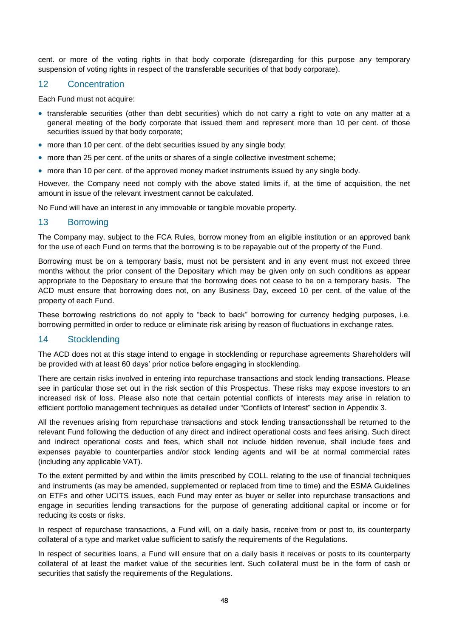cent. or more of the voting rights in that body corporate (disregarding for this purpose any temporary suspension of voting rights in respect of the transferable securities of that body corporate).

#### 12 Concentration

Each Fund must not acquire:

- transferable securities (other than debt securities) which do not carry a right to vote on any matter at a general meeting of the body corporate that issued them and represent more than 10 per cent. of those securities issued by that body corporate;
- more than 10 per cent. of the debt securities issued by any single body;
- more than 25 per cent. of the units or shares of a single collective investment scheme;
- more than 10 per cent. of the approved money market instruments issued by any single body.

However, the Company need not comply with the above stated limits if, at the time of acquisition, the net amount in issue of the relevant investment cannot be calculated.

No Fund will have an interest in any immovable or tangible movable property.

# 13 Borrowing

The Company may, subject to the FCA Rules, borrow money from an eligible institution or an approved bank for the use of each Fund on terms that the borrowing is to be repayable out of the property of the Fund.

Borrowing must be on a temporary basis, must not be persistent and in any event must not exceed three months without the prior consent of the Depositary which may be given only on such conditions as appear appropriate to the Depositary to ensure that the borrowing does not cease to be on a temporary basis. The ACD must ensure that borrowing does not, on any Business Day, exceed 10 per cent. of the value of the property of each Fund.

These borrowing restrictions do not apply to "back to back" borrowing for currency hedging purposes, i.e. borrowing permitted in order to reduce or eliminate risk arising by reason of fluctuations in exchange rates.

# 14 Stocklending

The ACD does not at this stage intend to engage in stocklending or repurchase agreements Shareholders will be provided with at least 60 days' prior notice before engaging in stocklending.

There are certain risks involved in entering into repurchase transactions and stock lending transactions. Please see in particular those set out in the risk section of this Prospectus. These risks may expose investors to an increased risk of loss. Please also note that certain potential conflicts of interests may arise in relation to efficient portfolio management techniques as detailed under "Conflicts of Interest" section in Appendix 3.

All the revenues arising from repurchase transactions and stock lending transactionsshall be returned to the relevant Fund following the deduction of any direct and indirect operational costs and fees arising. Such direct and indirect operational costs and fees, which shall not include hidden revenue, shall include fees and expenses payable to counterparties and/or stock lending agents and will be at normal commercial rates (including any applicable VAT).

To the extent permitted by and within the limits prescribed by COLL relating to the use of financial techniques and instruments (as may be amended, supplemented or replaced from time to time) and the ESMA Guidelines on ETFs and other UCITS issues, each Fund may enter as buyer or seller into repurchase transactions and engage in securities lending transactions for the purpose of generating additional capital or income or for reducing its costs or risks.

In respect of repurchase transactions, a Fund will, on a daily basis, receive from or post to, its counterparty collateral of a type and market value sufficient to satisfy the requirements of the Regulations.

In respect of securities loans, a Fund will ensure that on a daily basis it receives or posts to its counterparty collateral of at least the market value of the securities lent. Such collateral must be in the form of cash or securities that satisfy the requirements of the Regulations.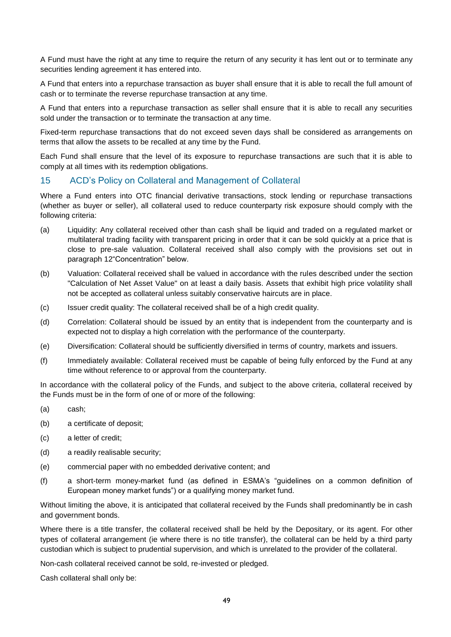A Fund must have the right at any time to require the return of any security it has lent out or to terminate any securities lending agreement it has entered into.

A Fund that enters into a repurchase transaction as buyer shall ensure that it is able to recall the full amount of cash or to terminate the reverse repurchase transaction at any time.

A Fund that enters into a repurchase transaction as seller shall ensure that it is able to recall any securities sold under the transaction or to terminate the transaction at any time.

Fixed-term repurchase transactions that do not exceed seven days shall be considered as arrangements on terms that allow the assets to be recalled at any time by the Fund.

Each Fund shall ensure that the level of its exposure to repurchase transactions are such that it is able to comply at all times with its redemption obligations.

# 15 ACD's Policy on Collateral and Management of Collateral

Where a Fund enters into OTC financial derivative transactions, stock lending or repurchase transactions (whether as buyer or seller), all collateral used to reduce counterparty risk exposure should comply with the following criteria:

- (a) Liquidity: Any collateral received other than cash shall be liquid and traded on a regulated market or multilateral trading facility with transparent pricing in order that it can be sold quickly at a price that is close to pre-sale valuation. Collateral received shall also comply with the provisions set out in paragraph 12"Concentration" below.
- (b) Valuation: Collateral received shall be valued in accordance with the rules described under the section "Calculation of Net Asset Value" on at least a daily basis. Assets that exhibit high price volatility shall not be accepted as collateral unless suitably conservative haircuts are in place.
- (c) Issuer credit quality: The collateral received shall be of a high credit quality.
- (d) Correlation: Collateral should be issued by an entity that is independent from the counterparty and is expected not to display a high correlation with the performance of the counterparty.
- (e) Diversification: Collateral should be sufficiently diversified in terms of country, markets and issuers.
- (f) Immediately available: Collateral received must be capable of being fully enforced by the Fund at any time without reference to or approval from the counterparty.

In accordance with the collateral policy of the Funds, and subject to the above criteria, collateral received by the Funds must be in the form of one of or more of the following:

- (a) cash;
- (b) a certificate of deposit;
- (c) a letter of credit;
- (d) a readily realisable security;
- (e) commercial paper with no embedded derivative content; and
- (f) a short-term money-market fund (as defined in ESMA's "guidelines on a common definition of European money market funds") or a qualifying money market fund.

Without limiting the above, it is anticipated that collateral received by the Funds shall predominantly be in cash and government bonds.

Where there is a title transfer, the collateral received shall be held by the Depositary, or its agent. For other types of collateral arrangement (ie where there is no title transfer), the collateral can be held by a third party custodian which is subject to prudential supervision, and which is unrelated to the provider of the collateral.

Non-cash collateral received cannot be sold, re-invested or pledged.

Cash collateral shall only be: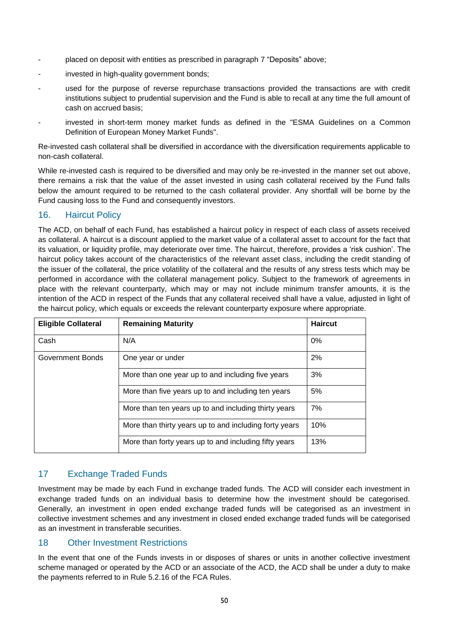- placed on deposit with entities as prescribed in paragraph 7 "Deposits" above;
- invested in high-quality government bonds;
- used for the purpose of reverse repurchase transactions provided the transactions are with credit institutions subject to prudential supervision and the Fund is able to recall at any time the full amount of cash on accrued basis;
- invested in short-term money market funds as defined in the "ESMA Guidelines on a Common Definition of European Money Market Funds".

Re-invested cash collateral shall be diversified in accordance with the diversification requirements applicable to non-cash collateral.

While re-invested cash is required to be diversified and may only be re-invested in the manner set out above, there remains a risk that the value of the asset invested in using cash collateral received by the Fund falls below the amount required to be returned to the cash collateral provider. Any shortfall will be borne by the Fund causing loss to the Fund and consequently investors.

# 16. Haircut Policy

The ACD, on behalf of each Fund, has established a haircut policy in respect of each class of assets received as collateral. A haircut is a discount applied to the market value of a collateral asset to account for the fact that its valuation, or liquidity profile, may deteriorate over time. The haircut, therefore, provides a 'risk cushion'. The haircut policy takes account of the characteristics of the relevant asset class, including the credit standing of the issuer of the collateral, the price volatility of the collateral and the results of any stress tests which may be performed in accordance with the collateral management policy. Subject to the framework of agreements in place with the relevant counterparty, which may or may not include minimum transfer amounts, it is the intention of the ACD in respect of the Funds that any collateral received shall have a value, adjusted in light of the haircut policy, which equals or exceeds the relevant counterparty exposure where appropriate.

| <b>Eligible Collateral</b> | <b>Remaining Maturity</b>                              | <b>Haircut</b> |
|----------------------------|--------------------------------------------------------|----------------|
| Cash                       | N/A                                                    | $0\%$          |
| Government Bonds           | One year or under                                      | 2%             |
|                            | More than one year up to and including five years      | 3%             |
|                            | More than five years up to and including ten years     | 5%             |
|                            | More than ten years up to and including thirty years   | 7%             |
|                            | More than thirty years up to and including forty years | 10%            |
|                            | More than forty years up to and including fifty years  | 13%            |

# 17 Exchange Traded Funds

Investment may be made by each Fund in exchange traded funds. The ACD will consider each investment in exchange traded funds on an individual basis to determine how the investment should be categorised. Generally, an investment in open ended exchange traded funds will be categorised as an investment in collective investment schemes and any investment in closed ended exchange traded funds will be categorised as an investment in transferable securities.

# 18 Other Investment Restrictions

In the event that one of the Funds invests in or disposes of shares or units in another collective investment scheme managed or operated by the ACD or an associate of the ACD, the ACD shall be under a duty to make the payments referred to in Rule 5.2.16 of the FCA Rules.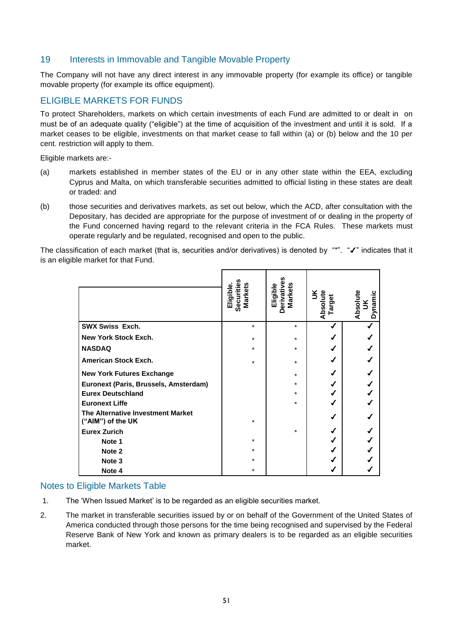# 19 Interests in Immovable and Tangible Movable Property

The Company will not have any direct interest in any immovable property (for example its office) or tangible movable property (for example its office equipment).

# <span id="page-58-0"></span>ELIGIBLE MARKETS FOR FUNDS

To protect Shareholders, markets on which certain investments of each Fund are admitted to or dealt in on must be of an adequate quality ("eligible") at the time of acquisition of the investment and until it is sold. If a market ceases to be eligible, investments on that market cease to fall within (a) or (b) below and the 10 per cent. restriction will apply to them.

Eligible markets are:-

- (a) markets established in member states of the EU or in any other state within the EEA, excluding Cyprus and Malta, on which transferable securities admitted to official listing in these states are dealt or traded: and
- (b) those securities and derivatives markets, as set out below, which the ACD, after consultation with the Depositary, has decided are appropriate for the purpose of investment of or dealing in the property of the Fund concerned having regard to the relevant criteria in the FCA Rules. These markets must operate regularly and be regulated, recognised and open to the public.

The classification of each market (that is, securities and/or derivatives) is denoted by "\*". " $\checkmark$ " indicates that it is an eligible market for that Fund.

|                                                        | Securities<br><b>Markets</b><br>Eligible. | Derivatives<br>Markets<br>Eligible | UK<br>Absolute<br>Target | Absolute<br>Dynamic<br>$\leq$ |
|--------------------------------------------------------|-------------------------------------------|------------------------------------|--------------------------|-------------------------------|
| <b>SWX Swiss Exch.</b>                                 | $\star$                                   | $\star$                            |                          |                               |
| <b>New York Stock Exch.</b>                            | $\star$                                   | $\star$                            |                          |                               |
| <b>NASDAQ</b>                                          | $\star$                                   | *                                  |                          |                               |
| <b>American Stock Exch.</b>                            | $\star$                                   | $\star$                            |                          |                               |
| <b>New York Futures Exchange</b>                       |                                           | $\star$                            |                          |                               |
| Euronext (Paris, Brussels, Amsterdam)                  |                                           | *                                  |                          |                               |
| <b>Eurex Deutschland</b>                               |                                           | $\star$                            |                          |                               |
| <b>Euronext Liffe</b>                                  |                                           | $\star$                            |                          |                               |
| The Alternative Investment Market<br>("AIM") of the UK | $\star$                                   |                                    |                          |                               |
| <b>Eurex Zurich</b>                                    |                                           | $\star$                            |                          |                               |
| Note 1                                                 | $\ast$                                    |                                    |                          |                               |
| Note 2                                                 | $\star$                                   |                                    |                          |                               |
| Note <sub>3</sub>                                      | $\star$                                   |                                    |                          |                               |
| Note 4                                                 | *                                         |                                    |                          |                               |

# Notes to Eligible Markets Table

- 1. The 'When Issued Market' is to be regarded as an eligible securities market.
- 2. The market in transferable securities issued by or on behalf of the Government of the United States of America conducted through those persons for the time being recognised and supervised by the Federal Reserve Bank of New York and known as primary dealers is to be regarded as an eligible securities market.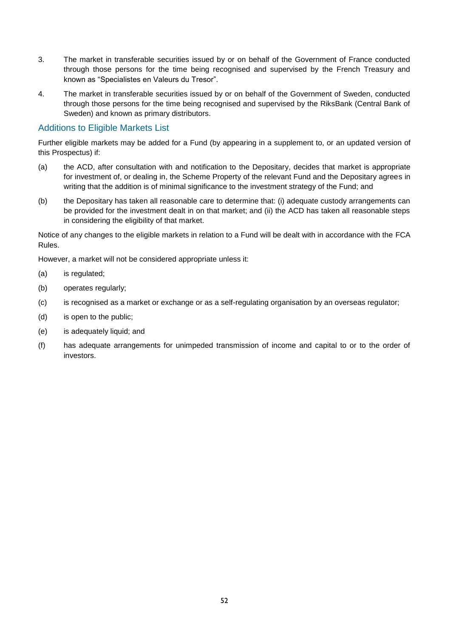- 3. The market in transferable securities issued by or on behalf of the Government of France conducted through those persons for the time being recognised and supervised by the French Treasury and known as "Specialistes en Valeurs du Tresor".
- 4. The market in transferable securities issued by or on behalf of the Government of Sweden, conducted through those persons for the time being recognised and supervised by the RiksBank (Central Bank of Sweden) and known as primary distributors.

# Additions to Eligible Markets List

Further eligible markets may be added for a Fund (by appearing in a supplement to, or an updated version of this Prospectus) if:

- (a) the ACD, after consultation with and notification to the Depositary, decides that market is appropriate for investment of, or dealing in, the Scheme Property of the relevant Fund and the Depositary agrees in writing that the addition is of minimal significance to the investment strategy of the Fund; and
- (b) the Depositary has taken all reasonable care to determine that: (i) adequate custody arrangements can be provided for the investment dealt in on that market; and (ii) the ACD has taken all reasonable steps in considering the eligibility of that market.

Notice of any changes to the eligible markets in relation to a Fund will be dealt with in accordance with the FCA Rules.

However, a market will not be considered appropriate unless it:

- (a) is regulated;
- (b) operates regularly;
- (c) is recognised as a market or exchange or as a self-regulating organisation by an overseas regulator;
- (d) is open to the public;
- (e) is adequately liquid; and
- (f) has adequate arrangements for unimpeded transmission of income and capital to or to the order of investors.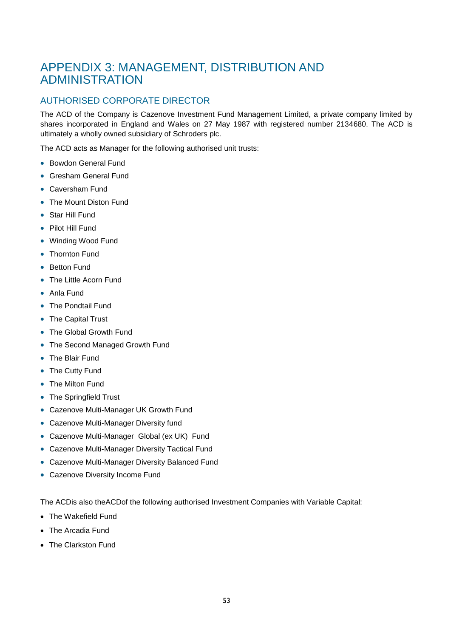# <span id="page-60-0"></span>APPENDIX 3: MANAGEMENT, DISTRIBUTION AND ADMINISTRATION

# <span id="page-60-1"></span>AUTHORISED CORPORATE DIRECTOR

The ACD of the Company is Cazenove Investment Fund Management Limited, a private company limited by shares incorporated in England and Wales on 27 May 1987 with registered number 2134680. The ACD is ultimately a wholly owned subsidiary of Schroders plc.

The ACD acts as Manager for the following authorised unit trusts:

- Bowdon General Fund
- Gresham General Fund
- Caversham Fund
- The Mount Diston Fund
- Star Hill Fund
- Pilot Hill Fund
- Winding Wood Fund
- Thornton Fund
- Betton Fund
- The Little Acorn Fund
- Anla Fund
- The Pondtail Fund
- The Capital Trust
- The Global Growth Fund
- The Second Managed Growth Fund
- The Blair Fund
- The Cutty Fund
- The Milton Fund
- The Springfield Trust
- Cazenove Multi-Manager UK Growth Fund
- Cazenove Multi-Manager Diversity fund
- Cazenove Multi-Manager Global (ex UK) Fund
- Cazenove Multi-Manager Diversity Tactical Fund
- Cazenove Multi-Manager Diversity Balanced Fund
- Cazenove Diversity Income Fund

The ACDis also theACDof the following authorised Investment Companies with Variable Capital:

- The Wakefield Fund
- The Arcadia Fund
- The Clarkston Fund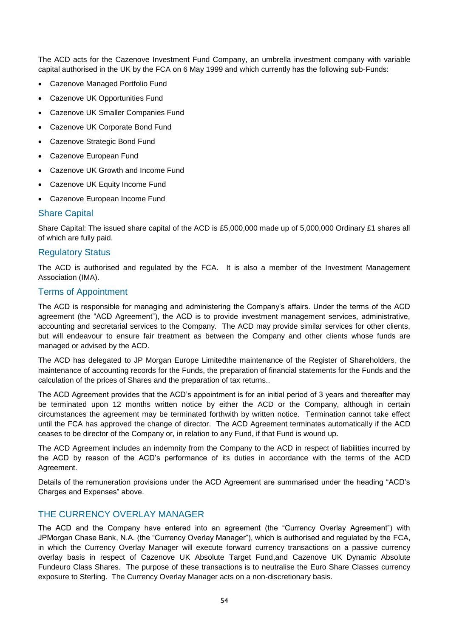The ACD acts for the Cazenove Investment Fund Company, an umbrella investment company with variable capital authorised in the UK by the FCA on 6 May 1999 and which currently has the following sub-Funds:

- Cazenove Managed Portfolio Fund
- Cazenove UK Opportunities Fund
- Cazenove UK Smaller Companies Fund
- Cazenove UK Corporate Bond Fund
- Cazenove Strategic Bond Fund
- Cazenove European Fund
- Cazenove UK Growth and Income Fund
- Cazenove UK Equity Income Fund
- Cazenove European Income Fund

#### Share Capital

Share Capital: The issued share capital of the ACD is £5,000,000 made up of 5,000,000 Ordinary £1 shares all of which are fully paid.

#### Regulatory Status

The ACD is authorised and regulated by the FCA. It is also a member of the Investment Management Association (IMA).

# Terms of Appointment

The ACD is responsible for managing and administering the Company's affairs. Under the terms of the ACD agreement (the "ACD Agreement"), the ACD is to provide investment management services, administrative, accounting and secretarial services to the Company. The ACD may provide similar services for other clients, but will endeavour to ensure fair treatment as between the Company and other clients whose funds are managed or advised by the ACD.

The ACD has delegated to JP Morgan Europe Limitedthe maintenance of the Register of Shareholders, the maintenance of accounting records for the Funds, the preparation of financial statements for the Funds and the calculation of the prices of Shares and the preparation of tax returns..

The ACD Agreement provides that the ACD's appointment is for an initial period of 3 years and thereafter may be terminated upon 12 months written notice by either the ACD or the Company, although in certain circumstances the agreement may be terminated forthwith by written notice. Termination cannot take effect until the FCA has approved the change of director. The ACD Agreement terminates automatically if the ACD ceases to be director of the Company or, in relation to any Fund, if that Fund is wound up.

The ACD Agreement includes an indemnity from the Company to the ACD in respect of liabilities incurred by the ACD by reason of the ACD's performance of its duties in accordance with the terms of the ACD Agreement.

Details of the remuneration provisions under the ACD Agreement are summarised under the heading "ACD's Charges and Expenses" above.

# <span id="page-61-0"></span>THE CURRENCY OVERLAY MANAGER

The ACD and the Company have entered into an agreement (the "Currency Overlay Agreement") with JPMorgan Chase Bank, N.A. (the "Currency Overlay Manager"), which is authorised and regulated by the FCA, in which the Currency Overlay Manager will execute forward currency transactions on a passive currency overlay basis in respect of Cazenove UK Absolute Target Fund,and Cazenove UK Dynamic Absolute Fundeuro Class Shares. The purpose of these transactions is to neutralise the Euro Share Classes currency exposure to Sterling. The Currency Overlay Manager acts on a non-discretionary basis.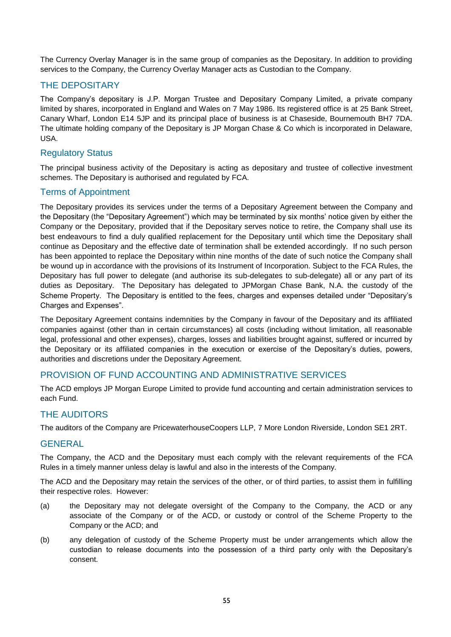The Currency Overlay Manager is in the same group of companies as the Depositary. In addition to providing services to the Company, the Currency Overlay Manager acts as Custodian to the Company.

# <span id="page-62-0"></span>THE DEPOSITARY

The Company's depositary is J.P. Morgan Trustee and Depositary Company Limited, a private company limited by shares, incorporated in England and Wales on 7 May 1986. Its registered office is at 25 Bank Street, Canary Wharf, London E14 5JP and its principal place of business is at Chaseside, Bournemouth BH7 7DA. The ultimate holding company of the Depositary is JP Morgan Chase & Co which is incorporated in Delaware, USA.

# Regulatory Status

The principal business activity of the Depositary is acting as depositary and trustee of collective investment schemes. The Depositary is authorised and regulated by FCA.

# Terms of Appointment

The Depositary provides its services under the terms of a Depositary Agreement between the Company and the Depositary (the "Depositary Agreement") which may be terminated by six months' notice given by either the Company or the Depositary, provided that if the Depositary serves notice to retire, the Company shall use its best endeavours to find a duly qualified replacement for the Depositary until which time the Depositary shall continue as Depositary and the effective date of termination shall be extended accordingly. If no such person has been appointed to replace the Depositary within nine months of the date of such notice the Company shall be wound up in accordance with the provisions of its Instrument of Incorporation. Subject to the FCA Rules, the Depositary has full power to delegate (and authorise its sub-delegates to sub-delegate) all or any part of its duties as Depositary. The Depositary has delegated to JPMorgan Chase Bank, N.A. the custody of the Scheme Property. The Depositary is entitled to the fees, charges and expenses detailed under "Depositary's Charges and Expenses".

The Depositary Agreement contains indemnities by the Company in favour of the Depositary and its affiliated companies against (other than in certain circumstances) all costs (including without limitation, all reasonable legal, professional and other expenses), charges, losses and liabilities brought against, suffered or incurred by the Depositary or its affiliated companies in the execution or exercise of the Depositary's duties, powers, authorities and discretions under the Depositary Agreement.

# <span id="page-62-1"></span>PROVISION OF FUND ACCOUNTING AND ADMINISTRATIVE SERVICES

The ACD employs JP Morgan Europe Limited to provide fund accounting and certain administration services to each Fund.

# <span id="page-62-2"></span>THE AUDITORS

The auditors of the Company are PricewaterhouseCoopers LLP, 7 More London Riverside, London SE1 2RT.

# <span id="page-62-3"></span>**GENERAL**

The Company, the ACD and the Depositary must each comply with the relevant requirements of the FCA Rules in a timely manner unless delay is lawful and also in the interests of the Company.

The ACD and the Depositary may retain the services of the other, or of third parties, to assist them in fulfilling their respective roles. However:

- (a) the Depositary may not delegate oversight of the Company to the Company, the ACD or any associate of the Company or of the ACD, or custody or control of the Scheme Property to the Company or the ACD; and
- (b) any delegation of custody of the Scheme Property must be under arrangements which allow the custodian to release documents into the possession of a third party only with the Depositary's consent.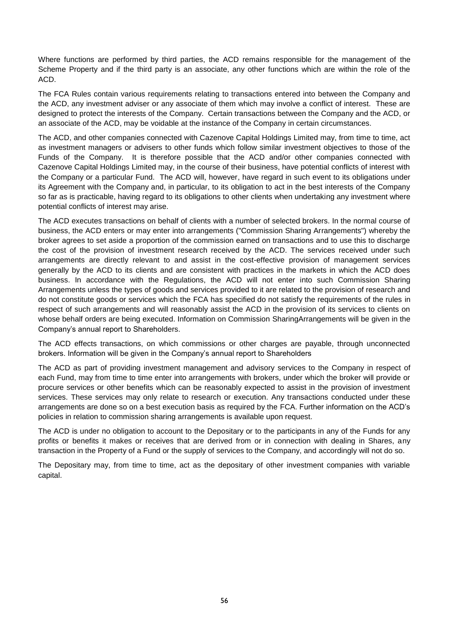Where functions are performed by third parties, the ACD remains responsible for the management of the Scheme Property and if the third party is an associate, any other functions which are within the role of the ACD.

The FCA Rules contain various requirements relating to transactions entered into between the Company and the ACD, any investment adviser or any associate of them which may involve a conflict of interest. These are designed to protect the interests of the Company. Certain transactions between the Company and the ACD, or an associate of the ACD, may be voidable at the instance of the Company in certain circumstances.

The ACD, and other companies connected with Cazenove Capital Holdings Limited may, from time to time, act as investment managers or advisers to other funds which follow similar investment objectives to those of the Funds of the Company. It is therefore possible that the ACD and/or other companies connected with Cazenove Capital Holdings Limited may, in the course of their business, have potential conflicts of interest with the Company or a particular Fund. The ACD will, however, have regard in such event to its obligations under its Agreement with the Company and, in particular, to its obligation to act in the best interests of the Company so far as is practicable, having regard to its obligations to other clients when undertaking any investment where potential conflicts of interest may arise.

The ACD executes transactions on behalf of clients with a number of selected brokers. In the normal course of business, the ACD enters or may enter into arrangements ("Commission Sharing Arrangements") whereby the broker agrees to set aside a proportion of the commission earned on transactions and to use this to discharge the cost of the provision of investment research received by the ACD. The services received under such arrangements are directly relevant to and assist in the cost-effective provision of management services generally by the ACD to its clients and are consistent with practices in the markets in which the ACD does business. In accordance with the Regulations, the ACD will not enter into such Commission Sharing Arrangements unless the types of goods and services provided to it are related to the provision of research and do not constitute goods or services which the FCA has specified do not satisfy the requirements of the rules in respect of such arrangements and will reasonably assist the ACD in the provision of its services to clients on whose behalf orders are being executed. Information on Commission SharingArrangements will be given in the Company's annual report to Shareholders.

The ACD effects transactions, on which commissions or other charges are payable, through unconnected brokers. Information will be given in the Company's annual report to Shareholders

The ACD as part of providing investment management and advisory services to the Company in respect of each Fund, may from time to time enter into arrangements with brokers, under which the broker will provide or procure services or other benefits which can be reasonably expected to assist in the provision of investment services. These services may only relate to research or execution. Any transactions conducted under these arrangements are done so on a best execution basis as required by the FCA. Further information on the ACD's policies in relation to commission sharing arrangements is available upon request.

The ACD is under no obligation to account to the Depositary or to the participants in any of the Funds for any profits or benefits it makes or receives that are derived from or in connection with dealing in Shares, any transaction in the Property of a Fund or the supply of services to the Company, and accordingly will not do so.

The Depositary may, from time to time, act as the depositary of other investment companies with variable capital.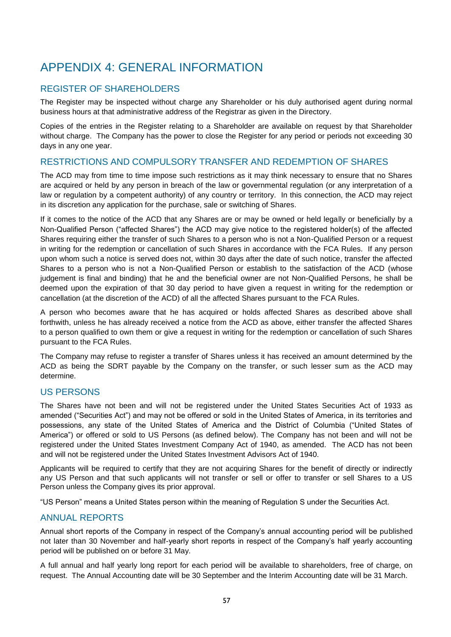# <span id="page-64-0"></span>APPENDIX 4: GENERAL INFORMATION

# <span id="page-64-1"></span>REGISTER OF SHAREHOLDERS

The Register may be inspected without charge any Shareholder or his duly authorised agent during normal business hours at that administrative address of the Registrar as given in the Directory.

Copies of the entries in the Register relating to a Shareholder are available on request by that Shareholder without charge. The Company has the power to close the Register for any period or periods not exceeding 30 days in any one year.

# <span id="page-64-2"></span>RESTRICTIONS AND COMPULSORY TRANSFER AND REDEMPTION OF SHARES

The ACD may from time to time impose such restrictions as it may think necessary to ensure that no Shares are acquired or held by any person in breach of the law or governmental regulation (or any interpretation of a law or regulation by a competent authority) of any country or territory. In this connection, the ACD may reject in its discretion any application for the purchase, sale or switching of Shares.

If it comes to the notice of the ACD that any Shares are or may be owned or held legally or beneficially by a Non-Qualified Person ("affected Shares") the ACD may give notice to the registered holder(s) of the affected Shares requiring either the transfer of such Shares to a person who is not a Non-Qualified Person or a request in writing for the redemption or cancellation of such Shares in accordance with the FCA Rules. If any person upon whom such a notice is served does not, within 30 days after the date of such notice, transfer the affected Shares to a person who is not a Non-Qualified Person or establish to the satisfaction of the ACD (whose judgement is final and binding) that he and the beneficial owner are not Non-Qualified Persons, he shall be deemed upon the expiration of that 30 day period to have given a request in writing for the redemption or cancellation (at the discretion of the ACD) of all the affected Shares pursuant to the FCA Rules.

A person who becomes aware that he has acquired or holds affected Shares as described above shall forthwith, unless he has already received a notice from the ACD as above, either transfer the affected Shares to a person qualified to own them or give a request in writing for the redemption or cancellation of such Shares pursuant to the FCA Rules.

The Company may refuse to register a transfer of Shares unless it has received an amount determined by the ACD as being the SDRT payable by the Company on the transfer, or such lesser sum as the ACD may determine.

# <span id="page-64-3"></span>US PERSONS

The Shares have not been and will not be registered under the United States Securities Act of 1933 as amended ("Securities Act") and may not be offered or sold in the United States of America, in its territories and possessions, any state of the United States of America and the District of Columbia ("United States of America") or offered or sold to US Persons (as defined below). The Company has not been and will not be registered under the United States Investment Company Act of 1940, as amended. The ACD has not been and will not be registered under the United States Investment Advisors Act of 1940.

Applicants will be required to certify that they are not acquiring Shares for the benefit of directly or indirectly any US Person and that such applicants will not transfer or sell or offer to transfer or sell Shares to a US Person unless the Company gives its prior approval.

"US Person" means a United States person within the meaning of Regulation S under the Securities Act.

# <span id="page-64-4"></span>ANNUAL REPORTS

Annual short reports of the Company in respect of the Company's annual accounting period will be published not later than 30 November and half-yearly short reports in respect of the Company's half yearly accounting period will be published on or before 31 May.

A full annual and half yearly long report for each period will be available to shareholders, free of charge, on request. The Annual Accounting date will be 30 September and the Interim Accounting date will be 31 March.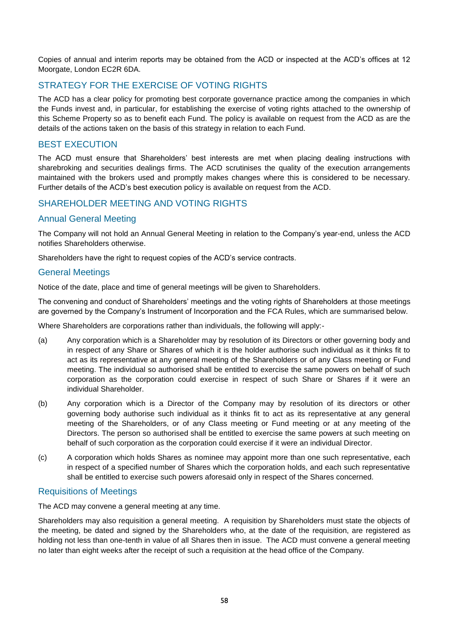Copies of annual and interim reports may be obtained from the ACD or inspected at the ACD's offices at 12 Moorgate, London EC2R 6DA.

# <span id="page-65-0"></span>STRATEGY FOR THE EXERCISE OF VOTING RIGHTS

The ACD has a clear policy for promoting best corporate governance practice among the companies in which the Funds invest and, in particular, for establishing the exercise of voting rights attached to the ownership of this Scheme Property so as to benefit each Fund. The policy is available on request from the ACD as are the details of the actions taken on the basis of this strategy in relation to each Fund.

# <span id="page-65-1"></span>BEST EXECUTION

The ACD must ensure that Shareholders' best interests are met when placing dealing instructions with sharebroking and securities dealings firms. The ACD scrutinises the quality of the execution arrangements maintained with the brokers used and promptly makes changes where this is considered to be necessary. Further details of the ACD's best execution policy is available on request from the ACD.

# <span id="page-65-2"></span>SHAREHOLDER MEETING AND VOTING RIGHTS

# Annual General Meeting

The Company will not hold an Annual General Meeting in relation to the Company's year-end, unless the ACD notifies Shareholders otherwise.

Shareholders have the right to request copies of the ACD's service contracts.

# General Meetings

Notice of the date, place and time of general meetings will be given to Shareholders.

The convening and conduct of Shareholders' meetings and the voting rights of Shareholders at those meetings are governed by the Company's Instrument of Incorporation and the FCA Rules, which are summarised below.

Where Shareholders are corporations rather than individuals, the following will apply:-

- (a) Any corporation which is a Shareholder may by resolution of its Directors or other governing body and in respect of any Share or Shares of which it is the holder authorise such individual as it thinks fit to act as its representative at any general meeting of the Shareholders or of any Class meeting or Fund meeting. The individual so authorised shall be entitled to exercise the same powers on behalf of such corporation as the corporation could exercise in respect of such Share or Shares if it were an individual Shareholder.
- (b) Any corporation which is a Director of the Company may by resolution of its directors or other governing body authorise such individual as it thinks fit to act as its representative at any general meeting of the Shareholders, or of any Class meeting or Fund meeting or at any meeting of the Directors. The person so authorised shall be entitled to exercise the same powers at such meeting on behalf of such corporation as the corporation could exercise if it were an individual Director.
- (c) A corporation which holds Shares as nominee may appoint more than one such representative, each in respect of a specified number of Shares which the corporation holds, and each such representative shall be entitled to exercise such powers aforesaid only in respect of the Shares concerned.

# Requisitions of Meetings

The ACD may convene a general meeting at any time.

Shareholders may also requisition a general meeting. A requisition by Shareholders must state the objects of the meeting, be dated and signed by the Shareholders who, at the date of the requisition, are registered as holding not less than one-tenth in value of all Shares then in issue. The ACD must convene a general meeting no later than eight weeks after the receipt of such a requisition at the head office of the Company.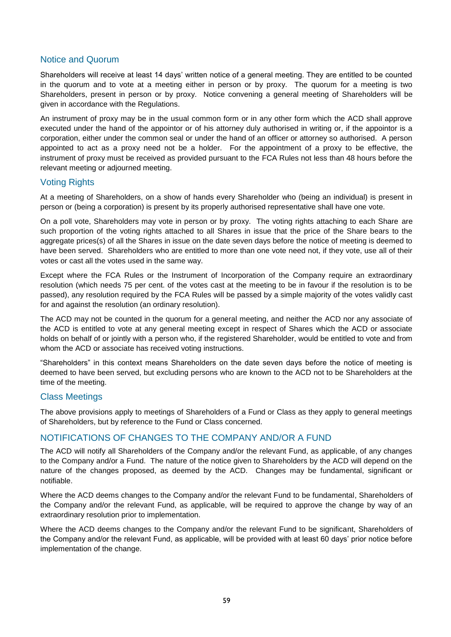# Notice and Quorum

Shareholders will receive at least 14 days' written notice of a general meeting. They are entitled to be counted in the quorum and to vote at a meeting either in person or by proxy. The quorum for a meeting is two Shareholders, present in person or by proxy. Notice convening a general meeting of Shareholders will be given in accordance with the Regulations.

An instrument of proxy may be in the usual common form or in any other form which the ACD shall approve executed under the hand of the appointor or of his attorney duly authorised in writing or, if the appointor is a corporation, either under the common seal or under the hand of an officer or attorney so authorised. A person appointed to act as a proxy need not be a holder. For the appointment of a proxy to be effective, the instrument of proxy must be received as provided pursuant to the FCA Rules not less than 48 hours before the relevant meeting or adjourned meeting.

# Voting Rights

At a meeting of Shareholders, on a show of hands every Shareholder who (being an individual) is present in person or (being a corporation) is present by its properly authorised representative shall have one vote.

On a poll vote, Shareholders may vote in person or by proxy. The voting rights attaching to each Share are such proportion of the voting rights attached to all Shares in issue that the price of the Share bears to the aggregate prices(s) of all the Shares in issue on the date seven days before the notice of meeting is deemed to have been served. Shareholders who are entitled to more than one vote need not, if they vote, use all of their votes or cast all the votes used in the same way.

Except where the FCA Rules or the Instrument of Incorporation of the Company require an extraordinary resolution (which needs 75 per cent. of the votes cast at the meeting to be in favour if the resolution is to be passed), any resolution required by the FCA Rules will be passed by a simple majority of the votes validly cast for and against the resolution (an ordinary resolution).

The ACD may not be counted in the quorum for a general meeting, and neither the ACD nor any associate of the ACD is entitled to vote at any general meeting except in respect of Shares which the ACD or associate holds on behalf of or jointly with a person who, if the registered Shareholder, would be entitled to vote and from whom the ACD or associate has received voting instructions.

"Shareholders" in this context means Shareholders on the date seven days before the notice of meeting is deemed to have been served, but excluding persons who are known to the ACD not to be Shareholders at the time of the meeting.

# Class Meetings

The above provisions apply to meetings of Shareholders of a Fund or Class as they apply to general meetings of Shareholders, but by reference to the Fund or Class concerned.

# <span id="page-66-0"></span>NOTIFICATIONS OF CHANGES TO THE COMPANY AND/OR A FUND

The ACD will notify all Shareholders of the Company and/or the relevant Fund, as applicable, of any changes to the Company and/or a Fund. The nature of the notice given to Shareholders by the ACD will depend on the nature of the changes proposed, as deemed by the ACD. Changes may be fundamental, significant or notifiable.

Where the ACD deems changes to the Company and/or the relevant Fund to be fundamental, Shareholders of the Company and/or the relevant Fund, as applicable, will be required to approve the change by way of an extraordinary resolution prior to implementation.

Where the ACD deems changes to the Company and/or the relevant Fund to be significant, Shareholders of the Company and/or the relevant Fund, as applicable, will be provided with at least 60 days' prior notice before implementation of the change.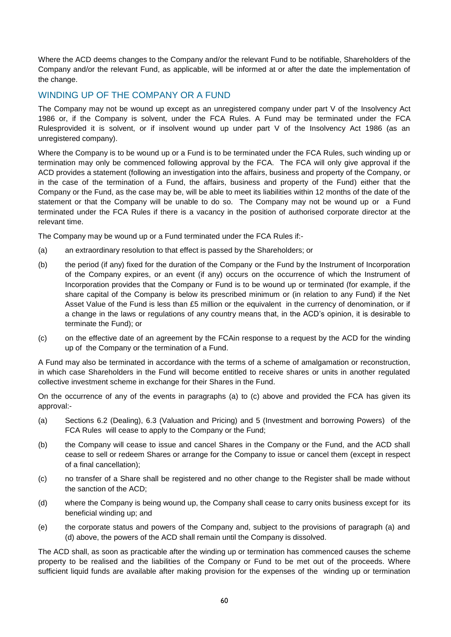Where the ACD deems changes to the Company and/or the relevant Fund to be notifiable, Shareholders of the Company and/or the relevant Fund, as applicable, will be informed at or after the date the implementation of the change.

# <span id="page-67-0"></span>WINDING UP OF THE COMPANY OR A FUND

The Company may not be wound up except as an unregistered company under part V of the Insolvency Act 1986 or, if the Company is solvent, under the FCA Rules. A Fund may be terminated under the FCA Rulesprovided it is solvent, or if insolvent wound up under part V of the Insolvency Act 1986 (as an unregistered company).

Where the Company is to be wound up or a Fund is to be terminated under the FCA Rules, such winding up or termination may only be commenced following approval by the FCA. The FCA will only give approval if the ACD provides a statement (following an investigation into the affairs, business and property of the Company, or in the case of the termination of a Fund, the affairs, business and property of the Fund) either that the Company or the Fund, as the case may be, will be able to meet its liabilities within 12 months of the date of the statement or that the Company will be unable to do so. The Company may not be wound up or a Fund terminated under the FCA Rules if there is a vacancy in the position of authorised corporate director at the relevant time.

The Company may be wound up or a Fund terminated under the FCA Rules if:-

- (a) an extraordinary resolution to that effect is passed by the Shareholders; or
- (b) the period (if any) fixed for the duration of the Company or the Fund by the Instrument of Incorporation of the Company expires, or an event (if any) occurs on the occurrence of which the Instrument of Incorporation provides that the Company or Fund is to be wound up or terminated (for example, if the share capital of the Company is below its prescribed minimum or (in relation to any Fund) if the Net Asset Value of the Fund is less than £5 million or the equivalent in the currency of denomination, or if a change in the laws or regulations of any country means that, in the ACD's opinion, it is desirable to terminate the Fund); or
- (c) on the effective date of an agreement by the FCAin response to a request by the ACD for the winding up of the Company or the termination of a Fund.

A Fund may also be terminated in accordance with the terms of a scheme of amalgamation or reconstruction, in which case Shareholders in the Fund will become entitled to receive shares or units in another regulated collective investment scheme in exchange for their Shares in the Fund.

On the occurrence of any of the events in paragraphs (a) to (c) above and provided the FCA has given its approval:-

- (a) Sections 6.2 (Dealing), 6.3 (Valuation and Pricing) and 5 (Investment and borrowing Powers) of the FCA Rules will cease to apply to the Company or the Fund;
- (b) the Company will cease to issue and cancel Shares in the Company or the Fund, and the ACD shall cease to sell or redeem Shares or arrange for the Company to issue or cancel them (except in respect of a final cancellation);
- (c) no transfer of a Share shall be registered and no other change to the Register shall be made without the sanction of the ACD;
- (d) where the Company is being wound up, the Company shall cease to carry onits business except for its beneficial winding up; and
- (e) the corporate status and powers of the Company and, subject to the provisions of paragraph (a) and (d) above, the powers of the ACD shall remain until the Company is dissolved.

The ACD shall, as soon as practicable after the winding up or termination has commenced causes the scheme property to be realised and the liabilities of the Company or Fund to be met out of the proceeds. Where sufficient liquid funds are available after making provision for the expenses of the winding up or termination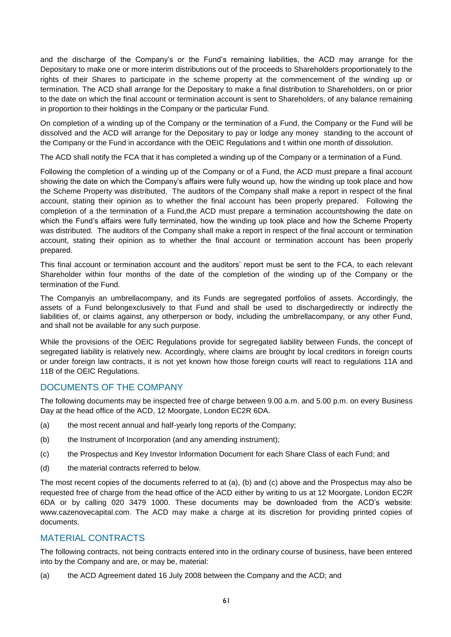and the discharge of the Company's or the Fund's remaining liabilities, the ACD may arrange for the Depositary to make one or more interim distributions out of the proceeds to Shareholders proportionately to the rights of their Shares to participate in the scheme property at the commencement of the winding up or termination. The ACD shall arrange for the Depositary to make a final distribution to Shareholders, on or prior to the date on which the final account or termination account is sent to Shareholders, of any balance remaining in proportion to their holdings in the Company or the particular Fund.

On completion of a winding up of the Company or the termination of a Fund, the Company or the Fund will be dissolved and the ACD will arrange for the Depositary to pay or lodge any money standing to the account of the Company or the Fund in accordance with the OEIC Regulations and t within one month of dissolution.

The ACD shall notify the FCA that it has completed a winding up of the Company or a termination of a Fund.

Following the completion of a winding up of the Company or of a Fund, the ACD must prepare a final account showing the date on which the Company's affairs were fully wound up, how the winding up took place and how the Scheme Property was distributed. The auditors of the Company shall make a report in respect of the final account, stating their opinion as to whether the final account has been properly prepared. Following the completion of a the termination of a Fund,the ACD must prepare a termination accountshowing the date on which the Fund's affairs were fully terminated, how the winding up took place and how the Scheme Property was distributed. The auditors of the Company shall make a report in respect of the final account or termination account, stating their opinion as to whether the final account or termination account has been properly prepared.

This final account or termination account and the auditors' report must be sent to the FCA, to each relevant Shareholder within four months of the date of the completion of the winding up of the Company or the termination of the Fund.

The Companyis an umbrellacompany, and its Funds are segregated portfolios of assets. Accordingly, the assets of a Fund belongexclusively to that Fund and shall be used to dischargedirectly or indirectly the liabilities of, or claims against, any otherperson or body, including the umbrellacompany, or any other Fund, and shall not be available for any such purpose.

While the provisions of the OEIC Regulations provide for segregated liability between Funds, the concept of segregated liability is relatively new. Accordingly, where claims are brought by local creditors in foreign courts or under foreign law contracts, it is not yet known how those foreign courts will react to regulations 11A and 11B of the OEIC Regulations.

# <span id="page-68-0"></span>DOCUMENTS OF THE COMPANY

The following documents may be inspected free of charge between 9.00 a.m. and 5.00 p.m. on every Business Day at the head office of the ACD, 12 Moorgate, London EC2R 6DA.

- (a) the most recent annual and half-yearly long reports of the Company;
- (b) the Instrument of Incorporation (and any amending instrument);
- (c) the Prospectus and Key Investor Information Document for each Share Class of each Fund; and
- (d) the material contracts referred to below.

The most recent copies of the documents referred to at (a), (b) and (c) above and the Prospectus may also be requested free of charge from the head office of the ACD either by writing to us at 12 Moorgate, London EC2R 6DA or by calling 020 3479 1000. These documents may be downloaded from the ACD's website: [www.cazenovecapital.com.](http://www.cazenovecapital.com/) The ACD may make a charge at its discretion for providing printed copies of documents.

# <span id="page-68-1"></span>MATERIAL CONTRACTS

The following contracts, not being contracts entered into in the ordinary course of business, have been entered into by the Company and are, or may be, material:

(a) the ACD Agreement dated 16 July 2008 between the Company and the ACD; and